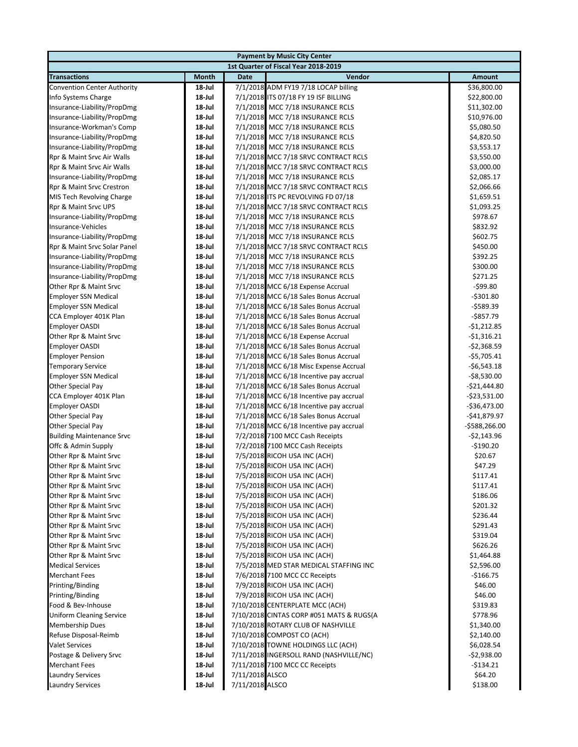|                                                     |                  | <b>Payment by Music City Center</b>                                             |                              |
|-----------------------------------------------------|------------------|---------------------------------------------------------------------------------|------------------------------|
|                                                     |                  | 1st Quarter of Fiscal Year 2018-2019                                            |                              |
| <b>Transactions</b>                                 | Month            | Vendor<br>Date                                                                  | Amount                       |
| <b>Convention Center Authority</b>                  | 18-Jul           | 7/1/2018 ADM FY19 7/18 LOCAP billing                                            | \$36,800.00                  |
| Info Systems Charge                                 | 18-Jul           | 7/1/2018 ITS 07/18 FY 19 ISF BILLING                                            | \$22,800.00                  |
| Insurance-Liability/PropDmg                         | 18-Jul           | 7/1/2018 MCC 7/18 INSURANCE RCLS                                                | \$11,302.00                  |
| Insurance-Liability/PropDmg                         | 18-Jul           | 7/1/2018 MCC 7/18 INSURANCE RCLS                                                | \$10,976.00                  |
| Insurance-Workman's Comp                            | 18-Jul           | 7/1/2018 MCC 7/18 INSURANCE RCLS                                                | \$5,080.50                   |
| Insurance-Liability/PropDmg                         | 18-Jul           | 7/1/2018 MCC 7/18 INSURANCE RCLS                                                | \$4,820.50                   |
| Insurance-Liability/PropDmg                         | 18-Jul           | 7/1/2018 MCC 7/18 INSURANCE RCLS                                                | \$3,553.17                   |
| Rpr & Maint Srvc Air Walls                          | 18-Jul           | 7/1/2018 MCC 7/18 SRVC CONTRACT RCLS                                            | \$3,550.00                   |
| Rpr & Maint Srvc Air Walls                          | 18-Jul           | 7/1/2018 MCC 7/18 SRVC CONTRACT RCLS                                            | \$3,000.00                   |
| Insurance-Liability/PropDmg                         | 18-Jul           | 7/1/2018 MCC 7/18 INSURANCE RCLS                                                | \$2,085.17                   |
| Rpr & Maint Srvc Crestron                           | 18-Jul           | 7/1/2018 MCC 7/18 SRVC CONTRACT RCLS                                            | \$2,066.66                   |
| MIS Tech Revolving Charge                           | 18-Jul           | 7/1/2018 ITS PC REVOLVING FD 07/18                                              | \$1,659.51                   |
| Rpr & Maint Srvc UPS                                | 18-Jul           | 7/1/2018 MCC 7/18 SRVC CONTRACT RCLS                                            | \$1,093.25                   |
| Insurance-Liability/PropDmg                         | 18-Jul           | 7/1/2018 MCC 7/18 INSURANCE RCLS                                                | \$978.67                     |
| Insurance-Vehicles                                  | 18-Jul           | 7/1/2018 MCC 7/18 INSURANCE RCLS                                                | \$832.92                     |
| Insurance-Liability/PropDmg                         | 18-Jul           | 7/1/2018 MCC 7/18 INSURANCE RCLS                                                | \$602.75                     |
| Rpr & Maint Srvc Solar Panel                        | 18-Jul           | 7/1/2018 MCC 7/18 SRVC CONTRACT RCLS                                            | \$450.00                     |
| Insurance-Liability/PropDmg                         | 18-Jul           | 7/1/2018 MCC 7/18 INSURANCE RCLS                                                | \$392.25                     |
| Insurance-Liability/PropDmg                         | 18-Jul           | 7/1/2018 MCC 7/18 INSURANCE RCLS                                                | \$300.00                     |
| Insurance-Liability/PropDmg                         | 18-Jul           | 7/1/2018 MCC 7/18 INSURANCE RCLS                                                | \$271.25                     |
| Other Rpr & Maint Srvc                              | 18-Jul           | 7/1/2018 MCC 6/18 Expense Accrual                                               | $-599.80$                    |
| <b>Employer SSN Medical</b>                         | 18-Jul           | 7/1/2018 MCC 6/18 Sales Bonus Accrual                                           | $-5301.80$                   |
| <b>Employer SSN Medical</b>                         | 18-Jul           | 7/1/2018 MCC 6/18 Sales Bonus Accrual                                           | $-$ \$589.39                 |
| CCA Employer 401K Plan                              | 18-Jul           | 7/1/2018 MCC 6/18 Sales Bonus Accrual                                           | $-$ \$857.79                 |
| <b>Employer OASDI</b>                               | 18-Jul           | 7/1/2018 MCC 6/18 Sales Bonus Accrual                                           | $-$1,212.85$                 |
| Other Rpr & Maint Srvc                              | 18-Jul           | 7/1/2018 MCC 6/18 Expense Accrual                                               | $-$1,316.21$                 |
| <b>Employer OASDI</b>                               | 18-Jul           | 7/1/2018 MCC 6/18 Sales Bonus Accrual                                           | $-$2,368.59$<br>$-$5,705.41$ |
| <b>Employer Pension</b><br><b>Temporary Service</b> | 18-Jul<br>18-Jul | 7/1/2018 MCC 6/18 Sales Bonus Accrual<br>7/1/2018 MCC 6/18 Misc Expense Accrual | $-$6,543.18$                 |
| <b>Employer SSN Medical</b>                         | 18-Jul           | 7/1/2018 MCC 6/18 Incentive pay accrual                                         | $-$8,530.00$                 |
| <b>Other Special Pay</b>                            | 18-Jul           | 7/1/2018 MCC 6/18 Sales Bonus Accrual                                           | -\$21,444.80                 |
| CCA Employer 401K Plan                              | 18-Jul           | 7/1/2018 MCC 6/18 Incentive pay accrual                                         | $-$ \$23,531.00              |
| <b>Employer OASDI</b>                               | 18-Jul           | 7/1/2018 MCC 6/18 Incentive pay accrual                                         | $-536,473.00$                |
| Other Special Pay                                   | 18-Jul           | 7/1/2018 MCC 6/18 Sales Bonus Accrual                                           | $-$41,879.97$                |
| Other Special Pay                                   | 18-Jul           | 7/1/2018 MCC 6/18 Incentive pay accrual                                         | -\$588,266.00                |
| <b>Building Maintenance Srvc</b>                    | 18-Jul           | 7/2/2018 7100 MCC Cash Receipts                                                 | $-52,143.96$                 |
| Offc & Admin Supply                                 | 18-Jul           | 7/2/2018 7100 MCC Cash Receipts                                                 | $-$190.20$                   |
| Other Rpr & Maint Srvc                              | 18-Jul           | 7/5/2018 RICOH USA INC (ACH)                                                    | \$20.67                      |
| Other Rpr & Maint Srvc                              | 18-Jul           | 7/5/2018 RICOH USA INC (ACH)                                                    | \$47.29                      |
| Other Rpr & Maint Srvc                              | $18$ -Jul        | 7/5/2018 RICOH USA INC (ACH)                                                    | \$117.41                     |
| Other Rpr & Maint Srvc                              | 18-Jul           | 7/5/2018 RICOH USA INC (ACH)                                                    | \$117.41                     |
| Other Rpr & Maint Srvc                              | 18-Jul           | 7/5/2018 RICOH USA INC (ACH)                                                    | \$186.06                     |
| Other Rpr & Maint Srvc                              | 18-Jul           | 7/5/2018 RICOH USA INC (ACH)                                                    | \$201.32                     |
| Other Rpr & Maint Srvc                              | 18-Jul           | 7/5/2018 RICOH USA INC (ACH)                                                    | \$236.44                     |
| Other Rpr & Maint Srvc                              | 18-Jul           | 7/5/2018 RICOH USA INC (ACH)                                                    | \$291.43                     |
| Other Rpr & Maint Srvc                              | 18-Jul           | 7/5/2018 RICOH USA INC (ACH)                                                    | \$319.04                     |
| Other Rpr & Maint Srvc                              | 18-Jul           | 7/5/2018 RICOH USA INC (ACH)                                                    | \$626.26                     |
| Other Rpr & Maint Srvc                              | 18-Jul           | 7/5/2018 RICOH USA INC (ACH)                                                    | \$1,464.88                   |
| <b>Medical Services</b>                             | 18-Jul           | 7/5/2018 MED STAR MEDICAL STAFFING INC                                          | \$2,596.00                   |
| <b>Merchant Fees</b>                                | 18-Jul           | 7/6/2018 7100 MCC CC Receipts                                                   | $-5166.75$                   |
| Printing/Binding                                    | 18-Jul           | 7/9/2018 RICOH USA INC (ACH)                                                    | \$46.00                      |
| Printing/Binding                                    | 18-Jul           | 7/9/2018 RICOH USA INC (ACH)                                                    | \$46.00                      |
| Food & Bev-Inhouse                                  | 18-Jul           | 7/10/2018 CENTERPLATE MCC (ACH)                                                 | \$319.83                     |
| <b>Uniform Cleaning Service</b>                     | 18-Jul           | 7/10/2018 CINTAS CORP #051 MATS & RUGS(A                                        | \$778.96                     |
| <b>Membership Dues</b>                              | 18-Jul           | 7/10/2018 ROTARY CLUB OF NASHVILLE                                              | \$1,340.00                   |
| Refuse Disposal-Reimb                               | 18-Jul           | 7/10/2018 COMPOST CO (ACH)                                                      | \$2,140.00                   |
| <b>Valet Services</b>                               | 18-Jul           | 7/10/2018 TOWNE HOLDINGS LLC (ACH)                                              | \$6,028.54                   |
| Postage & Delivery Srvc                             | 18-Jul           | 7/11/2018 INGERSOLL RAND (NASHVILLE/NC)                                         | $-52,938.00$                 |
| <b>Merchant Fees</b>                                | 18-Jul           | 7/11/2018 7100 MCC CC Receipts                                                  | -\$134.21                    |
| <b>Laundry Services</b>                             | 18-Jul           | 7/11/2018 ALSCO                                                                 | \$64.20                      |
| <b>Laundry Services</b>                             | 18-Jul           | 7/11/2018 ALSCO                                                                 | \$138.00                     |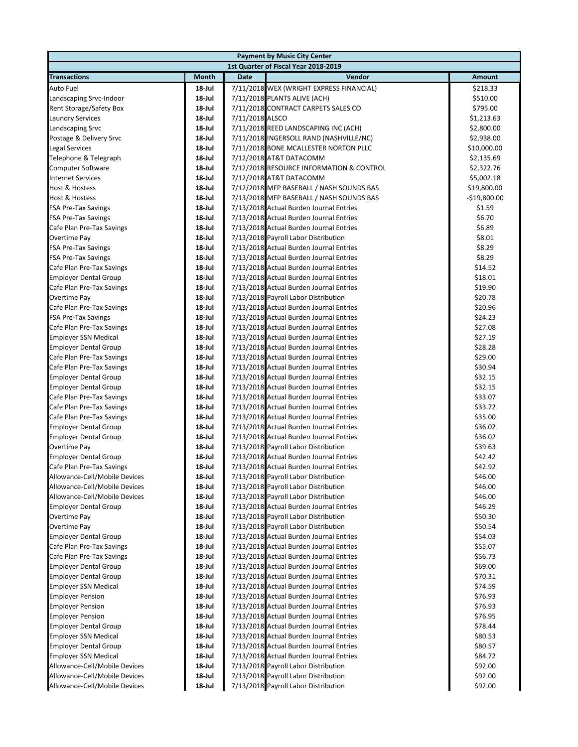|                               |        |                 | <b>Payment by Music City Center</b>      |               |
|-------------------------------|--------|-----------------|------------------------------------------|---------------|
|                               |        |                 | 1st Quarter of Fiscal Year 2018-2019     |               |
| <b>Transactions</b>           | Month  | <b>Date</b>     | Vendor                                   | Amount        |
| <b>Auto Fuel</b>              | 18-Jul |                 | 7/11/2018 WEX (WRIGHT EXPRESS FINANCIAL) | \$218.33      |
| Landscaping Srvc-Indoor       | 18-Jul |                 | 7/11/2018 PLANTS ALIVE (ACH)             | \$510.00      |
| Rent Storage/Safety Box       | 18-Jul |                 | 7/11/2018 CONTRACT CARPETS SALES CO      | \$795.00      |
| <b>Laundry Services</b>       | 18-Jul | 7/11/2018 ALSCO |                                          | \$1,213.63    |
| Landscaping Srvc              | 18-Jul |                 | 7/11/2018 REED LANDSCAPING INC (ACH)     | \$2,800.00    |
| Postage & Delivery Srvc       | 18-Jul |                 | 7/11/2018 INGERSOLL RAND (NASHVILLE/NC)  | \$2,938.00    |
| <b>Legal Services</b>         | 18-Jul |                 | 7/11/2018 BONE MCALLESTER NORTON PLLC    | \$10,000.00   |
| Telephone & Telegraph         | 18-Jul |                 | 7/12/2018 AT&T DATACOMM                  | \$2,135.69    |
| <b>Computer Software</b>      | 18-Jul |                 | 7/12/2018 RESOURCE INFORMATION & CONTROL | \$2,322.76    |
| <b>Internet Services</b>      | 18-Jul |                 | 7/12/2018 AT&T DATACOMM                  | \$5,002.18    |
| <b>Host &amp; Hostess</b>     | 18-Jul |                 | 7/12/2018 MFP BASEBALL / NASH SOUNDS BAS | \$19,800.00   |
| Host & Hostess                | 18-Jul |                 | 7/13/2018 MFP BASEBALL / NASH SOUNDS BAS | $-$19,800.00$ |
| <b>FSA Pre-Tax Savings</b>    | 18-Jul |                 | 7/13/2018 Actual Burden Journal Entries  | \$1.59        |
| <b>FSA Pre-Tax Savings</b>    | 18-Jul |                 | 7/13/2018 Actual Burden Journal Entries  | \$6.70        |
| Cafe Plan Pre-Tax Savings     | 18-Jul |                 | 7/13/2018 Actual Burden Journal Entries  | \$6.89        |
| Overtime Pay                  | 18-Jul |                 | 7/13/2018 Payroll Labor Distribution     | \$8.01        |
| <b>FSA Pre-Tax Savings</b>    | 18-Jul |                 | 7/13/2018 Actual Burden Journal Entries  | \$8.29        |
| <b>FSA Pre-Tax Savings</b>    | 18-Jul |                 | 7/13/2018 Actual Burden Journal Entries  | \$8.29        |
| Cafe Plan Pre-Tax Savings     | 18-Jul |                 | 7/13/2018 Actual Burden Journal Entries  | \$14.52       |
| <b>Employer Dental Group</b>  | 18-Jul |                 | 7/13/2018 Actual Burden Journal Entries  | \$18.01       |
| Cafe Plan Pre-Tax Savings     | 18 Jul |                 | 7/13/2018 Actual Burden Journal Entries  | \$19.90       |
| Overtime Pay                  | 18-Jul |                 | 7/13/2018 Payroll Labor Distribution     | \$20.78       |
| Cafe Plan Pre-Tax Savings     | 18-Jul |                 | 7/13/2018 Actual Burden Journal Entries  | \$20.96       |
| <b>FSA Pre-Tax Savings</b>    | 18-Jul |                 | 7/13/2018 Actual Burden Journal Entries  | \$24.23       |
| Cafe Plan Pre-Tax Savings     | 18 Jul |                 | 7/13/2018 Actual Burden Journal Entries  | \$27.08       |
| <b>Employer SSN Medical</b>   | 18-Jul |                 | 7/13/2018 Actual Burden Journal Entries  | \$27.19       |
| <b>Employer Dental Group</b>  | 18-Jul |                 | 7/13/2018 Actual Burden Journal Entries  | \$28.28       |
| Cafe Plan Pre-Tax Savings     | 18-Jul |                 | 7/13/2018 Actual Burden Journal Entries  | \$29.00       |
| Cafe Plan Pre-Tax Savings     | 18-Jul |                 | 7/13/2018 Actual Burden Journal Entries  | \$30.94       |
| <b>Employer Dental Group</b>  | 18-Jul |                 | 7/13/2018 Actual Burden Journal Entries  | \$32.15       |
| <b>Employer Dental Group</b>  | 18-Jul |                 | 7/13/2018 Actual Burden Journal Entries  | \$32.15       |
| Cafe Plan Pre-Tax Savings     | 18-Jul |                 | 7/13/2018 Actual Burden Journal Entries  | \$33.07       |
| Cafe Plan Pre-Tax Savings     | 18-Jul |                 | 7/13/2018 Actual Burden Journal Entries  | \$33.72       |
| Cafe Plan Pre-Tax Savings     | 18-Jul |                 | 7/13/2018 Actual Burden Journal Entries  | \$35.00       |
| <b>Employer Dental Group</b>  | 18-Jul |                 | 7/13/2018 Actual Burden Journal Entries  | \$36.02       |
| <b>Employer Dental Group</b>  | 18 Jul |                 | 7/13/2018 Actual Burden Journal Entries  | \$36.02       |
| Overtime Pay                  | 18-Jul |                 | 7/13/2018 Payroll Labor Distribution     | \$39.63       |
| <b>Employer Dental Group</b>  | 18-Jul |                 | 7/13/2018 Actual Burden Journal Entries  | \$42.42       |
| Cafe Plan Pre-Tax Savings     | 18-Jul |                 | 7/13/2018 Actual Burden Journal Entries  | \$42.92       |
| Allowance-Cell/Mobile Devices | 18-Jul |                 | 7/13/2018 Payroll Labor Distribution     | \$46.00       |
| Allowance-Cell/Mobile Devices | 18-Jul |                 | 7/13/2018 Payroll Labor Distribution     | \$46.00       |
| Allowance-Cell/Mobile Devices | 18-Jul |                 | 7/13/2018 Payroll Labor Distribution     | \$46.00       |
| <b>Employer Dental Group</b>  | 18 Jul |                 | 7/13/2018 Actual Burden Journal Entries  | \$46.29       |
| Overtime Pay                  | 18 Jul |                 | 7/13/2018 Payroll Labor Distribution     | \$50.30       |
| Overtime Pay                  | 18-Jul |                 | 7/13/2018 Payroll Labor Distribution     | \$50.54       |
| <b>Employer Dental Group</b>  | 18-Jul |                 | 7/13/2018 Actual Burden Journal Entries  | \$54.03       |
| Cafe Plan Pre-Tax Savings     | 18 Jul |                 | 7/13/2018 Actual Burden Journal Entries  | \$55.07       |
| Cafe Plan Pre-Tax Savings     | 18-Jul |                 | 7/13/2018 Actual Burden Journal Entries  | \$56.73       |
| <b>Employer Dental Group</b>  | 18 Jul |                 | 7/13/2018 Actual Burden Journal Entries  | \$69.00       |
| <b>Employer Dental Group</b>  | 18-Jul |                 | 7/13/2018 Actual Burden Journal Entries  | \$70.31       |
| <b>Employer SSN Medical</b>   | 18 Jul |                 | 7/13/2018 Actual Burden Journal Entries  | \$74.59       |
| <b>Employer Pension</b>       | 18 Jul |                 | 7/13/2018 Actual Burden Journal Entries  | \$76.93       |
| <b>Employer Pension</b>       | 18 Jul |                 | 7/13/2018 Actual Burden Journal Entries  | \$76.93       |
| <b>Employer Pension</b>       | 18 Jul |                 | 7/13/2018 Actual Burden Journal Entries  | \$76.95       |
| <b>Employer Dental Group</b>  | 18 Jul |                 | 7/13/2018 Actual Burden Journal Entries  | \$78.44       |
| <b>Employer SSN Medical</b>   | 18 Jul |                 | 7/13/2018 Actual Burden Journal Entries  | \$80.53       |
| <b>Employer Dental Group</b>  | 18 Jul |                 | 7/13/2018 Actual Burden Journal Entries  | \$80.57       |
| <b>Employer SSN Medical</b>   | 18 Jul |                 | 7/13/2018 Actual Burden Journal Entries  | \$84.72       |
| Allowance-Cell/Mobile Devices | 18 Jul |                 | 7/13/2018 Payroll Labor Distribution     | \$92.00       |
| Allowance-Cell/Mobile Devices | 18 Jul |                 | 7/13/2018 Payroll Labor Distribution     | \$92.00       |
| Allowance-Cell/Mobile Devices | 18-Jul |                 | 7/13/2018 Payroll Labor Distribution     | \$92.00       |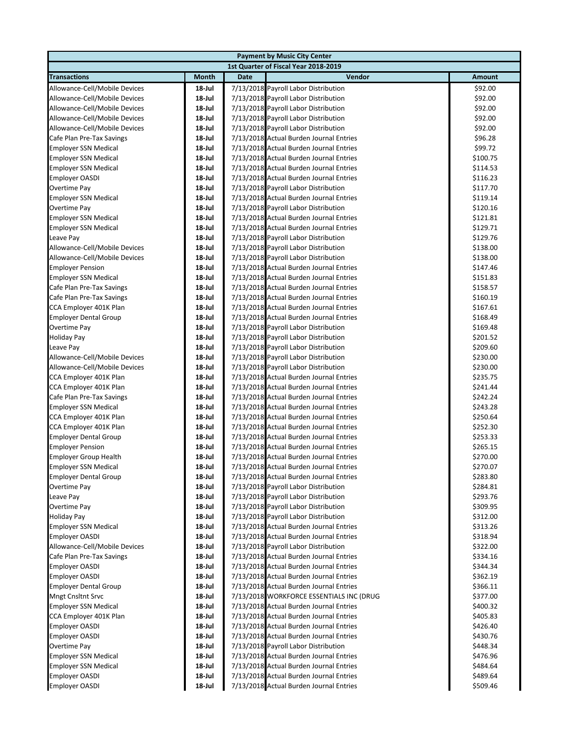|                               |           |      | <b>Payment by Music City Center</b>      |          |
|-------------------------------|-----------|------|------------------------------------------|----------|
|                               |           |      | 1st Quarter of Fiscal Year 2018-2019     |          |
| <b>Transactions</b>           | Month     | Date | Vendor                                   | Amount   |
| Allowance-Cell/Mobile Devices | 18-Jul    |      | 7/13/2018 Payroll Labor Distribution     | \$92.00  |
| Allowance-Cell/Mobile Devices | 18-Jul    |      | 7/13/2018 Payroll Labor Distribution     | \$92.00  |
| Allowance-Cell/Mobile Devices | 18-Jul    |      | 7/13/2018 Payroll Labor Distribution     | \$92.00  |
| Allowance-Cell/Mobile Devices | 18-Jul    |      | 7/13/2018 Payroll Labor Distribution     | \$92.00  |
| Allowance-Cell/Mobile Devices | 18-Jul    |      | 7/13/2018 Payroll Labor Distribution     | \$92.00  |
| Cafe Plan Pre-Tax Savings     | 18-Jul    |      | 7/13/2018 Actual Burden Journal Entries  | \$96.28  |
| <b>Employer SSN Medical</b>   | 18-Jul    |      | 7/13/2018 Actual Burden Journal Entries  | \$99.72  |
| <b>Employer SSN Medical</b>   | 18-Jul    |      | 7/13/2018 Actual Burden Journal Entries  | \$100.75 |
| <b>Employer SSN Medical</b>   | 18-Jul    |      | 7/13/2018 Actual Burden Journal Entries  | \$114.53 |
| <b>Employer OASDI</b>         | 18-Jul    |      | 7/13/2018 Actual Burden Journal Entries  | \$116.23 |
| Overtime Pay                  | 18-Jul    |      | 7/13/2018 Payroll Labor Distribution     | \$117.70 |
| <b>Employer SSN Medical</b>   | 18-Jul    |      | 7/13/2018 Actual Burden Journal Entries  | \$119.14 |
| Overtime Pay                  | 18-Jul    |      | 7/13/2018 Payroll Labor Distribution     | \$120.16 |
| <b>Employer SSN Medical</b>   | 18-Jul    |      | 7/13/2018 Actual Burden Journal Entries  | \$121.81 |
| <b>Employer SSN Medical</b>   | 18-Jul    |      | 7/13/2018 Actual Burden Journal Entries  | \$129.71 |
| Leave Pay                     | 18-Jul    |      | 7/13/2018 Payroll Labor Distribution     | \$129.76 |
| Allowance-Cell/Mobile Devices | 18-Jul    |      | 7/13/2018 Payroll Labor Distribution     | \$138.00 |
| Allowance-Cell/Mobile Devices | 18-Jul    |      | 7/13/2018 Payroll Labor Distribution     | \$138.00 |
| <b>Employer Pension</b>       | 18-Jul    |      | 7/13/2018 Actual Burden Journal Entries  | \$147.46 |
| <b>Employer SSN Medical</b>   | 18-Jul    |      | 7/13/2018 Actual Burden Journal Entries  | \$151.83 |
| Cafe Plan Pre-Tax Savings     | 18-Jul    |      | 7/13/2018 Actual Burden Journal Entries  | \$158.57 |
| Cafe Plan Pre-Tax Savings     | 18-Jul    |      | 7/13/2018 Actual Burden Journal Entries  | \$160.19 |
| CCA Employer 401K Plan        | 18-Jul    |      | 7/13/2018 Actual Burden Journal Entries  | \$167.61 |
| <b>Employer Dental Group</b>  | 18-Jul    |      | 7/13/2018 Actual Burden Journal Entries  | \$168.49 |
| Overtime Pay                  | 18-Jul    |      | 7/13/2018 Payroll Labor Distribution     | \$169.48 |
| <b>Holiday Pay</b>            | 18-Jul    |      | 7/13/2018 Payroll Labor Distribution     | \$201.52 |
| Leave Pay                     | 18-Jul    |      | 7/13/2018 Payroll Labor Distribution     | \$209.60 |
| Allowance-Cell/Mobile Devices | 18-Jul    |      | 7/13/2018 Payroll Labor Distribution     | \$230.00 |
| Allowance-Cell/Mobile Devices | 18-Jul    |      | 7/13/2018 Payroll Labor Distribution     | \$230.00 |
| CCA Employer 401K Plan        | 18-Jul    |      | 7/13/2018 Actual Burden Journal Entries  | \$235.75 |
| CCA Employer 401K Plan        | 18-Jul    |      | 7/13/2018 Actual Burden Journal Entries  | \$241.44 |
| Cafe Plan Pre-Tax Savings     | 18-Jul    |      | 7/13/2018 Actual Burden Journal Entries  | \$242.24 |
| <b>Employer SSN Medical</b>   | 18-Jul    |      | 7/13/2018 Actual Burden Journal Entries  | \$243.28 |
| CCA Employer 401K Plan        | 18-Jul    |      | 7/13/2018 Actual Burden Journal Entries  | \$250.64 |
| CCA Employer 401K Plan        | 18-Jul    |      | 7/13/2018 Actual Burden Journal Entries  | \$252.30 |
| <b>Employer Dental Group</b>  | 18-Jul    |      | 7/13/2018 Actual Burden Journal Entries  | \$253.33 |
| <b>Employer Pension</b>       | 18-Jul    |      | 7/13/2018 Actual Burden Journal Entries  | \$265.15 |
| <b>Employer Group Health</b>  | 18-Jul    |      | 7/13/2018 Actual Burden Journal Entries  | \$270.00 |
| <b>Employer SSN Medical</b>   | 18-Jul    |      | 7/13/2018 Actual Burden Journal Entries  | \$270.07 |
| <b>Employer Dental Group</b>  | 18-Jul    |      | 7/13/2018 Actual Burden Journal Entries  | \$283.80 |
| Overtime Pay                  | 18-Jul    |      | 7/13/2018 Payroll Labor Distribution     | \$284.81 |
| Leave Pay                     | $18$ -Jul |      | 7/13/2018 Payroll Labor Distribution     | \$293.76 |
| Overtime Pay                  | 18-Jul    |      | 7/13/2018 Payroll Labor Distribution     | \$309.95 |
| <b>Holiday Pay</b>            | 18-Jul    |      | 7/13/2018 Payroll Labor Distribution     | \$312.00 |
| <b>Employer SSN Medical</b>   | 18-Jul    |      | 7/13/2018 Actual Burden Journal Entries  | \$313.26 |
| <b>Employer OASDI</b>         | 18-Jul    |      | 7/13/2018 Actual Burden Journal Entries  | \$318.94 |
| Allowance-Cell/Mobile Devices | 18-Jul    |      | 7/13/2018 Payroll Labor Distribution     | \$322.00 |
| Cafe Plan Pre-Tax Savings     | 18-Jul    |      | 7/13/2018 Actual Burden Journal Entries  | \$334.16 |
| <b>Employer OASDI</b>         | 18-Jul    |      | 7/13/2018 Actual Burden Journal Entries  | \$344.34 |
| <b>Employer OASDI</b>         | 18-Jul    |      | 7/13/2018 Actual Burden Journal Entries  | \$362.19 |
| <b>Employer Dental Group</b>  | 18-Jul    |      | 7/13/2018 Actual Burden Journal Entries  | \$366.11 |
| Mngt Cnsltnt Srvc             | 18-Jul    |      | 7/13/2018 WORKFORCE ESSENTIALS INC (DRUG | \$377.00 |
| <b>Employer SSN Medical</b>   | 18-Jul    |      | 7/13/2018 Actual Burden Journal Entries  | \$400.32 |
| CCA Employer 401K Plan        | 18-Jul    |      | 7/13/2018 Actual Burden Journal Entries  | \$405.83 |
| <b>Employer OASDI</b>         | 18-Jul    |      | 7/13/2018 Actual Burden Journal Entries  | \$426.40 |
| <b>Employer OASDI</b>         | 18-Jul    |      | 7/13/2018 Actual Burden Journal Entries  | \$430.76 |
| Overtime Pay                  | 18-Jul    |      | 7/13/2018 Payroll Labor Distribution     | \$448.34 |
| <b>Employer SSN Medical</b>   | 18-Jul    |      | 7/13/2018 Actual Burden Journal Entries  | \$476.96 |
| <b>Employer SSN Medical</b>   | 18-Jul    |      | 7/13/2018 Actual Burden Journal Entries  | \$484.64 |
| <b>Employer OASDI</b>         | 18-Jul    |      | 7/13/2018 Actual Burden Journal Entries  | \$489.64 |
| <b>Employer OASDI</b>         | 18-Jul    |      | 7/13/2018 Actual Burden Journal Entries  | \$509.46 |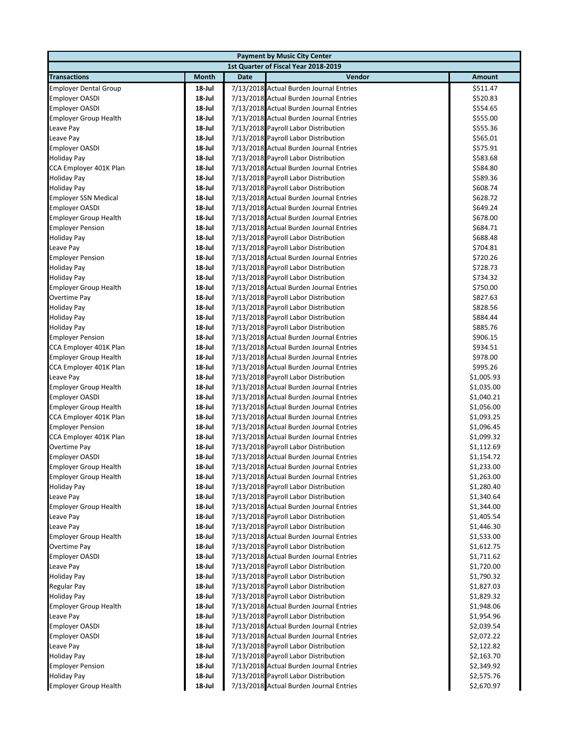|                              |           |             | <b>Payment by Music City Center</b>     |            |
|------------------------------|-----------|-------------|-----------------------------------------|------------|
|                              |           |             | 1st Quarter of Fiscal Year 2018-2019    |            |
| <b>Transactions</b>          | Month     | <b>Date</b> | Vendor                                  | Amount     |
| <b>Employer Dental Group</b> | 18-Jul    |             | 7/13/2018 Actual Burden Journal Entries | \$511.47   |
| <b>Employer OASDI</b>        | 18-Jul    |             | 7/13/2018 Actual Burden Journal Entries | \$520.83   |
| <b>Employer OASDI</b>        | 18-Jul    |             | 7/13/2018 Actual Burden Journal Entries | \$554.65   |
| <b>Employer Group Health</b> | 18-Jul    |             | 7/13/2018 Actual Burden Journal Entries | \$555.00   |
| Leave Pay                    | 18-Jul    |             | 7/13/2018 Payroll Labor Distribution    | \$555.36   |
| Leave Pay                    | 18-Jul    |             | 7/13/2018 Payroll Labor Distribution    | \$565.01   |
| <b>Employer OASDI</b>        | 18-Jul    |             | 7/13/2018 Actual Burden Journal Entries | \$575.91   |
| Holiday Pay                  | 18-Jul    |             | 7/13/2018 Payroll Labor Distribution    | \$583.68   |
| CCA Employer 401K Plan       | 18-Jul    |             | 7/13/2018 Actual Burden Journal Entries | \$584.80   |
| <b>Holiday Pay</b>           | 18 Jul    |             | 7/13/2018 Payroll Labor Distribution    | \$589.36   |
| <b>Holiday Pay</b>           | 18 Jul    |             | 7/13/2018 Payroll Labor Distribution    | \$608.74   |
| <b>Employer SSN Medical</b>  | 18 Jul    |             | 7/13/2018 Actual Burden Journal Entries | \$628.72   |
| <b>Employer OASDI</b>        | 18-Jul    |             | 7/13/2018 Actual Burden Journal Entries | \$649.24   |
| <b>Employer Group Health</b> | 18-Jul    |             | 7/13/2018 Actual Burden Journal Entries | \$678.00   |
| <b>Employer Pension</b>      | 18-Jul    |             | 7/13/2018 Actual Burden Journal Entries | \$684.71   |
| <b>Holiday Pay</b>           | 18-Jul    |             | 7/13/2018 Payroll Labor Distribution    | \$688.48   |
| Leave Pay                    | 18 Jul    |             | 7/13/2018 Payroll Labor Distribution    | \$704.81   |
| <b>Employer Pension</b>      | 18-Jul    |             | 7/13/2018 Actual Burden Journal Entries | \$720.26   |
| Holiday Pay                  | 18-Jul    |             | 7/13/2018 Payroll Labor Distribution    | \$728.73   |
| <b>Holiday Pay</b>           | 18-Jul    |             | 7/13/2018 Payroll Labor Distribution    | \$734.32   |
| <b>Employer Group Health</b> | 18-Jul    |             | 7/13/2018 Actual Burden Journal Entries | \$750.00   |
| Overtime Pay                 | 18-Jul    |             | 7/13/2018 Payroll Labor Distribution    | \$827.63   |
| <b>Holiday Pay</b>           | 18-Jul    |             | 7/13/2018 Payroll Labor Distribution    | \$828.56   |
| <b>Holiday Pay</b>           | 18-Jul    |             | 7/13/2018 Payroll Labor Distribution    | \$884.44   |
| <b>Holiday Pay</b>           | 18-Jul    |             | 7/13/2018 Payroll Labor Distribution    | \$885.76   |
| <b>Employer Pension</b>      | 18-Jul    |             | 7/13/2018 Actual Burden Journal Entries | \$906.15   |
| CCA Employer 401K Plan       | 18-Jul    |             | 7/13/2018 Actual Burden Journal Entries | \$934.51   |
| <b>Employer Group Health</b> | 18-Jul    |             | 7/13/2018 Actual Burden Journal Entries | \$978.00   |
| CCA Employer 401K Plan       | 18-Jul    |             | 7/13/2018 Actual Burden Journal Entries | \$995.26   |
| Leave Pay                    | 18-Jul    |             | 7/13/2018 Payroll Labor Distribution    | \$1,005.93 |
| <b>Employer Group Health</b> | 18-Jul    |             | 7/13/2018 Actual Burden Journal Entries | \$1,035.00 |
| <b>Employer OASDI</b>        | 18-Jul    |             | 7/13/2018 Actual Burden Journal Entries | \$1,040.21 |
| <b>Employer Group Health</b> | 18-Jul    |             | 7/13/2018 Actual Burden Journal Entries | \$1,056.00 |
| CCA Employer 401K Plan       | 18-Jul    |             | 7/13/2018 Actual Burden Journal Entries | \$1,093.25 |
| <b>Employer Pension</b>      | 18 Jul    |             | 7/13/2018 Actual Burden Journal Entries | \$1,096.45 |
| CCA Employer 401K Plan       | 18-Jul    |             | 7/13/2018 Actual Burden Journal Entries | \$1,099.32 |
| Overtime Pay                 | 18-Jul    |             | 7/13/2018 Payroll Labor Distribution    | \$1,112.69 |
| <b>Employer OASDI</b>        | $18$ -Jul |             | 7/13/2018 Actual Burden Journal Entries | \$1,154.72 |
| <b>Employer Group Health</b> | 18-Jul    |             | 7/13/2018 Actual Burden Journal Entries | \$1,233.00 |
| <b>Employer Group Health</b> | 18-Jul    |             | 7/13/2018 Actual Burden Journal Entries | \$1,263.00 |
| Holiday Pay                  | 18 Jul    |             | 7/13/2018 Payroll Labor Distribution    | \$1,280.40 |
| Leave Pay                    | 18 Jul    |             | 7/13/2018 Payroll Labor Distribution    | \$1,340.64 |
| <b>Employer Group Health</b> | 18 Jul    |             | 7/13/2018 Actual Burden Journal Entries | \$1,344.00 |
| Leave Pay                    | 18 Jul    |             | 7/13/2018 Payroll Labor Distribution    | \$1,405.54 |
| Leave Pay                    | 18 Jul    |             | 7/13/2018 Payroll Labor Distribution    | \$1,446.30 |
| <b>Employer Group Health</b> | 18 Jul    |             | 7/13/2018 Actual Burden Journal Entries | \$1,533.00 |
| Overtime Pay                 | 18-Jul    |             | 7/13/2018 Payroll Labor Distribution    | \$1,612.75 |
| <b>Employer OASDI</b>        | 18 Jul    |             | 7/13/2018 Actual Burden Journal Entries | \$1,711.62 |
| Leave Pay                    | 18-Jul    |             | 7/13/2018 Payroll Labor Distribution    | \$1,720.00 |
| <b>Holiday Pay</b>           | 18 Jul    |             | 7/13/2018 Payroll Labor Distribution    | \$1,790.32 |
| Regular Pay                  | 18 Jul    |             | 7/13/2018 Payroll Labor Distribution    | \$1,827.03 |
| Holiday Pay                  | 18 Jul    |             | 7/13/2018 Payroll Labor Distribution    | \$1,829.32 |
| <b>Employer Group Health</b> | 18-Jul    |             | 7/13/2018 Actual Burden Journal Entries | \$1,948.06 |
| Leave Pay                    | 18-Jul    |             | 7/13/2018 Payroll Labor Distribution    | \$1,954.96 |
| <b>Employer OASDI</b>        | 18-Jul    |             | 7/13/2018 Actual Burden Journal Entries | \$2,039.54 |
| <b>Employer OASDI</b>        | 18 Jul    |             | 7/13/2018 Actual Burden Journal Entries | \$2,072.22 |
| Leave Pay                    | 18-Jul    |             | 7/13/2018 Payroll Labor Distribution    | \$2,122.82 |
| <b>Holiday Pay</b>           | 18-Jul    |             | 7/13/2018 Payroll Labor Distribution    | \$2,163.70 |
| <b>Employer Pension</b>      | 18-Jul    |             | 7/13/2018 Actual Burden Journal Entries | \$2,349.92 |
| <b>Holiday Pay</b>           | 18 Jul    |             | 7/13/2018 Payroll Labor Distribution    | \$2,575.76 |
| <b>Employer Group Health</b> | 18-Jul    |             | 7/13/2018 Actual Burden Journal Entries | \$2,670.97 |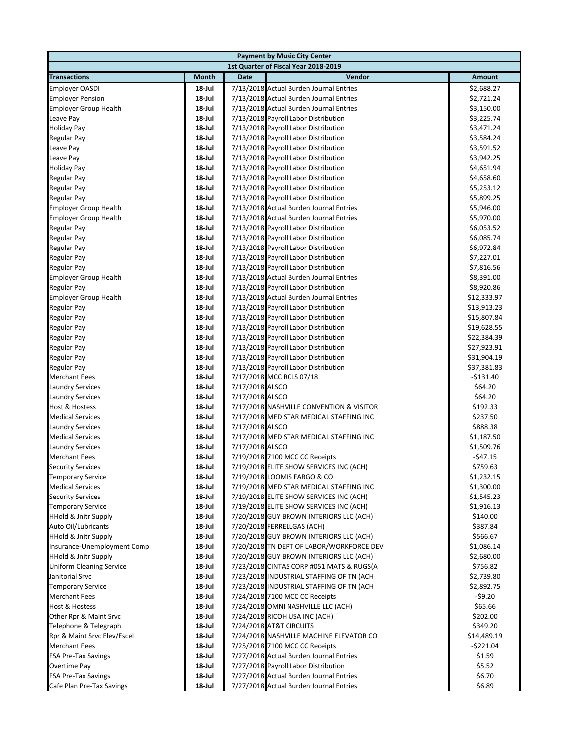|                                 |              |                 | <b>Payment by Music City Center</b>      |             |
|---------------------------------|--------------|-----------------|------------------------------------------|-------------|
|                                 |              |                 | 1st Quarter of Fiscal Year 2018-2019     |             |
| <b>Transactions</b>             | <b>Month</b> | <b>Date</b>     | Vendor                                   | Amount      |
| <b>Employer OASDI</b>           | 18 Jul       |                 | 7/13/2018 Actual Burden Journal Entries  | \$2,688.27  |
| <b>Employer Pension</b>         | 18-Jul       |                 | 7/13/2018 Actual Burden Journal Entries  | \$2,721.24  |
| <b>Employer Group Health</b>    | 18-Jul       |                 | 7/13/2018 Actual Burden Journal Entries  | \$3,150.00  |
| Leave Pay                       | $18$ -Jul    |                 | 7/13/2018 Payroll Labor Distribution     | \$3,225.74  |
| <b>Holiday Pay</b>              | $18$ -Jul    |                 | 7/13/2018 Payroll Labor Distribution     | \$3,471.24  |
| Regular Pay                     | 18-Jul       |                 | 7/13/2018 Payroll Labor Distribution     | \$3,584.24  |
| Leave Pay                       | 18-Jul       |                 | 7/13/2018 Payroll Labor Distribution     | \$3,591.52  |
| Leave Pay                       | $18$ -Jul    |                 | 7/13/2018 Payroll Labor Distribution     | \$3,942.25  |
| <b>Holiday Pay</b>              | 18-Jul       |                 | 7/13/2018 Payroll Labor Distribution     | \$4,651.94  |
| Regular Pay                     | 18-Jul       |                 | 7/13/2018 Payroll Labor Distribution     | \$4,658.60  |
| <b>Regular Pay</b>              | 18-Jul       |                 | 7/13/2018 Payroll Labor Distribution     | \$5,253.12  |
| Regular Pay                     | 18-Jul       |                 | 7/13/2018 Payroll Labor Distribution     | \$5,899.25  |
| <b>Employer Group Health</b>    | 18-Jul       |                 | 7/13/2018 Actual Burden Journal Entries  | \$5,946.00  |
| <b>Employer Group Health</b>    | 18-Jul       |                 | 7/13/2018 Actual Burden Journal Entries  | \$5,970.00  |
| <b>Regular Pay</b>              | 18-Jul       |                 | 7/13/2018 Payroll Labor Distribution     | \$6,053.52  |
| <b>Regular Pay</b>              | $18$ -Jul    |                 | 7/13/2018 Payroll Labor Distribution     | \$6,085.74  |
| <b>Regular Pay</b>              | 18-Jul       |                 | 7/13/2018 Payroll Labor Distribution     | \$6,972.84  |
| <b>Regular Pay</b>              | 18-Jul       |                 | 7/13/2018 Payroll Labor Distribution     | \$7,227.01  |
| <b>Regular Pay</b>              | 18-Jul       |                 | 7/13/2018 Payroll Labor Distribution     | \$7,816.56  |
| <b>Employer Group Health</b>    | 18-Jul       |                 | 7/13/2018 Actual Burden Journal Entries  | \$8,391.00  |
| <b>Regular Pay</b>              | 18-Jul       |                 | 7/13/2018 Payroll Labor Distribution     | \$8,920.86  |
| <b>Employer Group Health</b>    | $18$ -Jul    |                 | 7/13/2018 Actual Burden Journal Entries  | \$12,333.97 |
| <b>Regular Pay</b>              | 18-Jul       |                 | 7/13/2018 Payroll Labor Distribution     | \$13,913.23 |
| <b>Regular Pay</b>              | $18$ -Jul    |                 | 7/13/2018 Payroll Labor Distribution     | \$15,807.84 |
| Regular Pay                     | $18$ -Jul    |                 | 7/13/2018 Payroll Labor Distribution     | \$19,628.55 |
| Regular Pay                     | $18$ -Jul    |                 | 7/13/2018 Payroll Labor Distribution     | \$22,384.39 |
| <b>Regular Pay</b>              | 18-Jul       |                 | 7/13/2018 Payroll Labor Distribution     | \$27,923.91 |
| Regular Pay                     | 18-Jul       |                 | 7/13/2018 Payroll Labor Distribution     | \$31,904.19 |
| <b>Regular Pay</b>              | $18$ -Jul    |                 | 7/13/2018 Payroll Labor Distribution     | \$37,381.83 |
| <b>Merchant Fees</b>            | $18$ -Jul    |                 | 7/17/2018 MCC RCLS 07/18                 | $-$131.40$  |
| <b>Laundry Services</b>         | 18-Jul       | 7/17/2018 ALSCO |                                          | \$64.20     |
| <b>Laundry Services</b>         | 18-Jul       | 7/17/2018 ALSCO |                                          | \$64.20     |
| Host & Hostess                  | $18$ -Jul    |                 | 7/17/2018 NASHVILLE CONVENTION & VISITOR | \$192.33    |
| <b>Medical Services</b>         | 18-Jul       |                 | 7/17/2018 MED STAR MEDICAL STAFFING INC  | \$237.50    |
| <b>Laundry Services</b>         | 18-Jul       | 7/17/2018 ALSCO |                                          | \$888.38    |
| <b>Medical Services</b>         | 18-Jul       |                 | 7/17/2018 MED STAR MEDICAL STAFFING INC  | \$1,187.50  |
| <b>Laundry Services</b>         | 18-Jul       | 7/17/2018 ALSCO |                                          | \$1,509.76  |
| <b>Merchant Fees</b>            | 18-Jul       |                 | 7/19/2018 7100 MCC CC Receipts           | $-$ \$47.15 |
| <b>Security Services</b>        | 18-Jul       |                 | 7/19/2018 ELITE SHOW SERVICES INC (ACH)  | \$759.63    |
| <b>Temporary Service</b>        | 18-Jul       |                 | 7/19/2018 LOOMIS FARGO & CO              | \$1,232.15  |
| <b>Medical Services</b>         | 18-Jul       |                 | 7/19/2018 MED STAR MEDICAL STAFFING INC  | \$1,300.00  |
| <b>Security Services</b>        | 18-Jul       |                 | 7/19/2018 ELITE SHOW SERVICES INC (ACH)  | \$1,545.23  |
| <b>Temporary Service</b>        | 18-Jul       |                 | 7/19/2018 ELITE SHOW SERVICES INC (ACH)  | \$1,916.13  |
| <b>HHold &amp; Jnitr Supply</b> | 18-Jul       |                 | 7/20/2018 GUY BROWN INTERIORS LLC (ACH)  | \$140.00    |
| Auto Oil/Lubricants             | 18-Jul       |                 | 7/20/2018 FERRELLGAS (ACH)               | \$387.84    |
| <b>HHold &amp; Jnitr Supply</b> | 18-Jul       |                 | 7/20/2018 GUY BROWN INTERIORS LLC (ACH)  | \$566.67    |
| Insurance-Unemployment Comp     | 18-Jul       |                 | 7/20/2018 TN DEPT OF LABOR/WORKFORCE DEV | \$1,086.14  |
| <b>HHold &amp; Jnitr Supply</b> | 18-Jul       |                 | 7/20/2018 GUY BROWN INTERIORS LLC (ACH)  | \$2,680.00  |
| <b>Uniform Cleaning Service</b> | 18-Jul       |                 | 7/23/2018 CINTAS CORP #051 MATS & RUGS(A | \$756.82    |
| Janitorial Srvc                 | 18-Jul       |                 | 7/23/2018 INDUSTRIAL STAFFING OF TN (ACH | \$2,739.80  |
| <b>Temporary Service</b>        | 18-Jul       |                 | 7/23/2018 INDUSTRIAL STAFFING OF TN (ACH | \$2,892.75  |
| <b>Merchant Fees</b>            | 18-Jul       |                 | 7/24/2018 7100 MCC CC Receipts           | $-$ \$9.20  |
| <b>Host &amp; Hostess</b>       | 18-Jul       |                 | 7/24/2018 OMNI NASHVILLE LLC (ACH)       | \$65.66     |
| Other Rpr & Maint Srvc          | 18-Jul       |                 | 7/24/2018 RICOH USA INC (ACH)            | \$202.00    |
| Telephone & Telegraph           | 18-Jul       |                 | 7/24/2018 AT&T CIRCUITS                  | \$349.20    |
| Rpr & Maint Srvc Elev/Escel     | 18-Jul       |                 | 7/24/2018 NASHVILLE MACHINE ELEVATOR CO  | \$14,489.19 |
| <b>Merchant Fees</b>            | 18-Jul       |                 | 7/25/2018 7100 MCC CC Receipts           | -\$221.04   |
| <b>FSA Pre-Tax Savings</b>      | 18-Jul       |                 | 7/27/2018 Actual Burden Journal Entries  | \$1.59      |
| Overtime Pay                    | 18-Jul       |                 | 7/27/2018 Payroll Labor Distribution     | \$5.52      |
| <b>FSA Pre-Tax Savings</b>      | 18-Jul       |                 | 7/27/2018 Actual Burden Journal Entries  | \$6.70      |
| Cafe Plan Pre-Tax Savings       | 18-Jul       |                 | 7/27/2018 Actual Burden Journal Entries  | \$6.89      |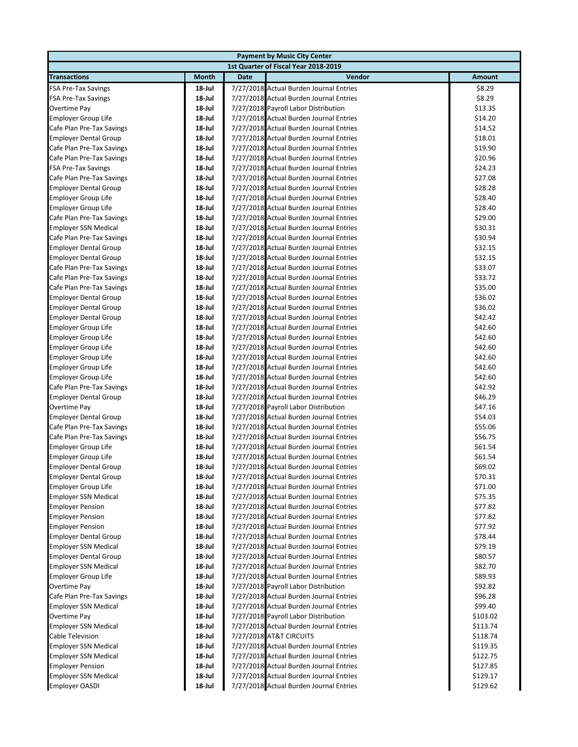|                              |           |             | <b>Payment by Music City Center</b>     |          |
|------------------------------|-----------|-------------|-----------------------------------------|----------|
|                              |           |             | 1st Quarter of Fiscal Year 2018-2019    |          |
| <b>Transactions</b>          | Month     | <b>Date</b> | Vendor                                  | Amount   |
| <b>FSA Pre-Tax Savings</b>   | 18-Jul    |             | 7/27/2018 Actual Burden Journal Entries | \$8.29   |
| <b>FSA Pre-Tax Savings</b>   | 18-Jul    |             | 7/27/2018 Actual Burden Journal Entries | \$8.29   |
| Overtime Pay                 | 18-Jul    |             | 7/27/2018 Payroll Labor Distribution    | \$13.35  |
| <b>Employer Group Life</b>   | 18-Jul    |             | 7/27/2018 Actual Burden Journal Entries | \$14.20  |
| Cafe Plan Pre-Tax Savings    | 18-Jul    |             | 7/27/2018 Actual Burden Journal Entries | \$14.52  |
| <b>Employer Dental Group</b> | 18-Jul    |             | 7/27/2018 Actual Burden Journal Entries | \$18.01  |
| Cafe Plan Pre-Tax Savings    | 18-Jul    |             | 7/27/2018 Actual Burden Journal Entries | \$19.90  |
| Cafe Plan Pre-Tax Savings    | 18-Jul    |             | 7/27/2018 Actual Burden Journal Entries | \$20.96  |
| <b>FSA Pre-Tax Savings</b>   | $18$ -Jul |             | 7/27/2018 Actual Burden Journal Entries | \$24.23  |
| Cafe Plan Pre-Tax Savings    | $18$ -Jul |             | 7/27/2018 Actual Burden Journal Entries | \$27.08  |
| <b>Employer Dental Group</b> | 18-Jul    |             | 7/27/2018 Actual Burden Journal Entries | \$28.28  |
| <b>Employer Group Life</b>   | $18$ -Jul |             | 7/27/2018 Actual Burden Journal Entries | \$28.40  |
| <b>Employer Group Life</b>   | $18$ -Jul |             | 7/27/2018 Actual Burden Journal Entries | \$28.40  |
| Cafe Plan Pre-Tax Savings    | 18-Jul    |             | 7/27/2018 Actual Burden Journal Entries | \$29.00  |
| <b>Employer SSN Medical</b>  | $18$ -Jul |             | 7/27/2018 Actual Burden Journal Entries | \$30.31  |
| Cafe Plan Pre-Tax Savings    | $18$ -Jul |             | 7/27/2018 Actual Burden Journal Entries | \$30.94  |
| <b>Employer Dental Group</b> | $18$ -Jul |             | 7/27/2018 Actual Burden Journal Entries | \$32.15  |
| <b>Employer Dental Group</b> | 18-Jul    |             | 7/27/2018 Actual Burden Journal Entries | \$32.15  |
| Cafe Plan Pre-Tax Savings    | 18-Jul    |             | 7/27/2018 Actual Burden Journal Entries | \$33.07  |
| Cafe Plan Pre-Tax Savings    | 18-Jul    |             | 7/27/2018 Actual Burden Journal Entries | \$33.72  |
| Cafe Plan Pre-Tax Savings    | 18-Jul    |             | 7/27/2018 Actual Burden Journal Entries | \$35.00  |
| <b>Employer Dental Group</b> | 18-Jul    |             | 7/27/2018 Actual Burden Journal Entries | \$36.02  |
| <b>Employer Dental Group</b> | 18-Jul    |             | 7/27/2018 Actual Burden Journal Entries | \$36.02  |
| <b>Employer Dental Group</b> | 18-Jul    |             | 7/27/2018 Actual Burden Journal Entries | \$42.42  |
| <b>Employer Group Life</b>   | 18-Jul    |             | 7/27/2018 Actual Burden Journal Entries | \$42.60  |
| <b>Employer Group Life</b>   | 18-Jul    |             | 7/27/2018 Actual Burden Journal Entries | \$42.60  |
| <b>Employer Group Life</b>   | 18-Jul    |             | 7/27/2018 Actual Burden Journal Entries | \$42.60  |
| <b>Employer Group Life</b>   | 18-Jul    |             | 7/27/2018 Actual Burden Journal Entries | \$42.60  |
| <b>Employer Group Life</b>   | 18-Jul    |             | 7/27/2018 Actual Burden Journal Entries | \$42.60  |
| <b>Employer Group Life</b>   | 18-Jul    |             | 7/27/2018 Actual Burden Journal Entries | \$42.60  |
| Cafe Plan Pre-Tax Savings    | 18-Jul    |             | 7/27/2018 Actual Burden Journal Entries | \$42.92  |
| <b>Employer Dental Group</b> | 18-Jul    |             | 7/27/2018 Actual Burden Journal Entries | \$46.29  |
| Overtime Pay                 | 18-Jul    |             | 7/27/2018 Payroll Labor Distribution    | \$47.16  |
| <b>Employer Dental Group</b> | $18$ -Jul |             | 7/27/2018 Actual Burden Journal Entries | \$54.03  |
| Cafe Plan Pre-Tax Savings    | 18-Jul    |             | 7/27/2018 Actual Burden Journal Entries | \$55.06  |
| Cafe Plan Pre-Tax Savings    | 18-Jul    |             | 7/27/2018 Actual Burden Journal Entries | \$56.75  |
| <b>Employer Group Life</b>   | 18-Jul    |             | 7/27/2018 Actual Burden Journal Entries | \$61.54  |
| <b>Employer Group Life</b>   | $18$ -Jul |             | 7/27/2018 Actual Burden Journal Entries | \$61.54  |
| <b>Employer Dental Group</b> | 18-Jul    |             | 7/27/2018 Actual Burden Journal Entries | \$69.02  |
| <b>Employer Dental Group</b> | 18 Jul    |             | 7/27/2018 Actual Burden Journal Entries | \$70.31  |
| <b>Employer Group Life</b>   | 18-Jul    |             | 7/27/2018 Actual Burden Journal Entries | \$71.00  |
| <b>Employer SSN Medical</b>  | 18-Jul    |             | 7/27/2018 Actual Burden Journal Entries | \$75.35  |
| <b>Employer Pension</b>      | 18-Jul    |             | 7/27/2018 Actual Burden Journal Entries | \$77.82  |
| <b>Employer Pension</b>      | 18-Jul    |             | 7/27/2018 Actual Burden Journal Entries | \$77.82  |
| <b>Employer Pension</b>      | 18-Jul    |             | 7/27/2018 Actual Burden Journal Entries | \$77.92  |
| <b>Employer Dental Group</b> | 18-Jul    |             | 7/27/2018 Actual Burden Journal Entries | \$78.44  |
| <b>Employer SSN Medical</b>  | 18-Jul    |             | 7/27/2018 Actual Burden Journal Entries | \$79.19  |
| <b>Employer Dental Group</b> | 18-Jul    |             | 7/27/2018 Actual Burden Journal Entries | \$80.57  |
| <b>Employer SSN Medical</b>  | 18-Jul    |             | 7/27/2018 Actual Burden Journal Entries | \$82.70  |
| <b>Employer Group Life</b>   | 18-Jul    |             | 7/27/2018 Actual Burden Journal Entries | \$89.93  |
| Overtime Pay                 | 18-Jul    |             | 7/27/2018 Payroll Labor Distribution    | \$92.82  |
| Cafe Plan Pre-Tax Savings    | 18-Jul    |             | 7/27/2018 Actual Burden Journal Entries | \$96.28  |
| <b>Employer SSN Medical</b>  | 18-Jul    |             | 7/27/2018 Actual Burden Journal Entries | \$99.40  |
| Overtime Pay                 | 18-Jul    |             | 7/27/2018 Payroll Labor Distribution    | \$103.02 |
| <b>Employer SSN Medical</b>  | 18-Jul    |             | 7/27/2018 Actual Burden Journal Entries | \$113.74 |
| <b>Cable Television</b>      | 18-Jul    |             | 7/27/2018 AT&T CIRCUITS                 | \$118.74 |
| <b>Employer SSN Medical</b>  | 18-Jul    |             | 7/27/2018 Actual Burden Journal Entries | \$119.35 |
| <b>Employer SSN Medical</b>  | 18-Jul    |             | 7/27/2018 Actual Burden Journal Entries | \$122.75 |
| <b>Employer Pension</b>      | 18-Jul    |             | 7/27/2018 Actual Burden Journal Entries | \$127.85 |
| <b>Employer SSN Medical</b>  | 18-Jul    |             | 7/27/2018 Actual Burden Journal Entries | \$129.17 |
| <b>Employer OASDI</b>        | 18-Jul    |             | 7/27/2018 Actual Burden Journal Entries | \$129.62 |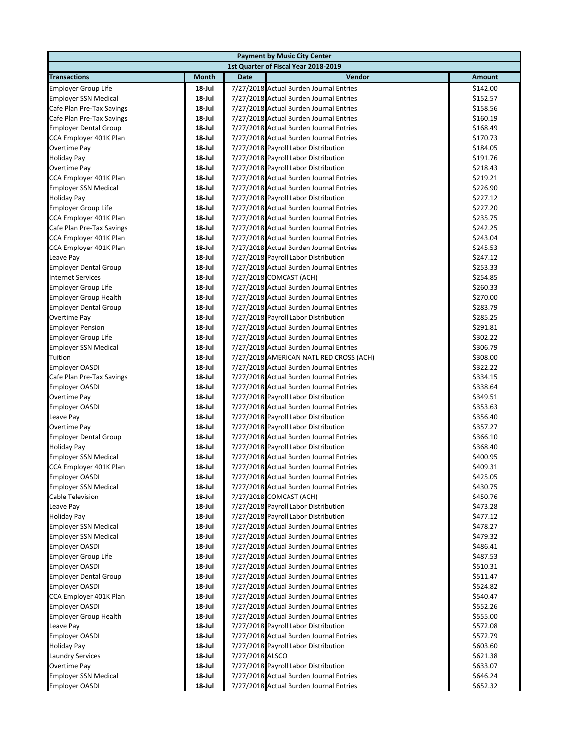|                              |           |                 | <b>Payment by Music City Center</b>     |          |
|------------------------------|-----------|-----------------|-----------------------------------------|----------|
|                              |           |                 | 1st Quarter of Fiscal Year 2018-2019    |          |
| <b>Transactions</b>          | Month     | <b>Date</b>     | Vendor                                  | Amount   |
| <b>Employer Group Life</b>   | 18-Jul    |                 | 7/27/2018 Actual Burden Journal Entries | \$142.00 |
| <b>Employer SSN Medical</b>  | 18-Jul    |                 | 7/27/2018 Actual Burden Journal Entries | \$152.57 |
| Cafe Plan Pre-Tax Savings    | 18-Jul    |                 | 7/27/2018 Actual Burden Journal Entries | \$158.56 |
| Cafe Plan Pre-Tax Savings    | 18-Jul    |                 | 7/27/2018 Actual Burden Journal Entries | \$160.19 |
| <b>Employer Dental Group</b> | 18-Jul    |                 | 7/27/2018 Actual Burden Journal Entries | \$168.49 |
| CCA Employer 401K Plan       | 18-Jul    |                 | 7/27/2018 Actual Burden Journal Entries | \$170.73 |
| Overtime Pay                 | 18-Jul    |                 | 7/27/2018 Payroll Labor Distribution    | \$184.05 |
| <b>Holiday Pay</b>           | 18-Jul    |                 | 7/27/2018 Payroll Labor Distribution    | \$191.76 |
| Overtime Pay                 | $18$ -Jul |                 | 7/27/2018 Payroll Labor Distribution    | \$218.43 |
| CCA Employer 401K Plan       | $18$ -Jul |                 | 7/27/2018 Actual Burden Journal Entries | \$219.21 |
| <b>Employer SSN Medical</b>  | 18-Jul    |                 | 7/27/2018 Actual Burden Journal Entries | \$226.90 |
| <b>Holiday Pay</b>           | $18$ -Jul |                 | 7/27/2018 Payroll Labor Distribution    | \$227.12 |
| <b>Employer Group Life</b>   | $18$ -Jul |                 | 7/27/2018 Actual Burden Journal Entries | \$227.20 |
| CCA Employer 401K Plan       | 18-Jul    |                 | 7/27/2018 Actual Burden Journal Entries | \$235.75 |
| Cafe Plan Pre-Tax Savings    | $18$ -Jul |                 | 7/27/2018 Actual Burden Journal Entries | \$242.25 |
| CCA Employer 401K Plan       | $18$ -Jul |                 | 7/27/2018 Actual Burden Journal Entries | \$243.04 |
| CCA Employer 401K Plan       | $18$ -Jul |                 | 7/27/2018 Actual Burden Journal Entries | \$245.53 |
| Leave Pay                    | $18$ -Jul |                 | 7/27/2018 Payroll Labor Distribution    | \$247.12 |
| <b>Employer Dental Group</b> | 18-Jul    |                 | 7/27/2018 Actual Burden Journal Entries | \$253.33 |
| <b>Internet Services</b>     | 18-Jul    |                 | 7/27/2018 COMCAST (ACH)                 | \$254.85 |
| <b>Employer Group Life</b>   | 18-Jul    |                 | 7/27/2018 Actual Burden Journal Entries | \$260.33 |
| <b>Employer Group Health</b> | 18-Jul    |                 | 7/27/2018 Actual Burden Journal Entries | \$270.00 |
| <b>Employer Dental Group</b> | 18-Jul    |                 | 7/27/2018 Actual Burden Journal Entries | \$283.79 |
| Overtime Pay                 | 18-Jul    |                 | 7/27/2018 Payroll Labor Distribution    | \$285.25 |
| <b>Employer Pension</b>      | 18-Jul    |                 | 7/27/2018 Actual Burden Journal Entries | \$291.81 |
| <b>Employer Group Life</b>   | 18-Jul    |                 | 7/27/2018 Actual Burden Journal Entries | \$302.22 |
| <b>Employer SSN Medical</b>  | 18-Jul    |                 | 7/27/2018 Actual Burden Journal Entries | \$306.79 |
| Tuition                      | 18-Jul    |                 | 7/27/2018 AMERICAN NATL RED CROSS (ACH) | \$308.00 |
| <b>Employer OASDI</b>        | 18-Jul    |                 | 7/27/2018 Actual Burden Journal Entries | \$322.22 |
| Cafe Plan Pre-Tax Savings    | 18-Jul    |                 | 7/27/2018 Actual Burden Journal Entries | \$334.15 |
| <b>Employer OASDI</b>        | 18-Jul    |                 | 7/27/2018 Actual Burden Journal Entries | \$338.64 |
| Overtime Pay                 | 18-Jul    |                 | 7/27/2018 Payroll Labor Distribution    | \$349.51 |
| <b>Employer OASDI</b>        | 18-Jul    |                 | 7/27/2018 Actual Burden Journal Entries | \$353.63 |
| Leave Pay                    | $18$ -Jul |                 | 7/27/2018 Payroll Labor Distribution    | \$356.40 |
| Overtime Pay                 | 18-Jul    |                 | 7/27/2018 Payroll Labor Distribution    | \$357.27 |
| <b>Employer Dental Group</b> | 18-Jul    |                 | 7/27/2018 Actual Burden Journal Entries | \$366.10 |
| <b>Holiday Pay</b>           | 18-Jul    |                 | 7/27/2018 Payroll Labor Distribution    | \$368.40 |
| <b>Employer SSN Medical</b>  | $18$ -Jul |                 | 7/27/2018 Actual Burden Journal Entries | \$400.95 |
| CCA Employer 401K Plan       | 18-Jul    |                 | 7/27/2018 Actual Burden Journal Entries | \$409.31 |
| Employer OASDI               | 18-Jul    |                 | 7/27/2018 Actual Burden Journal Entries | \$425.05 |
| <b>Employer SSN Medical</b>  | 18-Jul    |                 | 7/27/2018 Actual Burden Journal Entries | \$430.75 |
| <b>Cable Television</b>      | 18-Jul    |                 | 7/27/2018 COMCAST (ACH)                 | \$450.76 |
| Leave Pay                    | 18-Jul    |                 | 7/27/2018 Payroll Labor Distribution    | \$473.28 |
| Holiday Pay                  | 18-Jul    |                 | 7/27/2018 Payroll Labor Distribution    | \$477.12 |
| <b>Employer SSN Medical</b>  | 18-Jul    |                 | 7/27/2018 Actual Burden Journal Entries | \$478.27 |
| <b>Employer SSN Medical</b>  | 18-Jul    |                 | 7/27/2018 Actual Burden Journal Entries | \$479.32 |
| <b>Employer OASDI</b>        | 18-Jul    |                 | 7/27/2018 Actual Burden Journal Entries | \$486.41 |
| <b>Employer Group Life</b>   | 18-Jul    |                 | 7/27/2018 Actual Burden Journal Entries | \$487.53 |
| <b>Employer OASDI</b>        | 18-Jul    |                 | 7/27/2018 Actual Burden Journal Entries | \$510.31 |
| <b>Employer Dental Group</b> | 18-Jul    |                 | 7/27/2018 Actual Burden Journal Entries | \$511.47 |
| Employer OASDI               | 18-Jul    |                 | 7/27/2018 Actual Burden Journal Entries | \$524.82 |
| CCA Employer 401K Plan       | 18-Jul    |                 | 7/27/2018 Actual Burden Journal Entries | \$540.47 |
| <b>Employer OASDI</b>        | 18-Jul    |                 | 7/27/2018 Actual Burden Journal Entries | \$552.26 |
| <b>Employer Group Health</b> | 18-Jul    |                 | 7/27/2018 Actual Burden Journal Entries | \$555.00 |
| Leave Pay                    | 18-Jul    |                 | 7/27/2018 Payroll Labor Distribution    | \$572.08 |
| <b>Employer OASDI</b>        | 18-Jul    |                 | 7/27/2018 Actual Burden Journal Entries | \$572.79 |
| <b>Holiday Pay</b>           | 18-Jul    |                 | 7/27/2018 Payroll Labor Distribution    | \$603.60 |
| <b>Laundry Services</b>      | 18-Jul    | 7/27/2018 ALSCO |                                         | \$621.38 |
| Overtime Pay                 | 18-Jul    |                 | 7/27/2018 Payroll Labor Distribution    | \$633.07 |
| <b>Employer SSN Medical</b>  | 18-Jul    |                 | 7/27/2018 Actual Burden Journal Entries | \$646.24 |
| <b>Employer OASDI</b>        | 18-Jul    |                 | 7/27/2018 Actual Burden Journal Entries | \$652.32 |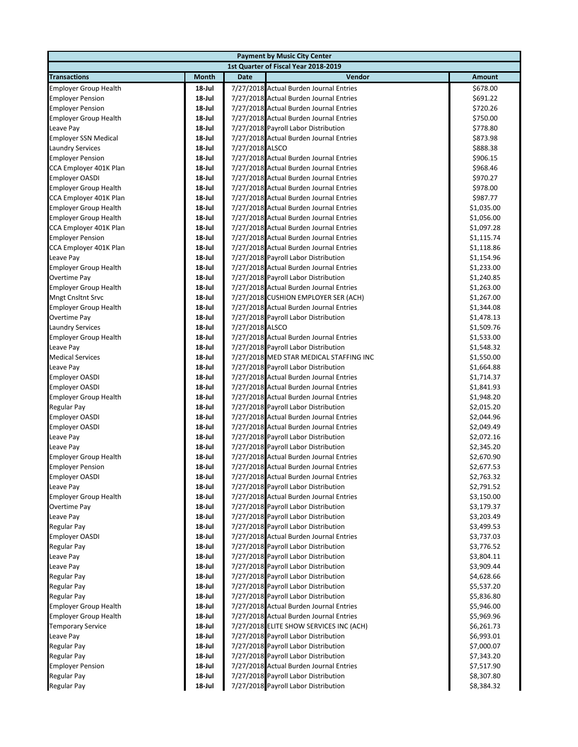|                                                |                     |                 | <b>Payment by Music City Center</b>                                                |                          |
|------------------------------------------------|---------------------|-----------------|------------------------------------------------------------------------------------|--------------------------|
|                                                |                     |                 | 1st Quarter of Fiscal Year 2018-2019                                               |                          |
| <b>Transactions</b>                            | Month               | <b>Date</b>     | Vendor                                                                             | Amount                   |
| <b>Employer Group Health</b>                   | 18-Jul              |                 | 7/27/2018 Actual Burden Journal Entries                                            | \$678.00                 |
| <b>Employer Pension</b>                        | 18-Jul              |                 | 7/27/2018 Actual Burden Journal Entries                                            | \$691.22                 |
| <b>Employer Pension</b>                        | $18$ -Jul           |                 | 7/27/2018 Actual Burden Journal Entries                                            | \$720.26                 |
| <b>Employer Group Health</b>                   | 18-Jul              |                 | 7/27/2018 Actual Burden Journal Entries                                            | \$750.00                 |
| Leave Pay                                      | $18$ -Jul           |                 | 7/27/2018 Payroll Labor Distribution                                               | \$778.80                 |
| <b>Employer SSN Medical</b>                    | 18-Jul              |                 | 7/27/2018 Actual Burden Journal Entries                                            | \$873.98                 |
| <b>Laundry Services</b>                        | $18$ -Jul           | 7/27/2018 ALSCO |                                                                                    | \$888.38                 |
| <b>Employer Pension</b>                        | 18-Jul              |                 | 7/27/2018 Actual Burden Journal Entries                                            | \$906.15                 |
| CCA Employer 401K Plan                         | $18$ -Jul           |                 | 7/27/2018 Actual Burden Journal Entries                                            | \$968.46                 |
| <b>Employer OASDI</b>                          | $18$ -Jul           |                 | 7/27/2018 Actual Burden Journal Entries                                            | \$970.27                 |
| <b>Employer Group Health</b>                   | 18-Jul              |                 | 7/27/2018 Actual Burden Journal Entries                                            | \$978.00                 |
| CCA Employer 401K Plan                         | $18$ -Jul           |                 | 7/27/2018 Actual Burden Journal Entries                                            | \$987.77                 |
| <b>Employer Group Health</b>                   | 18-Jul              |                 | 7/27/2018 Actual Burden Journal Entries                                            | \$1,035.00               |
| <b>Employer Group Health</b>                   | 18-Jul              |                 | 7/27/2018 Actual Burden Journal Entries                                            | \$1,056.00               |
| CCA Employer 401K Plan                         | 18-Jul              |                 | 7/27/2018 Actual Burden Journal Entries                                            | \$1,097.28               |
| <b>Employer Pension</b>                        | 18-Jul              |                 | 7/27/2018 Actual Burden Journal Entries                                            | \$1,115.74               |
| CCA Employer 401K Plan                         | 18-Jul              |                 | 7/27/2018 Actual Burden Journal Entries                                            | \$1,118.86               |
| Leave Pay                                      | 18-Jul              |                 | 7/27/2018 Payroll Labor Distribution                                               | \$1,154.96               |
| <b>Employer Group Health</b>                   | 18-Jul              |                 | 7/27/2018 Actual Burden Journal Entries                                            | \$1,233.00               |
| Overtime Pay                                   | 18-Jul              |                 | 7/27/2018 Payroll Labor Distribution                                               | \$1,240.85               |
| <b>Employer Group Health</b>                   | 18-Jul              |                 | 7/27/2018 Actual Burden Journal Entries                                            | \$1,263.00               |
| <b>Mngt Cnsltnt Srvc</b>                       | 18-Jul              |                 | 7/27/2018 CUSHION EMPLOYER SER (ACH)                                               | \$1,267.00               |
| <b>Employer Group Health</b>                   | 18-Jul              |                 | 7/27/2018 Actual Burden Journal Entries                                            | \$1,344.08               |
| Overtime Pay                                   | $18$ -Jul           |                 | 7/27/2018 Payroll Labor Distribution                                               | \$1,478.13               |
| <b>Laundry Services</b>                        | $18$ -Jul           | 7/27/2018 ALSCO |                                                                                    | \$1,509.76               |
| <b>Employer Group Health</b>                   | 18-Jul              |                 | 7/27/2018 Actual Burden Journal Entries                                            | \$1,533.00               |
| Leave Pay                                      | 18-Jul              |                 | 7/27/2018 Payroll Labor Distribution                                               | \$1,548.32               |
| <b>Medical Services</b>                        | $18$ -Jul           |                 | 7/27/2018 MED STAR MEDICAL STAFFING INC                                            | \$1,550.00               |
| Leave Pay                                      | 18-Jul              |                 | 7/27/2018 Payroll Labor Distribution                                               | \$1,664.88               |
| <b>Employer OASDI</b>                          | $18$ -Jul           |                 | 7/27/2018 Actual Burden Journal Entries                                            | \$1,714.37               |
| <b>Employer OASDI</b>                          | 18-Jul              |                 | 7/27/2018 Actual Burden Journal Entries                                            | \$1,841.93               |
| <b>Employer Group Health</b>                   | $18$ -Jul           |                 | 7/27/2018 Actual Burden Journal Entries                                            | \$1,948.20               |
| Regular Pay                                    | 18-Jul              |                 | 7/27/2018 Payroll Labor Distribution                                               | \$2,015.20               |
| <b>Employer OASDI</b><br><b>Employer OASDI</b> | $18$ -Jul<br>18-Jul |                 | 7/27/2018 Actual Burden Journal Entries<br>7/27/2018 Actual Burden Journal Entries | \$2,044.96<br>\$2,049.49 |
| Leave Pay                                      | 18-Jul              |                 | 7/27/2018 Payroll Labor Distribution                                               | \$2,072.16               |
| Leave Pay                                      | 18-Jul              |                 | 7/27/2018 Payroll Labor Distribution                                               | \$2,345.20               |
| <b>Employer Group Health</b>                   | 18-Jul              |                 | 7/27/2018 Actual Burden Journal Entries                                            | \$2,670.90               |
| <b>Employer Pension</b>                        | 18-Jul              |                 | 7/27/2018 Actual Burden Journal Entries                                            | \$2,677.53               |
| Employer OASDI                                 | 18-Jul              |                 | 7/27/2018 Actual Burden Journal Entries                                            | \$2,763.32               |
| Leave Pay                                      | 18-Jul              |                 | 7/27/2018 Payroll Labor Distribution                                               | \$2,791.52               |
| <b>Employer Group Health</b>                   | 18-Jul              |                 | 7/27/2018 Actual Burden Journal Entries                                            | \$3,150.00               |
| Overtime Pay                                   | 18-Jul              |                 | 7/27/2018 Payroll Labor Distribution                                               | \$3,179.37               |
| Leave Pay                                      | 18-Jul              |                 | 7/27/2018 Payroll Labor Distribution                                               | \$3,203.49               |
| Regular Pay                                    | 18-Jul              |                 | 7/27/2018 Payroll Labor Distribution                                               | \$3,499.53               |
| <b>Employer OASDI</b>                          | 18-Jul              |                 | 7/27/2018 Actual Burden Journal Entries                                            | \$3,737.03               |
| Regular Pay                                    | 18-Jul              |                 | 7/27/2018 Payroll Labor Distribution                                               | \$3,776.52               |
| Leave Pay                                      | 18-Jul              |                 | 7/27/2018 Payroll Labor Distribution                                               | \$3,804.11               |
| Leave Pay                                      | 18-Jul              |                 | 7/27/2018 Payroll Labor Distribution                                               | \$3,909.44               |
| <b>Regular Pay</b>                             | 18-Jul              |                 | 7/27/2018 Payroll Labor Distribution                                               | \$4,628.66               |
| <b>Regular Pay</b>                             | 18-Jul              |                 | 7/27/2018 Payroll Labor Distribution                                               | \$5,537.20               |
| <b>Regular Pay</b>                             | 18-Jul              |                 | 7/27/2018 Payroll Labor Distribution                                               | \$5,836.80               |
| <b>Employer Group Health</b>                   | 18-Jul              |                 | 7/27/2018 Actual Burden Journal Entries                                            | \$5,946.00               |
| <b>Employer Group Health</b>                   | 18-Jul              |                 | 7/27/2018 Actual Burden Journal Entries                                            | \$5,969.96               |
| <b>Temporary Service</b>                       | 18-Jul              |                 | 7/27/2018 ELITE SHOW SERVICES INC (ACH)                                            | \$6,261.73               |
| Leave Pay                                      | 18-Jul              |                 | 7/27/2018 Payroll Labor Distribution                                               | \$6,993.01               |
| <b>Regular Pay</b>                             | 18-Jul              |                 | 7/27/2018 Payroll Labor Distribution                                               | \$7,000.07               |
| <b>Regular Pay</b>                             | 18-Jul              |                 | 7/27/2018 Payroll Labor Distribution                                               | \$7,343.20               |
| <b>Employer Pension</b>                        | 18-Jul              |                 | 7/27/2018 Actual Burden Journal Entries                                            | \$7,517.90               |
| <b>Regular Pay</b>                             | 18-Jul              |                 | 7/27/2018 Payroll Labor Distribution                                               | \$8,307.80               |
| Regular Pay                                    | 18-Jul              |                 | 7/27/2018 Payroll Labor Distribution                                               | \$8,384.32               |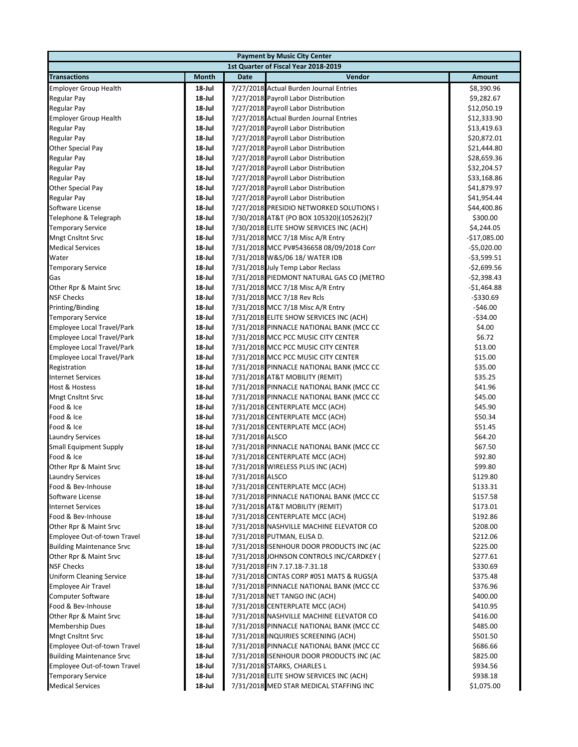|                                                                 |                     |                 | <b>Payment by Music City Center</b>                                                  |                      |
|-----------------------------------------------------------------|---------------------|-----------------|--------------------------------------------------------------------------------------|----------------------|
|                                                                 |                     |                 | 1st Quarter of Fiscal Year 2018-2019                                                 |                      |
| <b>Transactions</b>                                             | Month               | <b>Date</b>     | Vendor                                                                               | Amount               |
| <b>Employer Group Health</b>                                    | 18-Jul              |                 | 7/27/2018 Actual Burden Journal Entries                                              | \$8,390.96           |
| Regular Pay                                                     | $18$ -Jul           |                 | 7/27/2018 Payroll Labor Distribution                                                 | \$9,282.67           |
| Regular Pay                                                     | $18$ -Jul           |                 | 7/27/2018 Payroll Labor Distribution                                                 | \$12,050.19          |
| <b>Employer Group Health</b>                                    | $18$ -Jul           |                 | 7/27/2018 Actual Burden Journal Entries                                              | \$12,333.90          |
| <b>Regular Pay</b>                                              | $18$ -Jul           |                 | 7/27/2018 Payroll Labor Distribution                                                 | \$13,419.63          |
| Regular Pay                                                     | 18-Jul              |                 | 7/27/2018 Payroll Labor Distribution                                                 | \$20,872.01          |
| Other Special Pay                                               | $18$ -Jul           |                 | 7/27/2018 Payroll Labor Distribution                                                 | \$21,444.80          |
| Regular Pay                                                     | $18$ -Jul           |                 | 7/27/2018 Payroll Labor Distribution                                                 | \$28,659.36          |
| <b>Regular Pay</b>                                              | $18$ -Jul           |                 | 7/27/2018 Payroll Labor Distribution                                                 | \$32,204.57          |
| <b>Regular Pay</b>                                              | $18$ -Jul           |                 | 7/27/2018 Payroll Labor Distribution                                                 | \$33,168.86          |
| Other Special Pay                                               | 18-Jul              |                 | 7/27/2018 Payroll Labor Distribution                                                 | \$41,879.97          |
| Regular Pay                                                     | $18$ -Jul           |                 | 7/27/2018 Payroll Labor Distribution                                                 | \$41,954.44          |
| Software License                                                | $18$ -Jul           |                 | 7/27/2018 PRESIDIO NETWORKED SOLUTIONS I                                             | \$44,400.86          |
| Telephone & Telegraph                                           | 18-Jul              |                 | 7/30/2018 AT&T (PO BOX 105320)(105262)(7                                             | \$300.00             |
| <b>Temporary Service</b>                                        | 18-Jul              |                 | 7/30/2018 ELITE SHOW SERVICES INC (ACH)                                              | \$4,244.05           |
| <b>Mngt Cnsltnt Srvc</b>                                        | $18$ -Jul           |                 | 7/31/2018 MCC 7/18 Misc A/R Entry                                                    | $-$17,085.00$        |
| <b>Medical Services</b>                                         | 18-Jul              |                 | 7/31/2018 MCC PV#5436658 08/09/2018 Corr                                             | $-$5,020.00$         |
| Water                                                           | 18-Jul              |                 | 7/31/2018 W&S/06 18/ WATER IDB                                                       | $-53,599.51$         |
| <b>Temporary Service</b>                                        | 18-Jul              |                 | 7/31/2018 July Temp Labor Reclass                                                    | $-$2,699.56$         |
| Gas                                                             | 18-Jul              |                 | 7/31/2018 PIEDMONT NATURAL GAS CO (METRO                                             | $-52,398.43$         |
| Other Rpr & Maint Srvc                                          | $18$ -Jul           |                 | 7/31/2018 MCC 7/18 Misc A/R Entry                                                    | $-$1,464.88$         |
| <b>NSF Checks</b>                                               | $18$ -Jul           |                 | 7/31/2018 MCC 7/18 Rev Rcls                                                          | $-5330.69$           |
| Printing/Binding                                                | 18-Jul              |                 | 7/31/2018 MCC 7/18 Misc A/R Entry                                                    | $-546.00$            |
| <b>Temporary Service</b>                                        | $18$ -Jul           |                 | 7/31/2018 ELITE SHOW SERVICES INC (ACH)                                              | $-534.00$            |
| <b>Employee Local Travel/Park</b>                               | 18-Jul              |                 | 7/31/2018 PINNACLE NATIONAL BANK (MCC CC                                             | \$4.00               |
| <b>Employee Local Travel/Park</b>                               | 18-Jul              |                 | 7/31/2018 MCC PCC MUSIC CITY CENTER                                                  | \$6.72               |
| <b>Employee Local Travel/Park</b>                               | 18-Jul              |                 | 7/31/2018 MCC PCC MUSIC CITY CENTER                                                  | \$13.00              |
| <b>Employee Local Travel/Park</b>                               | $18$ -Jul           |                 | 7/31/2018 MCC PCC MUSIC CITY CENTER                                                  | \$15.00              |
| Registration                                                    | $18$ -Jul           |                 | 7/31/2018 PINNACLE NATIONAL BANK (MCC CC                                             | \$35.00              |
| <b>Internet Services</b>                                        | $18$ -Jul           |                 | 7/31/2018 AT&T MOBILITY (REMIT)                                                      | \$35.25              |
| Host & Hostess                                                  | 18-Jul              |                 | 7/31/2018 PINNACLE NATIONAL BANK (MCC CC                                             | \$41.96              |
| <b>Mngt Cnsltnt Srvc</b>                                        | $18$ -Jul           |                 | 7/31/2018 PINNACLE NATIONAL BANK (MCC CC                                             | \$45.00              |
| Food & Ice                                                      | 18-Jul              |                 | 7/31/2018 CENTERPLATE MCC (ACH)                                                      | \$45.90              |
| Food & Ice                                                      | $18$ -Jul           |                 | 7/31/2018 CENTERPLATE MCC (ACH)                                                      | \$50.34              |
| Food & Ice                                                      | $18$ -Jul           |                 | 7/31/2018 CENTERPLATE MCC (ACH)                                                      | \$51.45              |
| <b>Laundry Services</b>                                         | 18-Jul              | 7/31/2018 ALSCO |                                                                                      | \$64.20              |
| <b>Small Equipment Supply</b>                                   | 18-Jul              |                 | 7/31/2018 PINNACLE NATIONAL BANK (MCC CC                                             | \$67.50              |
| Food & Ice                                                      | 18 Jul              |                 | 7/31/2018 CENTERPLATE MCC (ACH)                                                      | \$92.80              |
| Other Rpr & Maint Srvc                                          | $18$ -Jul           |                 | 7/31/2018 WIRELESS PLUS INC (ACH)                                                    | \$99.80              |
| Laundry Services                                                | 18-Jul              | 7/31/2018 ALSCO |                                                                                      | \$129.80             |
| Food & Bev-Inhouse                                              | 18-Jul              |                 | 7/31/2018 CENTERPLATE MCC (ACH)                                                      | \$133.31             |
| Software License                                                | 18-Jul              |                 | 7/31/2018 PINNACLE NATIONAL BANK (MCC CC                                             | \$157.58             |
| <b>Internet Services</b>                                        | 18-Jul              |                 | 7/31/2018 AT&T MOBILITY (REMIT)                                                      | \$173.01             |
| Food & Bev-Inhouse                                              | 18-Jul              |                 | 7/31/2018 CENTERPLATE MCC (ACH)                                                      | \$192.86             |
| Other Rpr & Maint Srvc                                          | 18-Jul              |                 | 7/31/2018 NASHVILLE MACHINE ELEVATOR CO                                              | \$208.00             |
| Employee Out-of-town Travel                                     | 18-Jul              |                 | 7/31/2018 PUTMAN, ELISA D.                                                           | \$212.06             |
| <b>Building Maintenance Srvc</b>                                | 18-Jul              |                 | 7/31/2018 ISENHOUR DOOR PRODUCTS INC (AC                                             | \$225.00             |
| Other Rpr & Maint Srvc                                          | 18-Jul<br>18-Jul    |                 | 7/31/2018 JOHNSON CONTROLS INC/CARDKEY (<br>7/31/2018 FIN 7.17.18-7.31.18            | \$277.61             |
| <b>NSF Checks</b>                                               |                     |                 |                                                                                      | \$330.69             |
| <b>Uniform Cleaning Service</b>                                 | 18-Jul<br>$18$ -Jul |                 | 7/31/2018 CINTAS CORP #051 MATS & RUGS(A                                             | \$375.48             |
| <b>Employee Air Travel</b>                                      |                     |                 | 7/31/2018 PINNACLE NATIONAL BANK (MCC CC                                             | \$376.96             |
| <b>Computer Software</b>                                        | 18-Jul              |                 | 7/31/2018 NET TANGO INC (ACH)                                                        | \$400.00             |
| Food & Bev-Inhouse                                              | 18-Jul<br>18-Jul    |                 | 7/31/2018 CENTERPLATE MCC (ACH)<br>7/31/2018 NASHVILLE MACHINE ELEVATOR CO           | \$410.95             |
| Other Rpr & Maint Srvc                                          | 18-Jul              |                 | 7/31/2018 PINNACLE NATIONAL BANK (MCC CC                                             | \$416.00             |
| <b>Membership Dues</b>                                          | 18-Jul              |                 |                                                                                      | \$485.00             |
| <b>Mngt Cnsltnt Srvc</b>                                        |                     |                 | 7/31/2018 INQUIRIES SCREENING (ACH)                                                  | \$501.50             |
| Employee Out-of-town Travel                                     | 18-Jul<br>18-Jul    |                 | 7/31/2018 PINNACLE NATIONAL BANK (MCC CC<br>7/31/2018 ISENHOUR DOOR PRODUCTS INC (AC | \$686.66<br>\$825.00 |
| <b>Building Maintenance Srvc</b><br>Employee Out-of-town Travel | 18-Jul              |                 | 7/31/2018 STARKS, CHARLES L                                                          |                      |
| <b>Temporary Service</b>                                        | 18-Jul              |                 | 7/31/2018 ELITE SHOW SERVICES INC (ACH)                                              | \$934.56<br>\$938.18 |
| <b>Medical Services</b>                                         | 18-Jul              |                 |                                                                                      |                      |
|                                                                 |                     |                 | 7/31/2018 MED STAR MEDICAL STAFFING INC                                              | \$1,075.00           |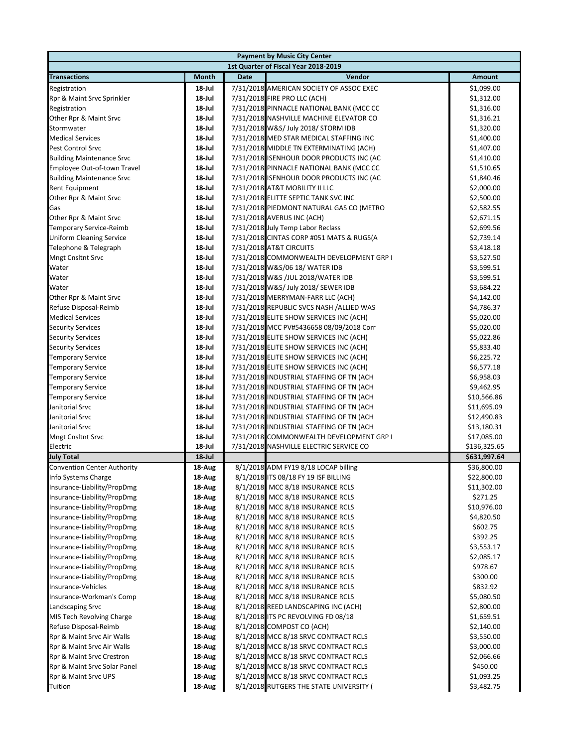|                                    |              | <b>Payment by Music City Center</b>                                          |               |
|------------------------------------|--------------|------------------------------------------------------------------------------|---------------|
|                                    |              | 1st Quarter of Fiscal Year 2018-2019                                         |               |
| <b>Transactions</b>                | <b>Month</b> | <b>Date</b><br>Vendor                                                        | <b>Amount</b> |
| Registration                       | 18-Jul       | 7/31/2018 AMERICAN SOCIETY OF ASSOC EXEC                                     | \$1,099.00    |
| Rpr & Maint Srvc Sprinkler         | 18-Jul       | 7/31/2018 FIRE PRO LLC (ACH)                                                 | \$1,312.00    |
| Registration                       | 18-Jul       | 7/31/2018 PINNACLE NATIONAL BANK (MCC CC                                     | \$1,316.00    |
| Other Rpr & Maint Srvc             | 18-Jul       | 7/31/2018 NASHVILLE MACHINE ELEVATOR CO                                      | \$1,316.21    |
| Stormwater                         | 18-Jul       | 7/31/2018 W&S/ July 2018/ STORM IDB                                          | \$1,320.00    |
| <b>Medical Services</b>            | 18-Jul       | 7/31/2018 MED STAR MEDICAL STAFFING INC                                      | \$1,400.00    |
| Pest Control Srvc                  | 18-Jul       | 7/31/2018 MIDDLE TN EXTERMINATING (ACH)                                      | \$1,407.00    |
| <b>Building Maintenance Srvc</b>   | 18-Jul       | 7/31/2018 ISENHOUR DOOR PRODUCTS INC (AC                                     | \$1,410.00    |
| Employee Out-of-town Travel        | 18-Jul       | 7/31/2018 PINNACLE NATIONAL BANK (MCC CC                                     | \$1,510.65    |
| <b>Building Maintenance Srvc</b>   | 18-Jul       | 7/31/2018 ISENHOUR DOOR PRODUCTS INC (AC                                     | \$1,840.46    |
| <b>Rent Equipment</b>              | 18-Jul       | 7/31/2018 AT&T MOBILITY II LLC                                               | \$2,000.00    |
| Other Rpr & Maint Srvc             | 18-Jul       | 7/31/2018 ELITTE SEPTIC TANK SVC INC                                         | \$2,500.00    |
| Gas                                | 18-Jul       | 7/31/2018 PIEDMONT NATURAL GAS CO (METRO                                     | \$2,582.55    |
| Other Rpr & Maint Srvc             | 18-Jul       | 7/31/2018 AVERUS INC (ACH)                                                   | \$2,671.15    |
| <b>Temporary Service-Reimb</b>     | 18-Jul       | 7/31/2018 July Temp Labor Reclass                                            | \$2,699.56    |
| <b>Uniform Cleaning Service</b>    | 18-Jul       | 7/31/2018 CINTAS CORP #051 MATS & RUGS(A                                     | \$2,739.14    |
| Telephone & Telegraph              | $18$ -Jul    | 7/31/2018 AT&T CIRCUITS                                                      | \$3,418.18    |
| <b>Mngt Cnsltnt Srvc</b>           | 18-Jul       | 7/31/2018 COMMONWEALTH DEVELOPMENT GRP I                                     | \$3,527.50    |
| Water                              | 18-Jul       | 7/31/2018 W&S/06 18/ WATER IDB                                               | \$3,599.51    |
| Water                              | 18-Jul       | 7/31/2018 W&S /JUL 2018/WATER IDB                                            | \$3,599.51    |
| Water                              | 18-Jul       | 7/31/2018 W&S/ July 2018/ SEWER IDB                                          | \$3,684.22    |
| Other Rpr & Maint Srvc             | 18-Jul       | 7/31/2018 MERRYMAN-FARR LLC (ACH)                                            | \$4,142.00    |
| Refuse Disposal-Reimb              | 18-Jul       | 7/31/2018 REPUBLIC SVCS NASH /ALLIED WAS                                     | \$4,786.37    |
| <b>Medical Services</b>            | 18-Jul       | 7/31/2018 ELITE SHOW SERVICES INC (ACH)                                      | \$5,020.00    |
| <b>Security Services</b>           | 18-Jul       | 7/31/2018 MCC PV#5436658 08/09/2018 Corr                                     | \$5,020.00    |
| <b>Security Services</b>           | 18-Jul       | 7/31/2018 ELITE SHOW SERVICES INC (ACH)                                      | \$5,022.86    |
| <b>Security Services</b>           | 18-Jul       | 7/31/2018 ELITE SHOW SERVICES INC (ACH)                                      | \$5,833.40    |
| <b>Temporary Service</b>           | 18-Jul       | 7/31/2018 ELITE SHOW SERVICES INC (ACH)                                      | \$6,225.72    |
| <b>Temporary Service</b>           | 18-Jul       | 7/31/2018 ELITE SHOW SERVICES INC (ACH)                                      | \$6,577.18    |
| <b>Temporary Service</b>           | 18-Jul       | 7/31/2018 INDUSTRIAL STAFFING OF TN (ACH                                     | \$6,958.03    |
| <b>Temporary Service</b>           | 18-Jul       | 7/31/2018 INDUSTRIAL STAFFING OF TN (ACH                                     | \$9,462.95    |
| <b>Temporary Service</b>           | 18-Jul       | 7/31/2018 INDUSTRIAL STAFFING OF TN (ACH                                     | \$10,566.86   |
| Janitorial Srvc                    | 18-Jul       | 7/31/2018 INDUSTRIAL STAFFING OF TN (ACH                                     | \$11,695.09   |
| Janitorial Srvc                    | 18-Jul       | 7/31/2018 INDUSTRIAL STAFFING OF TN (ACH                                     | \$12,490.83   |
| Janitorial Srvc                    | 18-Jul       | 7/31/2018 INDUSTRIAL STAFFING OF TN (ACH                                     | \$13,180.31   |
| <b>Mngt Cnsltnt Srvc</b>           | 18-Jul       | 7/31/2018 COMMONWEALTH DEVELOPMENT GRP I                                     | \$17,085.00   |
| Electric                           | 18-Jul       | 7/31/2018 NASHVILLE ELECTRIC SERVICE CO                                      | \$136,325.65  |
| <b>July Total</b>                  | $18$ -Jul    |                                                                              | \$631,997.64  |
| <b>Convention Center Authority</b> | 18-Aug       | 8/1/2018 ADM FY19 8/18 LOCAP billing                                         | \$36,800.00   |
| Info Systems Charge                | 18 Aug       | 8/1/2018 ITS 08/18 FY 19 ISF BILLING                                         | \$22,800.00   |
| Insurance-Liability/PropDmg        | 18-Aug       | 8/1/2018 MCC 8/18 INSURANCE RCLS                                             | \$11,302.00   |
| Insurance-Liability/PropDmg        | 18 Aug       | 8/1/2018 MCC 8/18 INSURANCE RCLS                                             | \$271.25      |
| Insurance-Liability/PropDmg        | 18-Aug       | 8/1/2018 MCC 8/18 INSURANCE RCLS                                             | \$10,976.00   |
| Insurance-Liability/PropDmg        | 18 Aug       | 8/1/2018 MCC 8/18 INSURANCE RCLS                                             | \$4,820.50    |
| Insurance-Liability/PropDmg        | 18-Aug       | 8/1/2018 MCC 8/18 INSURANCE RCLS                                             | \$602.75      |
| Insurance-Liability/PropDmg        | 18 Aug       | 8/1/2018 MCC 8/18 INSURANCE RCLS                                             | \$392.25      |
| Insurance-Liability/PropDmg        | 18 Aug       | 8/1/2018 MCC 8/18 INSURANCE RCLS                                             | \$3,553.17    |
| Insurance-Liability/PropDmg        | 18 Aug       | 8/1/2018 MCC 8/18 INSURANCE RCLS                                             | \$2,085.17    |
| Insurance-Liability/PropDmg        | 18 Aug       | 8/1/2018 MCC 8/18 INSURANCE RCLS                                             | \$978.67      |
| Insurance-Liability/PropDmg        | 18 Aug       | 8/1/2018 MCC 8/18 INSURANCE RCLS                                             | \$300.00      |
| Insurance-Vehicles                 | 18-Aug       | 8/1/2018 MCC 8/18 INSURANCE RCLS                                             | \$832.92      |
| Insurance-Workman's Comp           | 18-Aug       | 8/1/2018 MCC 8/18 INSURANCE RCLS                                             | \$5,080.50    |
| Landscaping Srvc                   | 18 Aug       | 8/1/2018 REED LANDSCAPING INC (ACH)                                          | \$2,800.00    |
| MIS Tech Revolving Charge          | 18 Aug       | 8/1/2018 ITS PC REVOLVING FD 08/18                                           | \$1,659.51    |
| Refuse Disposal-Reimb              | 18-Aug       | 8/1/2018 COMPOST CO (ACH)                                                    | \$2,140.00    |
| Rpr & Maint Srvc Air Walls         | 18-Aug       | 8/1/2018 MCC 8/18 SRVC CONTRACT RCLS                                         | \$3,550.00    |
| Rpr & Maint Srvc Air Walls         | 18-Aug       | 8/1/2018 MCC 8/18 SRVC CONTRACT RCLS                                         | \$3,000.00    |
| Rpr & Maint Srvc Crestron          | 18-Aug       | 8/1/2018 MCC 8/18 SRVC CONTRACT RCLS<br>8/1/2018 MCC 8/18 SRVC CONTRACT RCLS | \$2,066.66    |
| Rpr & Maint Srvc Solar Panel       | 18-Aug       |                                                                              | \$450.00      |
| Rpr & Maint Srvc UPS               | 18-Aug       | 8/1/2018 MCC 8/18 SRVC CONTRACT RCLS                                         | \$1,093.25    |
| Tuition                            | 18-Aug       | 8/1/2018 RUTGERS THE STATE UNIVERSITY (                                      | \$3,482.75    |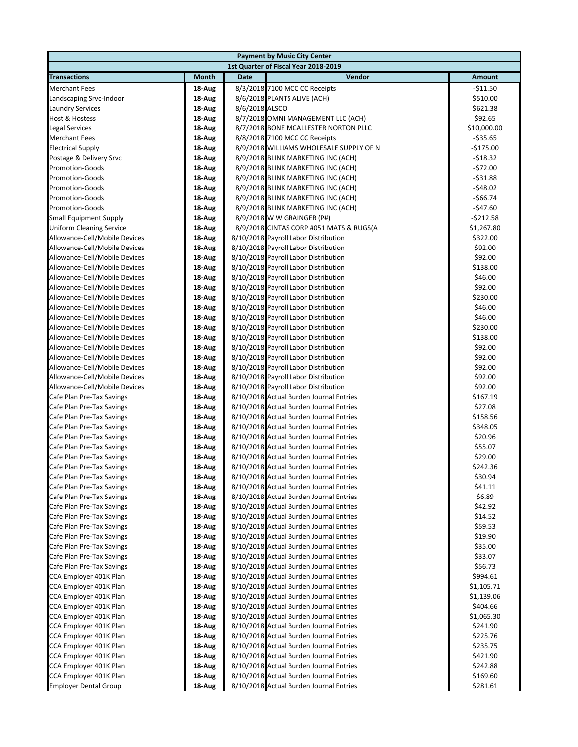|                                                                |                  | <b>Payment by Music City Center</b>                                                |                     |
|----------------------------------------------------------------|------------------|------------------------------------------------------------------------------------|---------------------|
|                                                                |                  | 1st Quarter of Fiscal Year 2018-2019                                               |                     |
| <b>Transactions</b>                                            | Month            | Vendor<br>Date                                                                     | <b>Amount</b>       |
| <b>Merchant Fees</b>                                           | 18 Aug           | 8/3/2018 7100 MCC CC Receipts                                                      | $-511.50$           |
| Landscaping Srvc-Indoor                                        | 18-Aug           | 8/6/2018 PLANTS ALIVE (ACH)                                                        | \$510.00            |
| <b>Laundry Services</b>                                        | 18-Aug           | 8/6/2018 ALSCO                                                                     | \$621.38            |
| <b>Host &amp; Hostess</b>                                      | 18-Aug           | 8/7/2018 OMNI MANAGEMENT LLC (ACH)                                                 | \$92.65             |
| <b>Legal Services</b>                                          | 18-Aug           | 8/7/2018 BONE MCALLESTER NORTON PLLC                                               | \$10,000.00         |
| <b>Merchant Fees</b>                                           | 18-Aug           | 8/8/2018 7100 MCC CC Receipts                                                      | $-535.65$           |
| <b>Electrical Supply</b>                                       | 18-Aug           | 8/9/2018 WILLIAMS WHOLESALE SUPPLY OF N                                            | $-$175.00$          |
| Postage & Delivery Srvc                                        | 18-Aug           | 8/9/2018 BLINK MARKETING INC (ACH)                                                 | $-518.32$           |
| <b>Promotion-Goods</b>                                         | 18-Aug           | 8/9/2018 BLINK MARKETING INC (ACH)                                                 | $-572.00$           |
| <b>Promotion-Goods</b>                                         | 18-Aug           | 8/9/2018 BLINK MARKETING INC (ACH)                                                 | $-531.88$           |
| <b>Promotion-Goods</b>                                         | 18-Aug           | 8/9/2018 BLINK MARKETING INC (ACH)                                                 | $-548.02$           |
| <b>Promotion-Goods</b>                                         | 18-Aug           | 8/9/2018 BLINK MARKETING INC (ACH)                                                 | -\$66.74            |
| <b>Promotion-Goods</b>                                         | 18-Aug           | 8/9/2018 BLINK MARKETING INC (ACH)                                                 | $-$47.60$           |
| <b>Small Equipment Supply</b>                                  | 18-Aug           | 8/9/2018 W W GRAINGER (P#)                                                         | -\$212.58           |
| <b>Uniform Cleaning Service</b>                                | 18-Aug           | 8/9/2018 CINTAS CORP #051 MATS & RUGS(A                                            | \$1,267.80          |
| Allowance-Cell/Mobile Devices                                  | 18-Aug           | 8/10/2018 Payroll Labor Distribution                                               | \$322.00            |
| Allowance-Cell/Mobile Devices                                  | 18-Aug           | 8/10/2018 Payroll Labor Distribution                                               | \$92.00             |
| Allowance-Cell/Mobile Devices                                  | 18-Aug           | 8/10/2018 Payroll Labor Distribution                                               | \$92.00             |
| Allowance-Cell/Mobile Devices<br>Allowance-Cell/Mobile Devices | 18-Aug<br>18-Aug | 8/10/2018 Payroll Labor Distribution<br>8/10/2018 Payroll Labor Distribution       | \$138.00<br>\$46.00 |
| Allowance-Cell/Mobile Devices                                  |                  | 8/10/2018 Payroll Labor Distribution                                               | \$92.00             |
| Allowance-Cell/Mobile Devices                                  | 18-Aug<br>18-Aug | 8/10/2018 Payroll Labor Distribution                                               | \$230.00            |
| Allowance-Cell/Mobile Devices                                  | 18-Aug           | 8/10/2018 Payroll Labor Distribution                                               | \$46.00             |
| Allowance-Cell/Mobile Devices                                  | 18-Aug           | 8/10/2018 Payroll Labor Distribution                                               | \$46.00             |
| Allowance-Cell/Mobile Devices                                  | 18-Aug           | 8/10/2018 Payroll Labor Distribution                                               | \$230.00            |
| Allowance-Cell/Mobile Devices                                  | 18-Aug           | 8/10/2018 Payroll Labor Distribution                                               | \$138.00            |
| Allowance-Cell/Mobile Devices                                  | 18-Aug           | 8/10/2018 Payroll Labor Distribution                                               | \$92.00             |
| Allowance-Cell/Mobile Devices                                  | 18-Aug           | 8/10/2018 Payroll Labor Distribution                                               | \$92.00             |
| Allowance-Cell/Mobile Devices                                  | 18-Aug           | 8/10/2018 Payroll Labor Distribution                                               | \$92.00             |
| Allowance-Cell/Mobile Devices                                  | 18-Aug           | 8/10/2018 Payroll Labor Distribution                                               | \$92.00             |
| Allowance-Cell/Mobile Devices                                  | 18-Aug           | 8/10/2018 Payroll Labor Distribution                                               | \$92.00             |
| Cafe Plan Pre-Tax Savings                                      | 18-Aug           | 8/10/2018 Actual Burden Journal Entries                                            | \$167.19            |
| Cafe Plan Pre-Tax Savings                                      | 18-Aug           | 8/10/2018 Actual Burden Journal Entries                                            | \$27.08             |
| Cafe Plan Pre-Tax Savings                                      | 18-Aug           | 8/10/2018 Actual Burden Journal Entries                                            | \$158.56            |
| Cafe Plan Pre-Tax Savings                                      | 18-Aug           | 8/10/2018 Actual Burden Journal Entries                                            | \$348.05            |
| Cafe Plan Pre-Tax Savings                                      | 18-Aug           | 8/10/2018 Actual Burden Journal Entries                                            | \$20.96             |
| Cafe Plan Pre-Tax Savings                                      | 18-Aug           | 8/10/2018 Actual Burden Journal Entries                                            | \$55.07             |
| Cafe Plan Pre-Tax Savings                                      | 18-Aug           | 8/10/2018 Actual Burden Journal Entries                                            | \$29.00             |
| Cafe Plan Pre-Tax Savings                                      | 18-Aug           | 8/10/2018 Actual Burden Journal Entries                                            | \$242.36            |
| Cafe Plan Pre-Tax Savings                                      | 18 Aug           | 8/10/2018 Actual Burden Journal Entries                                            | \$30.94             |
| Cafe Plan Pre-Tax Savings                                      | 18-Aug           | 8/10/2018 Actual Burden Journal Entries                                            | \$41.11             |
| Cafe Plan Pre-Tax Savings                                      | 18-Aug           | 8/10/2018 Actual Burden Journal Entries                                            | \$6.89              |
| Cafe Plan Pre-Tax Savings                                      | 18-Aug           | 8/10/2018 Actual Burden Journal Entries                                            | \$42.92             |
| Cafe Plan Pre-Tax Savings                                      | 18-Aug           | 8/10/2018 Actual Burden Journal Entries                                            | \$14.52             |
| Cafe Plan Pre-Tax Savings                                      | 18-Aug           | 8/10/2018 Actual Burden Journal Entries                                            | \$59.53             |
| Cafe Plan Pre-Tax Savings<br>Cafe Plan Pre-Tax Savings         | 18-Aug<br>18-Aug | 8/10/2018 Actual Burden Journal Entries<br>8/10/2018 Actual Burden Journal Entries | \$19.90<br>\$35.00  |
| Cafe Plan Pre-Tax Savings                                      | 18-Aug           | 8/10/2018 Actual Burden Journal Entries                                            | \$33.07             |
| Cafe Plan Pre-Tax Savings                                      | 18-Aug           | 8/10/2018 Actual Burden Journal Entries                                            | \$56.73             |
| CCA Employer 401K Plan                                         | 18-Aug           | 8/10/2018 Actual Burden Journal Entries                                            | \$994.61            |
| CCA Employer 401K Plan                                         | 18-Aug           | 8/10/2018 Actual Burden Journal Entries                                            | \$1,105.71          |
| CCA Employer 401K Plan                                         | 18-Aug           | 8/10/2018 Actual Burden Journal Entries                                            | \$1,139.06          |
| CCA Employer 401K Plan                                         | 18-Aug           | 8/10/2018 Actual Burden Journal Entries                                            | \$404.66            |
| CCA Employer 401K Plan                                         | 18-Aug           | 8/10/2018 Actual Burden Journal Entries                                            | \$1,065.30          |
| CCA Employer 401K Plan                                         | 18-Aug           | 8/10/2018 Actual Burden Journal Entries                                            | \$241.90            |
| CCA Employer 401K Plan                                         | 18-Aug           | 8/10/2018 Actual Burden Journal Entries                                            | \$225.76            |
| CCA Employer 401K Plan                                         | 18-Aug           | 8/10/2018 Actual Burden Journal Entries                                            | \$235.75            |
| CCA Employer 401K Plan                                         | 18-Aug           | 8/10/2018 Actual Burden Journal Entries                                            | \$421.90            |
| CCA Employer 401K Plan                                         | 18-Aug           | 8/10/2018 Actual Burden Journal Entries                                            | \$242.88            |
| CCA Employer 401K Plan                                         | 18-Aug           | 8/10/2018 Actual Burden Journal Entries                                            | \$169.60            |
| <b>Employer Dental Group</b>                                   | 18-Aug           | 8/10/2018 Actual Burden Journal Entries                                            | \$281.61            |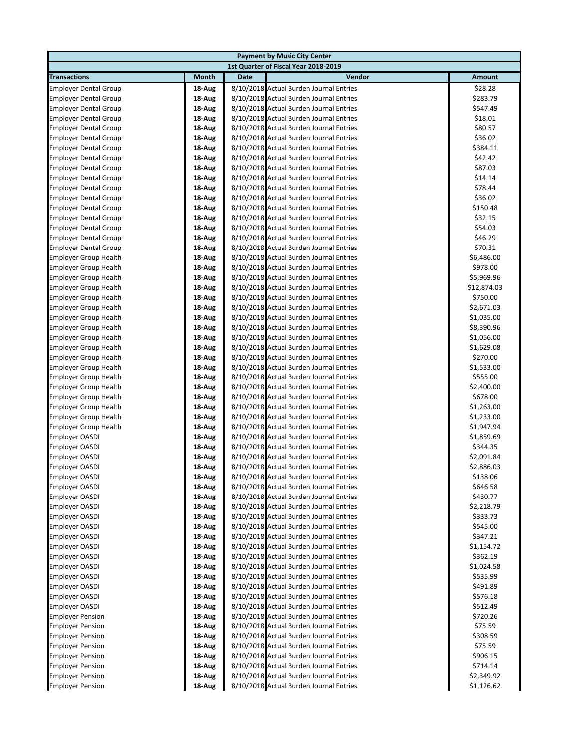| 1st Quarter of Fiscal Year 2018-2019<br><b>Date</b><br>Vendor<br><b>Transactions</b><br>Month<br><b>Amount</b><br>8/10/2018 Actual Burden Journal Entries<br>\$28.28<br><b>Employer Dental Group</b><br>18-Aug<br><b>Employer Dental Group</b><br>18-Aug<br>8/10/2018 Actual Burden Journal Entries<br>\$283.79<br>8/10/2018 Actual Burden Journal Entries<br>\$547.49<br><b>Employer Dental Group</b><br>18-Aug<br>8/10/2018 Actual Burden Journal Entries<br>\$18.01<br><b>Employer Dental Group</b><br>18-Aug<br>8/10/2018 Actual Burden Journal Entries<br>\$80.57<br><b>Employer Dental Group</b><br>18-Aug<br>\$36.02<br><b>Employer Dental Group</b><br>18-Aug<br>8/10/2018 Actual Burden Journal Entries<br>\$384.11<br><b>Employer Dental Group</b><br>18-Aug<br>8/10/2018 Actual Burden Journal Entries<br>8/10/2018 Actual Burden Journal Entries<br>\$42.42<br><b>Employer Dental Group</b><br>18-Aug<br>8/10/2018 Actual Burden Journal Entries<br>\$87.03<br><b>Employer Dental Group</b><br>18-Aug<br>8/10/2018 Actual Burden Journal Entries<br>\$14.14<br><b>Employer Dental Group</b><br>18-Aug<br>\$78.44<br><b>Employer Dental Group</b><br>8/10/2018 Actual Burden Journal Entries<br>18-Aug<br>8/10/2018 Actual Burden Journal Entries<br>\$36.02<br><b>Employer Dental Group</b><br>18-Aug<br>8/10/2018 Actual Burden Journal Entries<br><b>Employer Dental Group</b><br>18-Aug<br>\$150.48<br>\$32.15<br><b>Employer Dental Group</b><br>18-Aug<br>8/10/2018 Actual Burden Journal Entries<br>8/10/2018 Actual Burden Journal Entries<br><b>Employer Dental Group</b><br>18-Aug<br>\$54.03<br>8/10/2018 Actual Burden Journal Entries<br>\$46.29<br><b>Employer Dental Group</b><br>18-Aug<br>8/10/2018 Actual Burden Journal Entries<br>\$70.31<br><b>Employer Dental Group</b><br>18-Aug<br><b>Employer Group Health</b><br>18-Aug<br>8/10/2018 Actual Burden Journal Entries<br>\$6,486.00<br><b>Employer Group Health</b><br>8/10/2018 Actual Burden Journal Entries<br>\$978.00<br>18-Aug<br>8/10/2018 Actual Burden Journal Entries<br><b>Employer Group Health</b><br>18-Aug<br>\$5,969.96<br>8/10/2018 Actual Burden Journal Entries<br><b>Employer Group Health</b><br>18-Aug<br>\$12,874.03<br>8/10/2018 Actual Burden Journal Entries<br>\$750.00<br><b>Employer Group Health</b><br>18-Aug<br><b>Employer Group Health</b><br>18-Aug<br>8/10/2018 Actual Burden Journal Entries<br>\$2,671.03<br>8/10/2018 Actual Burden Journal Entries<br><b>Employer Group Health</b><br>18-Aug<br>\$1,035.00<br>8/10/2018 Actual Burden Journal Entries<br><b>Employer Group Health</b><br>18-Aug<br>\$8,390.96<br>8/10/2018 Actual Burden Journal Entries<br><b>Employer Group Health</b><br>18-Aug<br>\$1,056.00<br>8/10/2018 Actual Burden Journal Entries<br>\$1,629.08<br><b>Employer Group Health</b><br>18-Aug<br>8/10/2018 Actual Burden Journal Entries<br><b>Employer Group Health</b><br>18-Aug<br>\$270.00<br>8/10/2018 Actual Burden Journal Entries<br>\$1,533.00<br><b>Employer Group Health</b><br>18-Aug<br>8/10/2018 Actual Burden Journal Entries<br>\$555.00<br><b>Employer Group Health</b><br>18-Aug<br><b>Employer Group Health</b><br>18-Aug<br>8/10/2018 Actual Burden Journal Entries<br>\$2,400.00<br><b>Employer Group Health</b><br>8/10/2018 Actual Burden Journal Entries<br>\$678.00<br>18-Aug<br>8/10/2018 Actual Burden Journal Entries<br><b>Employer Group Health</b><br>18-Aug<br>\$1,263.00<br>8/10/2018 Actual Burden Journal Entries<br><b>Employer Group Health</b><br>18-Aug<br>\$1,233.00<br>8/10/2018 Actual Burden Journal Entries<br><b>Employer Group Health</b><br>18-Aug<br>\$1,947.94<br>8/10/2018 Actual Burden Journal Entries<br><b>Employer OASDI</b><br>\$1,859.69<br>18-Aug<br>8/10/2018 Actual Burden Journal Entries<br><b>Employer OASDI</b><br>18-Aug<br>\$344.35<br>8/10/2018 Actual Burden Journal Entries<br><b>Employer OASDI</b><br>18-Aug<br>\$2,091.84<br>8/10/2018 Actual Burden Journal Entries<br>\$2,886.03<br><b>Employer OASDI</b><br>18-Aug |
|-----------------------------------------------------------------------------------------------------------------------------------------------------------------------------------------------------------------------------------------------------------------------------------------------------------------------------------------------------------------------------------------------------------------------------------------------------------------------------------------------------------------------------------------------------------------------------------------------------------------------------------------------------------------------------------------------------------------------------------------------------------------------------------------------------------------------------------------------------------------------------------------------------------------------------------------------------------------------------------------------------------------------------------------------------------------------------------------------------------------------------------------------------------------------------------------------------------------------------------------------------------------------------------------------------------------------------------------------------------------------------------------------------------------------------------------------------------------------------------------------------------------------------------------------------------------------------------------------------------------------------------------------------------------------------------------------------------------------------------------------------------------------------------------------------------------------------------------------------------------------------------------------------------------------------------------------------------------------------------------------------------------------------------------------------------------------------------------------------------------------------------------------------------------------------------------------------------------------------------------------------------------------------------------------------------------------------------------------------------------------------------------------------------------------------------------------------------------------------------------------------------------------------------------------------------------------------------------------------------------------------------------------------------------------------------------------------------------------------------------------------------------------------------------------------------------------------------------------------------------------------------------------------------------------------------------------------------------------------------------------------------------------------------------------------------------------------------------------------------------------------------------------------------------------------------------------------------------------------------------------------------------------------------------------------------------------------------------------------------------------------------------------------------------------------------------------------------------------------------------------------------------------------------------------------------------------------------------------------------------------------------------------------------------------------------------------------------------------------------------------------------------------------------------------------------------------------------------------------------------------------------------------------------------------------------------------------------------------------------------------------------------------------------------------|
|                                                                                                                                                                                                                                                                                                                                                                                                                                                                                                                                                                                                                                                                                                                                                                                                                                                                                                                                                                                                                                                                                                                                                                                                                                                                                                                                                                                                                                                                                                                                                                                                                                                                                                                                                                                                                                                                                                                                                                                                                                                                                                                                                                                                                                                                                                                                                                                                                                                                                                                                                                                                                                                                                                                                                                                                                                                                                                                                                                                                                                                                                                                                                                                                                                                                                                                                                                                                                                                                                                                                                                                                                                                                                                                                                                                                                                                                                                                                                                                                                                               |
|                                                                                                                                                                                                                                                                                                                                                                                                                                                                                                                                                                                                                                                                                                                                                                                                                                                                                                                                                                                                                                                                                                                                                                                                                                                                                                                                                                                                                                                                                                                                                                                                                                                                                                                                                                                                                                                                                                                                                                                                                                                                                                                                                                                                                                                                                                                                                                                                                                                                                                                                                                                                                                                                                                                                                                                                                                                                                                                                                                                                                                                                                                                                                                                                                                                                                                                                                                                                                                                                                                                                                                                                                                                                                                                                                                                                                                                                                                                                                                                                                                               |
|                                                                                                                                                                                                                                                                                                                                                                                                                                                                                                                                                                                                                                                                                                                                                                                                                                                                                                                                                                                                                                                                                                                                                                                                                                                                                                                                                                                                                                                                                                                                                                                                                                                                                                                                                                                                                                                                                                                                                                                                                                                                                                                                                                                                                                                                                                                                                                                                                                                                                                                                                                                                                                                                                                                                                                                                                                                                                                                                                                                                                                                                                                                                                                                                                                                                                                                                                                                                                                                                                                                                                                                                                                                                                                                                                                                                                                                                                                                                                                                                                                               |
|                                                                                                                                                                                                                                                                                                                                                                                                                                                                                                                                                                                                                                                                                                                                                                                                                                                                                                                                                                                                                                                                                                                                                                                                                                                                                                                                                                                                                                                                                                                                                                                                                                                                                                                                                                                                                                                                                                                                                                                                                                                                                                                                                                                                                                                                                                                                                                                                                                                                                                                                                                                                                                                                                                                                                                                                                                                                                                                                                                                                                                                                                                                                                                                                                                                                                                                                                                                                                                                                                                                                                                                                                                                                                                                                                                                                                                                                                                                                                                                                                                               |
|                                                                                                                                                                                                                                                                                                                                                                                                                                                                                                                                                                                                                                                                                                                                                                                                                                                                                                                                                                                                                                                                                                                                                                                                                                                                                                                                                                                                                                                                                                                                                                                                                                                                                                                                                                                                                                                                                                                                                                                                                                                                                                                                                                                                                                                                                                                                                                                                                                                                                                                                                                                                                                                                                                                                                                                                                                                                                                                                                                                                                                                                                                                                                                                                                                                                                                                                                                                                                                                                                                                                                                                                                                                                                                                                                                                                                                                                                                                                                                                                                                               |
|                                                                                                                                                                                                                                                                                                                                                                                                                                                                                                                                                                                                                                                                                                                                                                                                                                                                                                                                                                                                                                                                                                                                                                                                                                                                                                                                                                                                                                                                                                                                                                                                                                                                                                                                                                                                                                                                                                                                                                                                                                                                                                                                                                                                                                                                                                                                                                                                                                                                                                                                                                                                                                                                                                                                                                                                                                                                                                                                                                                                                                                                                                                                                                                                                                                                                                                                                                                                                                                                                                                                                                                                                                                                                                                                                                                                                                                                                                                                                                                                                                               |
|                                                                                                                                                                                                                                                                                                                                                                                                                                                                                                                                                                                                                                                                                                                                                                                                                                                                                                                                                                                                                                                                                                                                                                                                                                                                                                                                                                                                                                                                                                                                                                                                                                                                                                                                                                                                                                                                                                                                                                                                                                                                                                                                                                                                                                                                                                                                                                                                                                                                                                                                                                                                                                                                                                                                                                                                                                                                                                                                                                                                                                                                                                                                                                                                                                                                                                                                                                                                                                                                                                                                                                                                                                                                                                                                                                                                                                                                                                                                                                                                                                               |
|                                                                                                                                                                                                                                                                                                                                                                                                                                                                                                                                                                                                                                                                                                                                                                                                                                                                                                                                                                                                                                                                                                                                                                                                                                                                                                                                                                                                                                                                                                                                                                                                                                                                                                                                                                                                                                                                                                                                                                                                                                                                                                                                                                                                                                                                                                                                                                                                                                                                                                                                                                                                                                                                                                                                                                                                                                                                                                                                                                                                                                                                                                                                                                                                                                                                                                                                                                                                                                                                                                                                                                                                                                                                                                                                                                                                                                                                                                                                                                                                                                               |
|                                                                                                                                                                                                                                                                                                                                                                                                                                                                                                                                                                                                                                                                                                                                                                                                                                                                                                                                                                                                                                                                                                                                                                                                                                                                                                                                                                                                                                                                                                                                                                                                                                                                                                                                                                                                                                                                                                                                                                                                                                                                                                                                                                                                                                                                                                                                                                                                                                                                                                                                                                                                                                                                                                                                                                                                                                                                                                                                                                                                                                                                                                                                                                                                                                                                                                                                                                                                                                                                                                                                                                                                                                                                                                                                                                                                                                                                                                                                                                                                                                               |
|                                                                                                                                                                                                                                                                                                                                                                                                                                                                                                                                                                                                                                                                                                                                                                                                                                                                                                                                                                                                                                                                                                                                                                                                                                                                                                                                                                                                                                                                                                                                                                                                                                                                                                                                                                                                                                                                                                                                                                                                                                                                                                                                                                                                                                                                                                                                                                                                                                                                                                                                                                                                                                                                                                                                                                                                                                                                                                                                                                                                                                                                                                                                                                                                                                                                                                                                                                                                                                                                                                                                                                                                                                                                                                                                                                                                                                                                                                                                                                                                                                               |
|                                                                                                                                                                                                                                                                                                                                                                                                                                                                                                                                                                                                                                                                                                                                                                                                                                                                                                                                                                                                                                                                                                                                                                                                                                                                                                                                                                                                                                                                                                                                                                                                                                                                                                                                                                                                                                                                                                                                                                                                                                                                                                                                                                                                                                                                                                                                                                                                                                                                                                                                                                                                                                                                                                                                                                                                                                                                                                                                                                                                                                                                                                                                                                                                                                                                                                                                                                                                                                                                                                                                                                                                                                                                                                                                                                                                                                                                                                                                                                                                                                               |
|                                                                                                                                                                                                                                                                                                                                                                                                                                                                                                                                                                                                                                                                                                                                                                                                                                                                                                                                                                                                                                                                                                                                                                                                                                                                                                                                                                                                                                                                                                                                                                                                                                                                                                                                                                                                                                                                                                                                                                                                                                                                                                                                                                                                                                                                                                                                                                                                                                                                                                                                                                                                                                                                                                                                                                                                                                                                                                                                                                                                                                                                                                                                                                                                                                                                                                                                                                                                                                                                                                                                                                                                                                                                                                                                                                                                                                                                                                                                                                                                                                               |
|                                                                                                                                                                                                                                                                                                                                                                                                                                                                                                                                                                                                                                                                                                                                                                                                                                                                                                                                                                                                                                                                                                                                                                                                                                                                                                                                                                                                                                                                                                                                                                                                                                                                                                                                                                                                                                                                                                                                                                                                                                                                                                                                                                                                                                                                                                                                                                                                                                                                                                                                                                                                                                                                                                                                                                                                                                                                                                                                                                                                                                                                                                                                                                                                                                                                                                                                                                                                                                                                                                                                                                                                                                                                                                                                                                                                                                                                                                                                                                                                                                               |
|                                                                                                                                                                                                                                                                                                                                                                                                                                                                                                                                                                                                                                                                                                                                                                                                                                                                                                                                                                                                                                                                                                                                                                                                                                                                                                                                                                                                                                                                                                                                                                                                                                                                                                                                                                                                                                                                                                                                                                                                                                                                                                                                                                                                                                                                                                                                                                                                                                                                                                                                                                                                                                                                                                                                                                                                                                                                                                                                                                                                                                                                                                                                                                                                                                                                                                                                                                                                                                                                                                                                                                                                                                                                                                                                                                                                                                                                                                                                                                                                                                               |
|                                                                                                                                                                                                                                                                                                                                                                                                                                                                                                                                                                                                                                                                                                                                                                                                                                                                                                                                                                                                                                                                                                                                                                                                                                                                                                                                                                                                                                                                                                                                                                                                                                                                                                                                                                                                                                                                                                                                                                                                                                                                                                                                                                                                                                                                                                                                                                                                                                                                                                                                                                                                                                                                                                                                                                                                                                                                                                                                                                                                                                                                                                                                                                                                                                                                                                                                                                                                                                                                                                                                                                                                                                                                                                                                                                                                                                                                                                                                                                                                                                               |
|                                                                                                                                                                                                                                                                                                                                                                                                                                                                                                                                                                                                                                                                                                                                                                                                                                                                                                                                                                                                                                                                                                                                                                                                                                                                                                                                                                                                                                                                                                                                                                                                                                                                                                                                                                                                                                                                                                                                                                                                                                                                                                                                                                                                                                                                                                                                                                                                                                                                                                                                                                                                                                                                                                                                                                                                                                                                                                                                                                                                                                                                                                                                                                                                                                                                                                                                                                                                                                                                                                                                                                                                                                                                                                                                                                                                                                                                                                                                                                                                                                               |
|                                                                                                                                                                                                                                                                                                                                                                                                                                                                                                                                                                                                                                                                                                                                                                                                                                                                                                                                                                                                                                                                                                                                                                                                                                                                                                                                                                                                                                                                                                                                                                                                                                                                                                                                                                                                                                                                                                                                                                                                                                                                                                                                                                                                                                                                                                                                                                                                                                                                                                                                                                                                                                                                                                                                                                                                                                                                                                                                                                                                                                                                                                                                                                                                                                                                                                                                                                                                                                                                                                                                                                                                                                                                                                                                                                                                                                                                                                                                                                                                                                               |
|                                                                                                                                                                                                                                                                                                                                                                                                                                                                                                                                                                                                                                                                                                                                                                                                                                                                                                                                                                                                                                                                                                                                                                                                                                                                                                                                                                                                                                                                                                                                                                                                                                                                                                                                                                                                                                                                                                                                                                                                                                                                                                                                                                                                                                                                                                                                                                                                                                                                                                                                                                                                                                                                                                                                                                                                                                                                                                                                                                                                                                                                                                                                                                                                                                                                                                                                                                                                                                                                                                                                                                                                                                                                                                                                                                                                                                                                                                                                                                                                                                               |
|                                                                                                                                                                                                                                                                                                                                                                                                                                                                                                                                                                                                                                                                                                                                                                                                                                                                                                                                                                                                                                                                                                                                                                                                                                                                                                                                                                                                                                                                                                                                                                                                                                                                                                                                                                                                                                                                                                                                                                                                                                                                                                                                                                                                                                                                                                                                                                                                                                                                                                                                                                                                                                                                                                                                                                                                                                                                                                                                                                                                                                                                                                                                                                                                                                                                                                                                                                                                                                                                                                                                                                                                                                                                                                                                                                                                                                                                                                                                                                                                                                               |
|                                                                                                                                                                                                                                                                                                                                                                                                                                                                                                                                                                                                                                                                                                                                                                                                                                                                                                                                                                                                                                                                                                                                                                                                                                                                                                                                                                                                                                                                                                                                                                                                                                                                                                                                                                                                                                                                                                                                                                                                                                                                                                                                                                                                                                                                                                                                                                                                                                                                                                                                                                                                                                                                                                                                                                                                                                                                                                                                                                                                                                                                                                                                                                                                                                                                                                                                                                                                                                                                                                                                                                                                                                                                                                                                                                                                                                                                                                                                                                                                                                               |
|                                                                                                                                                                                                                                                                                                                                                                                                                                                                                                                                                                                                                                                                                                                                                                                                                                                                                                                                                                                                                                                                                                                                                                                                                                                                                                                                                                                                                                                                                                                                                                                                                                                                                                                                                                                                                                                                                                                                                                                                                                                                                                                                                                                                                                                                                                                                                                                                                                                                                                                                                                                                                                                                                                                                                                                                                                                                                                                                                                                                                                                                                                                                                                                                                                                                                                                                                                                                                                                                                                                                                                                                                                                                                                                                                                                                                                                                                                                                                                                                                                               |
|                                                                                                                                                                                                                                                                                                                                                                                                                                                                                                                                                                                                                                                                                                                                                                                                                                                                                                                                                                                                                                                                                                                                                                                                                                                                                                                                                                                                                                                                                                                                                                                                                                                                                                                                                                                                                                                                                                                                                                                                                                                                                                                                                                                                                                                                                                                                                                                                                                                                                                                                                                                                                                                                                                                                                                                                                                                                                                                                                                                                                                                                                                                                                                                                                                                                                                                                                                                                                                                                                                                                                                                                                                                                                                                                                                                                                                                                                                                                                                                                                                               |
|                                                                                                                                                                                                                                                                                                                                                                                                                                                                                                                                                                                                                                                                                                                                                                                                                                                                                                                                                                                                                                                                                                                                                                                                                                                                                                                                                                                                                                                                                                                                                                                                                                                                                                                                                                                                                                                                                                                                                                                                                                                                                                                                                                                                                                                                                                                                                                                                                                                                                                                                                                                                                                                                                                                                                                                                                                                                                                                                                                                                                                                                                                                                                                                                                                                                                                                                                                                                                                                                                                                                                                                                                                                                                                                                                                                                                                                                                                                                                                                                                                               |
|                                                                                                                                                                                                                                                                                                                                                                                                                                                                                                                                                                                                                                                                                                                                                                                                                                                                                                                                                                                                                                                                                                                                                                                                                                                                                                                                                                                                                                                                                                                                                                                                                                                                                                                                                                                                                                                                                                                                                                                                                                                                                                                                                                                                                                                                                                                                                                                                                                                                                                                                                                                                                                                                                                                                                                                                                                                                                                                                                                                                                                                                                                                                                                                                                                                                                                                                                                                                                                                                                                                                                                                                                                                                                                                                                                                                                                                                                                                                                                                                                                               |
|                                                                                                                                                                                                                                                                                                                                                                                                                                                                                                                                                                                                                                                                                                                                                                                                                                                                                                                                                                                                                                                                                                                                                                                                                                                                                                                                                                                                                                                                                                                                                                                                                                                                                                                                                                                                                                                                                                                                                                                                                                                                                                                                                                                                                                                                                                                                                                                                                                                                                                                                                                                                                                                                                                                                                                                                                                                                                                                                                                                                                                                                                                                                                                                                                                                                                                                                                                                                                                                                                                                                                                                                                                                                                                                                                                                                                                                                                                                                                                                                                                               |
|                                                                                                                                                                                                                                                                                                                                                                                                                                                                                                                                                                                                                                                                                                                                                                                                                                                                                                                                                                                                                                                                                                                                                                                                                                                                                                                                                                                                                                                                                                                                                                                                                                                                                                                                                                                                                                                                                                                                                                                                                                                                                                                                                                                                                                                                                                                                                                                                                                                                                                                                                                                                                                                                                                                                                                                                                                                                                                                                                                                                                                                                                                                                                                                                                                                                                                                                                                                                                                                                                                                                                                                                                                                                                                                                                                                                                                                                                                                                                                                                                                               |
|                                                                                                                                                                                                                                                                                                                                                                                                                                                                                                                                                                                                                                                                                                                                                                                                                                                                                                                                                                                                                                                                                                                                                                                                                                                                                                                                                                                                                                                                                                                                                                                                                                                                                                                                                                                                                                                                                                                                                                                                                                                                                                                                                                                                                                                                                                                                                                                                                                                                                                                                                                                                                                                                                                                                                                                                                                                                                                                                                                                                                                                                                                                                                                                                                                                                                                                                                                                                                                                                                                                                                                                                                                                                                                                                                                                                                                                                                                                                                                                                                                               |
|                                                                                                                                                                                                                                                                                                                                                                                                                                                                                                                                                                                                                                                                                                                                                                                                                                                                                                                                                                                                                                                                                                                                                                                                                                                                                                                                                                                                                                                                                                                                                                                                                                                                                                                                                                                                                                                                                                                                                                                                                                                                                                                                                                                                                                                                                                                                                                                                                                                                                                                                                                                                                                                                                                                                                                                                                                                                                                                                                                                                                                                                                                                                                                                                                                                                                                                                                                                                                                                                                                                                                                                                                                                                                                                                                                                                                                                                                                                                                                                                                                               |
|                                                                                                                                                                                                                                                                                                                                                                                                                                                                                                                                                                                                                                                                                                                                                                                                                                                                                                                                                                                                                                                                                                                                                                                                                                                                                                                                                                                                                                                                                                                                                                                                                                                                                                                                                                                                                                                                                                                                                                                                                                                                                                                                                                                                                                                                                                                                                                                                                                                                                                                                                                                                                                                                                                                                                                                                                                                                                                                                                                                                                                                                                                                                                                                                                                                                                                                                                                                                                                                                                                                                                                                                                                                                                                                                                                                                                                                                                                                                                                                                                                               |
|                                                                                                                                                                                                                                                                                                                                                                                                                                                                                                                                                                                                                                                                                                                                                                                                                                                                                                                                                                                                                                                                                                                                                                                                                                                                                                                                                                                                                                                                                                                                                                                                                                                                                                                                                                                                                                                                                                                                                                                                                                                                                                                                                                                                                                                                                                                                                                                                                                                                                                                                                                                                                                                                                                                                                                                                                                                                                                                                                                                                                                                                                                                                                                                                                                                                                                                                                                                                                                                                                                                                                                                                                                                                                                                                                                                                                                                                                                                                                                                                                                               |
|                                                                                                                                                                                                                                                                                                                                                                                                                                                                                                                                                                                                                                                                                                                                                                                                                                                                                                                                                                                                                                                                                                                                                                                                                                                                                                                                                                                                                                                                                                                                                                                                                                                                                                                                                                                                                                                                                                                                                                                                                                                                                                                                                                                                                                                                                                                                                                                                                                                                                                                                                                                                                                                                                                                                                                                                                                                                                                                                                                                                                                                                                                                                                                                                                                                                                                                                                                                                                                                                                                                                                                                                                                                                                                                                                                                                                                                                                                                                                                                                                                               |
|                                                                                                                                                                                                                                                                                                                                                                                                                                                                                                                                                                                                                                                                                                                                                                                                                                                                                                                                                                                                                                                                                                                                                                                                                                                                                                                                                                                                                                                                                                                                                                                                                                                                                                                                                                                                                                                                                                                                                                                                                                                                                                                                                                                                                                                                                                                                                                                                                                                                                                                                                                                                                                                                                                                                                                                                                                                                                                                                                                                                                                                                                                                                                                                                                                                                                                                                                                                                                                                                                                                                                                                                                                                                                                                                                                                                                                                                                                                                                                                                                                               |
|                                                                                                                                                                                                                                                                                                                                                                                                                                                                                                                                                                                                                                                                                                                                                                                                                                                                                                                                                                                                                                                                                                                                                                                                                                                                                                                                                                                                                                                                                                                                                                                                                                                                                                                                                                                                                                                                                                                                                                                                                                                                                                                                                                                                                                                                                                                                                                                                                                                                                                                                                                                                                                                                                                                                                                                                                                                                                                                                                                                                                                                                                                                                                                                                                                                                                                                                                                                                                                                                                                                                                                                                                                                                                                                                                                                                                                                                                                                                                                                                                                               |
|                                                                                                                                                                                                                                                                                                                                                                                                                                                                                                                                                                                                                                                                                                                                                                                                                                                                                                                                                                                                                                                                                                                                                                                                                                                                                                                                                                                                                                                                                                                                                                                                                                                                                                                                                                                                                                                                                                                                                                                                                                                                                                                                                                                                                                                                                                                                                                                                                                                                                                                                                                                                                                                                                                                                                                                                                                                                                                                                                                                                                                                                                                                                                                                                                                                                                                                                                                                                                                                                                                                                                                                                                                                                                                                                                                                                                                                                                                                                                                                                                                               |
|                                                                                                                                                                                                                                                                                                                                                                                                                                                                                                                                                                                                                                                                                                                                                                                                                                                                                                                                                                                                                                                                                                                                                                                                                                                                                                                                                                                                                                                                                                                                                                                                                                                                                                                                                                                                                                                                                                                                                                                                                                                                                                                                                                                                                                                                                                                                                                                                                                                                                                                                                                                                                                                                                                                                                                                                                                                                                                                                                                                                                                                                                                                                                                                                                                                                                                                                                                                                                                                                                                                                                                                                                                                                                                                                                                                                                                                                                                                                                                                                                                               |
|                                                                                                                                                                                                                                                                                                                                                                                                                                                                                                                                                                                                                                                                                                                                                                                                                                                                                                                                                                                                                                                                                                                                                                                                                                                                                                                                                                                                                                                                                                                                                                                                                                                                                                                                                                                                                                                                                                                                                                                                                                                                                                                                                                                                                                                                                                                                                                                                                                                                                                                                                                                                                                                                                                                                                                                                                                                                                                                                                                                                                                                                                                                                                                                                                                                                                                                                                                                                                                                                                                                                                                                                                                                                                                                                                                                                                                                                                                                                                                                                                                               |
|                                                                                                                                                                                                                                                                                                                                                                                                                                                                                                                                                                                                                                                                                                                                                                                                                                                                                                                                                                                                                                                                                                                                                                                                                                                                                                                                                                                                                                                                                                                                                                                                                                                                                                                                                                                                                                                                                                                                                                                                                                                                                                                                                                                                                                                                                                                                                                                                                                                                                                                                                                                                                                                                                                                                                                                                                                                                                                                                                                                                                                                                                                                                                                                                                                                                                                                                                                                                                                                                                                                                                                                                                                                                                                                                                                                                                                                                                                                                                                                                                                               |
|                                                                                                                                                                                                                                                                                                                                                                                                                                                                                                                                                                                                                                                                                                                                                                                                                                                                                                                                                                                                                                                                                                                                                                                                                                                                                                                                                                                                                                                                                                                                                                                                                                                                                                                                                                                                                                                                                                                                                                                                                                                                                                                                                                                                                                                                                                                                                                                                                                                                                                                                                                                                                                                                                                                                                                                                                                                                                                                                                                                                                                                                                                                                                                                                                                                                                                                                                                                                                                                                                                                                                                                                                                                                                                                                                                                                                                                                                                                                                                                                                                               |
|                                                                                                                                                                                                                                                                                                                                                                                                                                                                                                                                                                                                                                                                                                                                                                                                                                                                                                                                                                                                                                                                                                                                                                                                                                                                                                                                                                                                                                                                                                                                                                                                                                                                                                                                                                                                                                                                                                                                                                                                                                                                                                                                                                                                                                                                                                                                                                                                                                                                                                                                                                                                                                                                                                                                                                                                                                                                                                                                                                                                                                                                                                                                                                                                                                                                                                                                                                                                                                                                                                                                                                                                                                                                                                                                                                                                                                                                                                                                                                                                                                               |
|                                                                                                                                                                                                                                                                                                                                                                                                                                                                                                                                                                                                                                                                                                                                                                                                                                                                                                                                                                                                                                                                                                                                                                                                                                                                                                                                                                                                                                                                                                                                                                                                                                                                                                                                                                                                                                                                                                                                                                                                                                                                                                                                                                                                                                                                                                                                                                                                                                                                                                                                                                                                                                                                                                                                                                                                                                                                                                                                                                                                                                                                                                                                                                                                                                                                                                                                                                                                                                                                                                                                                                                                                                                                                                                                                                                                                                                                                                                                                                                                                                               |
| <b>Employer OASDI</b><br>18-Aug<br>8/10/2018 Actual Burden Journal Entries<br>\$138.06                                                                                                                                                                                                                                                                                                                                                                                                                                                                                                                                                                                                                                                                                                                                                                                                                                                                                                                                                                                                                                                                                                                                                                                                                                                                                                                                                                                                                                                                                                                                                                                                                                                                                                                                                                                                                                                                                                                                                                                                                                                                                                                                                                                                                                                                                                                                                                                                                                                                                                                                                                                                                                                                                                                                                                                                                                                                                                                                                                                                                                                                                                                                                                                                                                                                                                                                                                                                                                                                                                                                                                                                                                                                                                                                                                                                                                                                                                                                                        |
| 8/10/2018 Actual Burden Journal Entries<br><b>Employer OASDI</b><br>\$646.58<br>18-Aug                                                                                                                                                                                                                                                                                                                                                                                                                                                                                                                                                                                                                                                                                                                                                                                                                                                                                                                                                                                                                                                                                                                                                                                                                                                                                                                                                                                                                                                                                                                                                                                                                                                                                                                                                                                                                                                                                                                                                                                                                                                                                                                                                                                                                                                                                                                                                                                                                                                                                                                                                                                                                                                                                                                                                                                                                                                                                                                                                                                                                                                                                                                                                                                                                                                                                                                                                                                                                                                                                                                                                                                                                                                                                                                                                                                                                                                                                                                                                        |
| 8/10/2018 Actual Burden Journal Entries<br><b>Employer OASDI</b><br>18-Aug<br>\$430.77                                                                                                                                                                                                                                                                                                                                                                                                                                                                                                                                                                                                                                                                                                                                                                                                                                                                                                                                                                                                                                                                                                                                                                                                                                                                                                                                                                                                                                                                                                                                                                                                                                                                                                                                                                                                                                                                                                                                                                                                                                                                                                                                                                                                                                                                                                                                                                                                                                                                                                                                                                                                                                                                                                                                                                                                                                                                                                                                                                                                                                                                                                                                                                                                                                                                                                                                                                                                                                                                                                                                                                                                                                                                                                                                                                                                                                                                                                                                                        |
| <b>Employer OASDI</b><br>8/10/2018 Actual Burden Journal Entries<br>18-Aug<br>\$2,218.79                                                                                                                                                                                                                                                                                                                                                                                                                                                                                                                                                                                                                                                                                                                                                                                                                                                                                                                                                                                                                                                                                                                                                                                                                                                                                                                                                                                                                                                                                                                                                                                                                                                                                                                                                                                                                                                                                                                                                                                                                                                                                                                                                                                                                                                                                                                                                                                                                                                                                                                                                                                                                                                                                                                                                                                                                                                                                                                                                                                                                                                                                                                                                                                                                                                                                                                                                                                                                                                                                                                                                                                                                                                                                                                                                                                                                                                                                                                                                      |
| <b>Employer OASDI</b><br>8/10/2018 Actual Burden Journal Entries<br>18-Aug<br>\$333.73                                                                                                                                                                                                                                                                                                                                                                                                                                                                                                                                                                                                                                                                                                                                                                                                                                                                                                                                                                                                                                                                                                                                                                                                                                                                                                                                                                                                                                                                                                                                                                                                                                                                                                                                                                                                                                                                                                                                                                                                                                                                                                                                                                                                                                                                                                                                                                                                                                                                                                                                                                                                                                                                                                                                                                                                                                                                                                                                                                                                                                                                                                                                                                                                                                                                                                                                                                                                                                                                                                                                                                                                                                                                                                                                                                                                                                                                                                                                                        |
| 8/10/2018 Actual Burden Journal Entries<br><b>Employer OASDI</b><br>\$545.00<br>18-Aug                                                                                                                                                                                                                                                                                                                                                                                                                                                                                                                                                                                                                                                                                                                                                                                                                                                                                                                                                                                                                                                                                                                                                                                                                                                                                                                                                                                                                                                                                                                                                                                                                                                                                                                                                                                                                                                                                                                                                                                                                                                                                                                                                                                                                                                                                                                                                                                                                                                                                                                                                                                                                                                                                                                                                                                                                                                                                                                                                                                                                                                                                                                                                                                                                                                                                                                                                                                                                                                                                                                                                                                                                                                                                                                                                                                                                                                                                                                                                        |
| 8/10/2018 Actual Burden Journal Entries<br><b>Employer OASDI</b><br>18-Aug<br>\$347.21                                                                                                                                                                                                                                                                                                                                                                                                                                                                                                                                                                                                                                                                                                                                                                                                                                                                                                                                                                                                                                                                                                                                                                                                                                                                                                                                                                                                                                                                                                                                                                                                                                                                                                                                                                                                                                                                                                                                                                                                                                                                                                                                                                                                                                                                                                                                                                                                                                                                                                                                                                                                                                                                                                                                                                                                                                                                                                                                                                                                                                                                                                                                                                                                                                                                                                                                                                                                                                                                                                                                                                                                                                                                                                                                                                                                                                                                                                                                                        |
| 8/10/2018 Actual Burden Journal Entries<br><b>Employer OASDI</b><br>18-Aug<br>\$1,154.72                                                                                                                                                                                                                                                                                                                                                                                                                                                                                                                                                                                                                                                                                                                                                                                                                                                                                                                                                                                                                                                                                                                                                                                                                                                                                                                                                                                                                                                                                                                                                                                                                                                                                                                                                                                                                                                                                                                                                                                                                                                                                                                                                                                                                                                                                                                                                                                                                                                                                                                                                                                                                                                                                                                                                                                                                                                                                                                                                                                                                                                                                                                                                                                                                                                                                                                                                                                                                                                                                                                                                                                                                                                                                                                                                                                                                                                                                                                                                      |
| 8/10/2018 Actual Burden Journal Entries<br><b>Employer OASDI</b><br>\$362.19<br>18-Aug                                                                                                                                                                                                                                                                                                                                                                                                                                                                                                                                                                                                                                                                                                                                                                                                                                                                                                                                                                                                                                                                                                                                                                                                                                                                                                                                                                                                                                                                                                                                                                                                                                                                                                                                                                                                                                                                                                                                                                                                                                                                                                                                                                                                                                                                                                                                                                                                                                                                                                                                                                                                                                                                                                                                                                                                                                                                                                                                                                                                                                                                                                                                                                                                                                                                                                                                                                                                                                                                                                                                                                                                                                                                                                                                                                                                                                                                                                                                                        |
| 8/10/2018 Actual Burden Journal Entries<br><b>Employer OASDI</b><br>\$1,024.58<br>18-Aug                                                                                                                                                                                                                                                                                                                                                                                                                                                                                                                                                                                                                                                                                                                                                                                                                                                                                                                                                                                                                                                                                                                                                                                                                                                                                                                                                                                                                                                                                                                                                                                                                                                                                                                                                                                                                                                                                                                                                                                                                                                                                                                                                                                                                                                                                                                                                                                                                                                                                                                                                                                                                                                                                                                                                                                                                                                                                                                                                                                                                                                                                                                                                                                                                                                                                                                                                                                                                                                                                                                                                                                                                                                                                                                                                                                                                                                                                                                                                      |
| 8/10/2018 Actual Burden Journal Entries<br><b>Employer OASDI</b><br>18-Aug<br>\$535.99                                                                                                                                                                                                                                                                                                                                                                                                                                                                                                                                                                                                                                                                                                                                                                                                                                                                                                                                                                                                                                                                                                                                                                                                                                                                                                                                                                                                                                                                                                                                                                                                                                                                                                                                                                                                                                                                                                                                                                                                                                                                                                                                                                                                                                                                                                                                                                                                                                                                                                                                                                                                                                                                                                                                                                                                                                                                                                                                                                                                                                                                                                                                                                                                                                                                                                                                                                                                                                                                                                                                                                                                                                                                                                                                                                                                                                                                                                                                                        |
| 8/10/2018 Actual Burden Journal Entries<br><b>Employer OASDI</b><br>18-Aug<br>\$491.89                                                                                                                                                                                                                                                                                                                                                                                                                                                                                                                                                                                                                                                                                                                                                                                                                                                                                                                                                                                                                                                                                                                                                                                                                                                                                                                                                                                                                                                                                                                                                                                                                                                                                                                                                                                                                                                                                                                                                                                                                                                                                                                                                                                                                                                                                                                                                                                                                                                                                                                                                                                                                                                                                                                                                                                                                                                                                                                                                                                                                                                                                                                                                                                                                                                                                                                                                                                                                                                                                                                                                                                                                                                                                                                                                                                                                                                                                                                                                        |
| <b>Employer OASDI</b><br>8/10/2018 Actual Burden Journal Entries<br>\$576.18<br>18-Aug                                                                                                                                                                                                                                                                                                                                                                                                                                                                                                                                                                                                                                                                                                                                                                                                                                                                                                                                                                                                                                                                                                                                                                                                                                                                                                                                                                                                                                                                                                                                                                                                                                                                                                                                                                                                                                                                                                                                                                                                                                                                                                                                                                                                                                                                                                                                                                                                                                                                                                                                                                                                                                                                                                                                                                                                                                                                                                                                                                                                                                                                                                                                                                                                                                                                                                                                                                                                                                                                                                                                                                                                                                                                                                                                                                                                                                                                                                                                                        |
| 8/10/2018 Actual Burden Journal Entries<br><b>Employer OASDI</b><br>18-Aug<br>\$512.49<br>8/10/2018 Actual Burden Journal Entries<br>\$720.26<br><b>Employer Pension</b><br>18-Aug                                                                                                                                                                                                                                                                                                                                                                                                                                                                                                                                                                                                                                                                                                                                                                                                                                                                                                                                                                                                                                                                                                                                                                                                                                                                                                                                                                                                                                                                                                                                                                                                                                                                                                                                                                                                                                                                                                                                                                                                                                                                                                                                                                                                                                                                                                                                                                                                                                                                                                                                                                                                                                                                                                                                                                                                                                                                                                                                                                                                                                                                                                                                                                                                                                                                                                                                                                                                                                                                                                                                                                                                                                                                                                                                                                                                                                                            |
| 8/10/2018 Actual Burden Journal Entries<br>\$75.59<br><b>Employer Pension</b><br>18-Aug                                                                                                                                                                                                                                                                                                                                                                                                                                                                                                                                                                                                                                                                                                                                                                                                                                                                                                                                                                                                                                                                                                                                                                                                                                                                                                                                                                                                                                                                                                                                                                                                                                                                                                                                                                                                                                                                                                                                                                                                                                                                                                                                                                                                                                                                                                                                                                                                                                                                                                                                                                                                                                                                                                                                                                                                                                                                                                                                                                                                                                                                                                                                                                                                                                                                                                                                                                                                                                                                                                                                                                                                                                                                                                                                                                                                                                                                                                                                                       |
| 8/10/2018 Actual Burden Journal Entries<br><b>Employer Pension</b><br>\$308.59<br>18-Aug                                                                                                                                                                                                                                                                                                                                                                                                                                                                                                                                                                                                                                                                                                                                                                                                                                                                                                                                                                                                                                                                                                                                                                                                                                                                                                                                                                                                                                                                                                                                                                                                                                                                                                                                                                                                                                                                                                                                                                                                                                                                                                                                                                                                                                                                                                                                                                                                                                                                                                                                                                                                                                                                                                                                                                                                                                                                                                                                                                                                                                                                                                                                                                                                                                                                                                                                                                                                                                                                                                                                                                                                                                                                                                                                                                                                                                                                                                                                                      |
| 8/10/2018 Actual Burden Journal Entries<br><b>Employer Pension</b><br>\$75.59<br>18-Aug                                                                                                                                                                                                                                                                                                                                                                                                                                                                                                                                                                                                                                                                                                                                                                                                                                                                                                                                                                                                                                                                                                                                                                                                                                                                                                                                                                                                                                                                                                                                                                                                                                                                                                                                                                                                                                                                                                                                                                                                                                                                                                                                                                                                                                                                                                                                                                                                                                                                                                                                                                                                                                                                                                                                                                                                                                                                                                                                                                                                                                                                                                                                                                                                                                                                                                                                                                                                                                                                                                                                                                                                                                                                                                                                                                                                                                                                                                                                                       |
| 8/10/2018 Actual Burden Journal Entries<br><b>Employer Pension</b><br>\$906.15<br>18-Aug                                                                                                                                                                                                                                                                                                                                                                                                                                                                                                                                                                                                                                                                                                                                                                                                                                                                                                                                                                                                                                                                                                                                                                                                                                                                                                                                                                                                                                                                                                                                                                                                                                                                                                                                                                                                                                                                                                                                                                                                                                                                                                                                                                                                                                                                                                                                                                                                                                                                                                                                                                                                                                                                                                                                                                                                                                                                                                                                                                                                                                                                                                                                                                                                                                                                                                                                                                                                                                                                                                                                                                                                                                                                                                                                                                                                                                                                                                                                                      |
| 8/10/2018 Actual Burden Journal Entries<br><b>Employer Pension</b><br>18-Aug<br>\$714.14                                                                                                                                                                                                                                                                                                                                                                                                                                                                                                                                                                                                                                                                                                                                                                                                                                                                                                                                                                                                                                                                                                                                                                                                                                                                                                                                                                                                                                                                                                                                                                                                                                                                                                                                                                                                                                                                                                                                                                                                                                                                                                                                                                                                                                                                                                                                                                                                                                                                                                                                                                                                                                                                                                                                                                                                                                                                                                                                                                                                                                                                                                                                                                                                                                                                                                                                                                                                                                                                                                                                                                                                                                                                                                                                                                                                                                                                                                                                                      |
| 8/10/2018 Actual Burden Journal Entries<br><b>Employer Pension</b><br>18-Aug<br>\$2,349.92                                                                                                                                                                                                                                                                                                                                                                                                                                                                                                                                                                                                                                                                                                                                                                                                                                                                                                                                                                                                                                                                                                                                                                                                                                                                                                                                                                                                                                                                                                                                                                                                                                                                                                                                                                                                                                                                                                                                                                                                                                                                                                                                                                                                                                                                                                                                                                                                                                                                                                                                                                                                                                                                                                                                                                                                                                                                                                                                                                                                                                                                                                                                                                                                                                                                                                                                                                                                                                                                                                                                                                                                                                                                                                                                                                                                                                                                                                                                                    |
| 8/10/2018 Actual Burden Journal Entries<br><b>Employer Pension</b><br>18-Aug<br>\$1,126.62                                                                                                                                                                                                                                                                                                                                                                                                                                                                                                                                                                                                                                                                                                                                                                                                                                                                                                                                                                                                                                                                                                                                                                                                                                                                                                                                                                                                                                                                                                                                                                                                                                                                                                                                                                                                                                                                                                                                                                                                                                                                                                                                                                                                                                                                                                                                                                                                                                                                                                                                                                                                                                                                                                                                                                                                                                                                                                                                                                                                                                                                                                                                                                                                                                                                                                                                                                                                                                                                                                                                                                                                                                                                                                                                                                                                                                                                                                                                                    |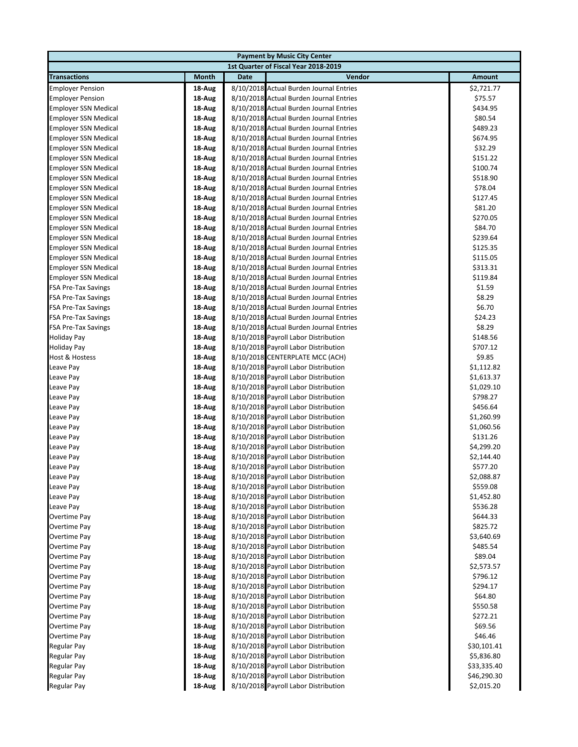|                                                          | <b>Payment by Music City Center</b> |      |                                                                                    |                        |  |  |
|----------------------------------------------------------|-------------------------------------|------|------------------------------------------------------------------------------------|------------------------|--|--|
| 1st Quarter of Fiscal Year 2018-2019                     |                                     |      |                                                                                    |                        |  |  |
| <b>Transactions</b>                                      | Month                               | Date | Vendor                                                                             | Amount                 |  |  |
| <b>Employer Pension</b>                                  | 18-Aug                              |      | 8/10/2018 Actual Burden Journal Entries                                            | \$2,721.77             |  |  |
| <b>Employer Pension</b>                                  | 18-Aug                              |      | 8/10/2018 Actual Burden Journal Entries                                            | \$75.57                |  |  |
| <b>Employer SSN Medical</b>                              | 18-Aug                              |      | 8/10/2018 Actual Burden Journal Entries                                            | \$434.95               |  |  |
| <b>Employer SSN Medical</b>                              | 18-Aug                              |      | 8/10/2018 Actual Burden Journal Entries                                            | \$80.54                |  |  |
| <b>Employer SSN Medical</b>                              | 18-Aug                              |      | 8/10/2018 Actual Burden Journal Entries                                            | \$489.23               |  |  |
| <b>Employer SSN Medical</b>                              | 18-Aug                              |      | 8/10/2018 Actual Burden Journal Entries                                            | \$674.95               |  |  |
| <b>Employer SSN Medical</b>                              | 18-Aug                              |      | 8/10/2018 Actual Burden Journal Entries                                            | \$32.29                |  |  |
| <b>Employer SSN Medical</b>                              | 18-Aug                              |      | 8/10/2018 Actual Burden Journal Entries                                            | \$151.22               |  |  |
| <b>Employer SSN Medical</b>                              | 18-Aug                              |      | 8/10/2018 Actual Burden Journal Entries                                            | \$100.74               |  |  |
| <b>Employer SSN Medical</b>                              | 18-Aug                              |      | 8/10/2018 Actual Burden Journal Entries                                            | \$518.90               |  |  |
| <b>Employer SSN Medical</b>                              | 18-Aug                              |      | 8/10/2018 Actual Burden Journal Entries                                            | \$78.04                |  |  |
| <b>Employer SSN Medical</b>                              | 18-Aug                              |      | 8/10/2018 Actual Burden Journal Entries                                            | \$127.45               |  |  |
| <b>Employer SSN Medical</b>                              | 18-Aug                              |      | 8/10/2018 Actual Burden Journal Entries                                            | \$81.20                |  |  |
| <b>Employer SSN Medical</b>                              | 18-Aug                              |      | 8/10/2018 Actual Burden Journal Entries                                            | \$270.05               |  |  |
| <b>Employer SSN Medical</b>                              | 18-Aug                              |      | 8/10/2018 Actual Burden Journal Entries                                            | \$84.70                |  |  |
| <b>Employer SSN Medical</b>                              | 18-Aug                              |      | 8/10/2018 Actual Burden Journal Entries                                            | \$239.64               |  |  |
| <b>Employer SSN Medical</b>                              | 18-Aug                              |      | 8/10/2018 Actual Burden Journal Entries                                            | \$125.35               |  |  |
| <b>Employer SSN Medical</b>                              | 18-Aug                              |      | 8/10/2018 Actual Burden Journal Entries                                            | \$115.05               |  |  |
| <b>Employer SSN Medical</b>                              | 18-Aug                              |      | 8/10/2018 Actual Burden Journal Entries                                            | \$313.31               |  |  |
| <b>Employer SSN Medical</b>                              | 18-Aug                              |      | 8/10/2018 Actual Burden Journal Entries                                            | \$119.84               |  |  |
| <b>FSA Pre-Tax Savings</b>                               | 18-Aug                              |      | 8/10/2018 Actual Burden Journal Entries                                            | \$1.59                 |  |  |
| <b>FSA Pre-Tax Savings</b>                               | 18-Aug                              |      | 8/10/2018 Actual Burden Journal Entries                                            | \$8.29                 |  |  |
| <b>FSA Pre-Tax Savings</b>                               | 18-Aug                              |      | 8/10/2018 Actual Burden Journal Entries<br>8/10/2018 Actual Burden Journal Entries | \$6.70<br>\$24.23      |  |  |
| <b>FSA Pre-Tax Savings</b><br><b>FSA Pre-Tax Savings</b> | 18-Aug<br>18-Aug                    |      | 8/10/2018 Actual Burden Journal Entries                                            | \$8.29                 |  |  |
| <b>Holiday Pay</b>                                       | 18-Aug                              |      | 8/10/2018 Payroll Labor Distribution                                               | \$148.56               |  |  |
| <b>Holiday Pay</b>                                       | 18-Aug                              |      | 8/10/2018 Payroll Labor Distribution                                               | \$707.12               |  |  |
| Host & Hostess                                           | 18-Aug                              |      | 8/10/2018 CENTERPLATE MCC (ACH)                                                    | \$9.85                 |  |  |
| Leave Pay                                                | 18-Aug                              |      | 8/10/2018 Payroll Labor Distribution                                               | \$1,112.82             |  |  |
| Leave Pay                                                | 18-Aug                              |      | 8/10/2018 Payroll Labor Distribution                                               | \$1,613.37             |  |  |
| Leave Pay                                                | 18-Aug                              |      | 8/10/2018 Payroll Labor Distribution                                               | \$1,029.10             |  |  |
| Leave Pay                                                | 18-Aug                              |      | 8/10/2018 Payroll Labor Distribution                                               | \$798.27               |  |  |
| Leave Pay                                                | 18-Aug                              |      | 8/10/2018 Payroll Labor Distribution                                               | \$456.64               |  |  |
| Leave Pay                                                | 18-Aug                              |      | 8/10/2018 Payroll Labor Distribution                                               | \$1,260.99             |  |  |
| Leave Pay                                                | 18-Aug                              |      | 8/10/2018 Payroll Labor Distribution                                               | \$1,060.56             |  |  |
| Leave Pay                                                | 18-Aug                              |      | 8/10/2018 Payroll Labor Distribution                                               | \$131.26               |  |  |
| Leave Pay                                                | 18-Aug                              |      | 8/10/2018 Payroll Labor Distribution                                               | \$4,299.20             |  |  |
| Leave Pay                                                | 18-Aug                              |      | 8/10/2018 Payroll Labor Distribution                                               | \$2,144.40             |  |  |
| Leave Pay                                                | 18-Aug                              |      | 8/10/2018 Payroll Labor Distribution                                               | \$577.20               |  |  |
| Leave Pay                                                | 18-Aug                              |      | 8/10/2018 Payroll Labor Distribution                                               | \$2,088.87             |  |  |
| Leave Pay                                                | 18-Aug                              |      | 8/10/2018 Payroll Labor Distribution                                               | \$559.08               |  |  |
| Leave Pay                                                | 18-Aug                              |      | 8/10/2018 Payroll Labor Distribution                                               | \$1,452.80             |  |  |
| Leave Pay                                                | 18-Aug                              |      | 8/10/2018 Payroll Labor Distribution                                               | \$536.28               |  |  |
| Overtime Pay                                             | 18-Aug                              |      | 8/10/2018 Payroll Labor Distribution                                               | \$644.33               |  |  |
| Overtime Pay                                             | 18-Aug                              |      | 8/10/2018 Payroll Labor Distribution                                               | \$825.72               |  |  |
| Overtime Pay                                             | 18-Aug                              |      | 8/10/2018 Payroll Labor Distribution                                               | \$3,640.69             |  |  |
| Overtime Pay                                             | 18-Aug                              |      | 8/10/2018 Payroll Labor Distribution                                               | \$485.54               |  |  |
| Overtime Pay<br>Overtime Pay                             | 18-Aug                              |      | 8/10/2018 Payroll Labor Distribution<br>8/10/2018 Payroll Labor Distribution       | \$89.04                |  |  |
| Overtime Pay                                             | 18-Aug<br>18-Aug                    |      | 8/10/2018 Payroll Labor Distribution                                               | \$2,573.57<br>\$796.12 |  |  |
| Overtime Pay                                             | 18-Aug                              |      | 8/10/2018 Payroll Labor Distribution                                               | \$294.17               |  |  |
| Overtime Pay                                             | 18-Aug                              |      | 8/10/2018 Payroll Labor Distribution                                               | \$64.80                |  |  |
| Overtime Pay                                             | 18-Aug                              |      | 8/10/2018 Payroll Labor Distribution                                               | \$550.58               |  |  |
| Overtime Pay                                             | 18-Aug                              |      | 8/10/2018 Payroll Labor Distribution                                               | \$272.21               |  |  |
| Overtime Pay                                             | 18-Aug                              |      | 8/10/2018 Payroll Labor Distribution                                               | \$69.56                |  |  |
| Overtime Pay                                             | 18-Aug                              |      | 8/10/2018 Payroll Labor Distribution                                               | \$46.46                |  |  |
| Regular Pay                                              | 18-Aug                              |      | 8/10/2018 Payroll Labor Distribution                                               | \$30,101.41            |  |  |
| Regular Pay                                              | 18-Aug                              |      | 8/10/2018 Payroll Labor Distribution                                               | \$5,836.80             |  |  |
| <b>Regular Pay</b>                                       | 18-Aug                              |      | 8/10/2018 Payroll Labor Distribution                                               | \$33,335.40            |  |  |
| Regular Pay                                              | 18-Aug                              |      | 8/10/2018 Payroll Labor Distribution                                               | \$46,290.30            |  |  |
| Regular Pay                                              | 18-Aug                              |      | 8/10/2018 Payroll Labor Distribution                                               | \$2,015.20             |  |  |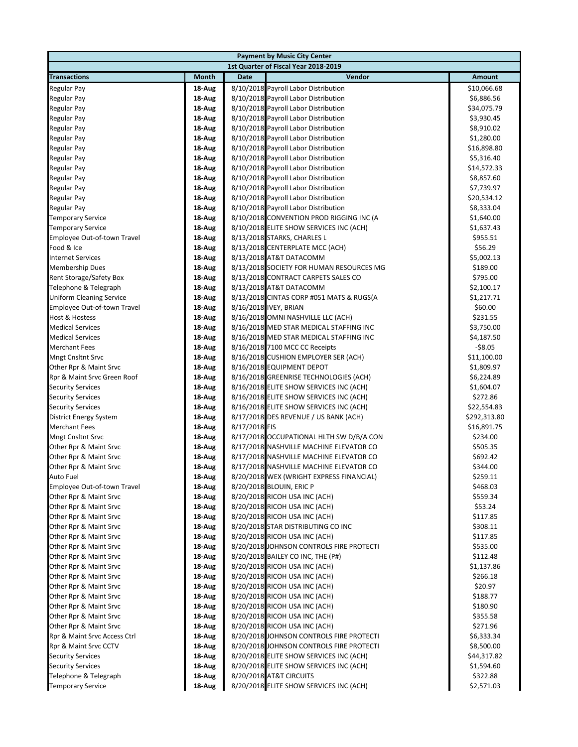| <b>Payment by Music City Center</b>                            |                  |               |                                                                                 |                       |  |  |
|----------------------------------------------------------------|------------------|---------------|---------------------------------------------------------------------------------|-----------------------|--|--|
| 1st Quarter of Fiscal Year 2018-2019                           |                  |               |                                                                                 |                       |  |  |
| <b>Transactions</b>                                            | <b>Month</b>     | <b>Date</b>   | Vendor                                                                          | Amount                |  |  |
| <b>Regular Pay</b>                                             | 18-Aug           |               | 8/10/2018 Payroll Labor Distribution                                            | \$10,066.68           |  |  |
| <b>Regular Pay</b>                                             | 18-Aug           |               | 8/10/2018 Payroll Labor Distribution                                            | \$6,886.56            |  |  |
| <b>Regular Pay</b>                                             | 18-Aug           |               | 8/10/2018 Payroll Labor Distribution                                            | \$34,075.79           |  |  |
| Regular Pay                                                    | 18-Aug           |               | 8/10/2018 Payroll Labor Distribution                                            | \$3,930.45            |  |  |
| Regular Pay                                                    | 18-Aug           |               | 8/10/2018 Payroll Labor Distribution                                            | \$8,910.02            |  |  |
| <b>Regular Pay</b>                                             | 18-Aug           |               | 8/10/2018 Payroll Labor Distribution                                            | \$1,280.00            |  |  |
| <b>Regular Pay</b>                                             | 18-Aug           |               | 8/10/2018 Payroll Labor Distribution                                            | \$16,898.80           |  |  |
| Regular Pay                                                    | 18-Aug           |               | 8/10/2018 Payroll Labor Distribution                                            | \$5,316.40            |  |  |
| Regular Pay                                                    | 18-Aug           |               | 8/10/2018 Payroll Labor Distribution                                            | \$14,572.33           |  |  |
| <b>Regular Pay</b>                                             | 18-Aug           |               | 8/10/2018 Payroll Labor Distribution                                            | \$8,857.60            |  |  |
| <b>Regular Pay</b>                                             | 18 Aug           |               | 8/10/2018 Payroll Labor Distribution                                            | \$7,739.97            |  |  |
| Regular Pay                                                    | 18-Aug           |               | 8/10/2018 Payroll Labor Distribution                                            | \$20,534.12           |  |  |
| Regular Pay                                                    | 18-Aug           |               | 8/10/2018 Payroll Labor Distribution                                            | \$8,333.04            |  |  |
| <b>Temporary Service</b>                                       | 18-Aug           |               | 8/10/2018 CONVENTION PROD RIGGING INC (A                                        | \$1,640.00            |  |  |
| <b>Temporary Service</b>                                       | 18-Aug           |               | 8/10/2018 ELITE SHOW SERVICES INC (ACH)                                         | \$1,637.43            |  |  |
| Employee Out-of-town Travel                                    | 18-Aug           |               | 8/13/2018 STARKS, CHARLES L                                                     | \$955.51              |  |  |
| Food & Ice                                                     | 18-Aug           |               | 8/13/2018 CENTERPLATE MCC (ACH)                                                 | \$56.29               |  |  |
| <b>Internet Services</b>                                       | 18-Aug           |               | 8/13/2018 AT&T DATACOMM                                                         | \$5,002.13            |  |  |
| <b>Membership Dues</b>                                         | 18-Aug           |               | 8/13/2018 SOCIETY FOR HUMAN RESOURCES MG<br>8/13/2018 CONTRACT CARPETS SALES CO | \$189.00              |  |  |
| Rent Storage/Safety Box                                        | 18-Aug           |               | 8/13/2018 AT&T DATACOMM                                                         | \$795.00              |  |  |
| Telephone & Telegraph                                          | 18-Aug           |               | 8/13/2018 CINTAS CORP #051 MATS & RUGS(A                                        | \$2,100.17            |  |  |
| <b>Uniform Cleaning Service</b><br>Employee Out-of-town Travel | 18-Aug<br>18-Aug |               | 8/16/2018 IVEY, BRIAN                                                           | \$1,217.71<br>\$60.00 |  |  |
| Host & Hostess                                                 | 18-Aug           |               | 8/16/2018 OMNI NASHVILLE LLC (ACH)                                              | \$231.55              |  |  |
| <b>Medical Services</b>                                        | 18-Aug           |               | 8/16/2018 MED STAR MEDICAL STAFFING INC                                         | \$3,750.00            |  |  |
| <b>Medical Services</b>                                        | 18-Aug           |               | 8/16/2018 MED STAR MEDICAL STAFFING INC                                         | \$4,187.50            |  |  |
| <b>Merchant Fees</b>                                           | 18-Aug           |               | 8/16/2018 7100 MCC CC Receipts                                                  | $-$ \$8.05            |  |  |
| <b>Mngt Cnsltnt Srvc</b>                                       | 18-Aug           |               | 8/16/2018 CUSHION EMPLOYER SER (ACH)                                            | \$11,100.00           |  |  |
| Other Rpr & Maint Srvc                                         | 18-Aug           |               | 8/16/2018 EQUIPMENT DEPOT                                                       | \$1,809.97            |  |  |
| Rpr & Maint Srvc Green Roof                                    | 18-Aug           |               | 8/16/2018 GREENRISE TECHNOLOGIES (ACH)                                          | \$6,224.89            |  |  |
| <b>Security Services</b>                                       | 18-Aug           |               | 8/16/2018 ELITE SHOW SERVICES INC (ACH)                                         | \$1,604.07            |  |  |
| <b>Security Services</b>                                       | 18-Aug           |               | 8/16/2018 ELITE SHOW SERVICES INC (ACH)                                         | \$272.86              |  |  |
| <b>Security Services</b>                                       | 18-Aug           |               | 8/16/2018 ELITE SHOW SERVICES INC (ACH)                                         | \$22,554.83           |  |  |
| <b>District Energy System</b>                                  | 18-Aug           |               | 8/17/2018 DES REVENUE / US BANK (ACH)                                           | \$292,313.80          |  |  |
| <b>Merchant Fees</b>                                           | 18 Aug           | 8/17/2018 FIS |                                                                                 | \$16,891.75           |  |  |
| <b>Mngt Cnsltnt Srvc</b>                                       | 18-Aug           |               | 8/17/2018 OCCUPATIONAL HLTH SW D/B/A CON                                        | \$234.00              |  |  |
| Other Rpr & Maint Srvc                                         | 18-Aug           |               | 8/17/2018 NASHVILLE MACHINE ELEVATOR CO                                         | \$505.35              |  |  |
| Other Rpr & Maint Srvc                                         | 18-Aug           |               | 8/17/2018 NASHVILLE MACHINE ELEVATOR CO                                         | \$692.42              |  |  |
| Other Rpr & Maint Srvc                                         | 18-Aug           |               | 8/17/2018 NASHVILLE MACHINE ELEVATOR CO                                         | \$344.00              |  |  |
| Auto Fuel                                                      | 18-Aug           |               | 8/20/2018 WEX (WRIGHT EXPRESS FINANCIAL)                                        | \$259.11              |  |  |
| Employee Out-of-town Travel                                    | 18 Aug           |               | 8/20/2018 BLOUIN, ERIC P                                                        | \$468.03              |  |  |
| Other Rpr & Maint Srvc                                         | 18 Aug           |               | 8/20/2018 RICOH USA INC (ACH)                                                   | \$559.34              |  |  |
| Other Rpr & Maint Srvc                                         | 18 Aug           |               | 8/20/2018 RICOH USA INC (ACH)                                                   | \$53.24               |  |  |
| Other Rpr & Maint Srvc                                         | 18 Aug           |               | 8/20/2018 RICOH USA INC (ACH)                                                   | \$117.85              |  |  |
| Other Rpr & Maint Srvc                                         | 18 Aug           |               | 8/20/2018 STAR DISTRIBUTING CO INC                                              | \$308.11              |  |  |
| Other Rpr & Maint Srvc                                         | 18 Aug           |               | 8/20/2018 RICOH USA INC (ACH)                                                   | \$117.85              |  |  |
| Other Rpr & Maint Srvc                                         | 18 Aug           |               | 8/20/2018 JOHNSON CONTROLS FIRE PROTECTI                                        | \$535.00              |  |  |
| Other Rpr & Maint Srvc                                         | 18 Aug           |               | 8/20/2018 BAILEY CO INC, THE (P#)                                               | \$112.48              |  |  |
| Other Rpr & Maint Srvc                                         | 18 Aug           |               | 8/20/2018 RICOH USA INC (ACH)                                                   | \$1,137.86            |  |  |
| Other Rpr & Maint Srvc<br>Other Rpr & Maint Srvc               | 18 Aug           |               | 8/20/2018 RICOH USA INC (ACH)                                                   | \$266.18              |  |  |
|                                                                | 18 Aug           |               | 8/20/2018 RICOH USA INC (ACH)                                                   | \$20.97               |  |  |
| Other Rpr & Maint Srvc                                         | 18 Aug           |               | 8/20/2018 RICOH USA INC (ACH)                                                   | \$188.77              |  |  |
| Other Rpr & Maint Srvc<br>Other Rpr & Maint Srvc               | 18 Aug           |               | 8/20/2018 RICOH USA INC (ACH)<br>8/20/2018 RICOH USA INC (ACH)                  | \$180.90<br>\$355.58  |  |  |
| Other Rpr & Maint Srvc                                         | 18 Aug<br>18 Aug |               | 8/20/2018 RICOH USA INC (ACH)                                                   | \$271.96              |  |  |
| Rpr & Maint Srvc Access Ctrl                                   | 18 Aug           |               | 8/20/2018 JOHNSON CONTROLS FIRE PROTECTI                                        | \$6,333.34            |  |  |
| Rpr & Maint Srvc CCTV                                          | 18-Aug           |               | 8/20/2018 JOHNSON CONTROLS FIRE PROTECTI                                        | \$8,500.00            |  |  |
| <b>Security Services</b>                                       | 18 Aug           |               | 8/20/2018 ELITE SHOW SERVICES INC (ACH)                                         | \$44,317.82           |  |  |
| <b>Security Services</b>                                       | 18-Aug           |               | 8/20/2018 ELITE SHOW SERVICES INC (ACH)                                         | \$1,594.60            |  |  |
| Telephone & Telegraph                                          | 18-Aug           |               | 8/20/2018 AT&T CIRCUITS                                                         | \$322.88              |  |  |
| <b>Temporary Service</b>                                       | 18 Aug           |               | 8/20/2018 ELITE SHOW SERVICES INC (ACH)                                         | \$2,571.03            |  |  |
|                                                                |                  |               |                                                                                 |                       |  |  |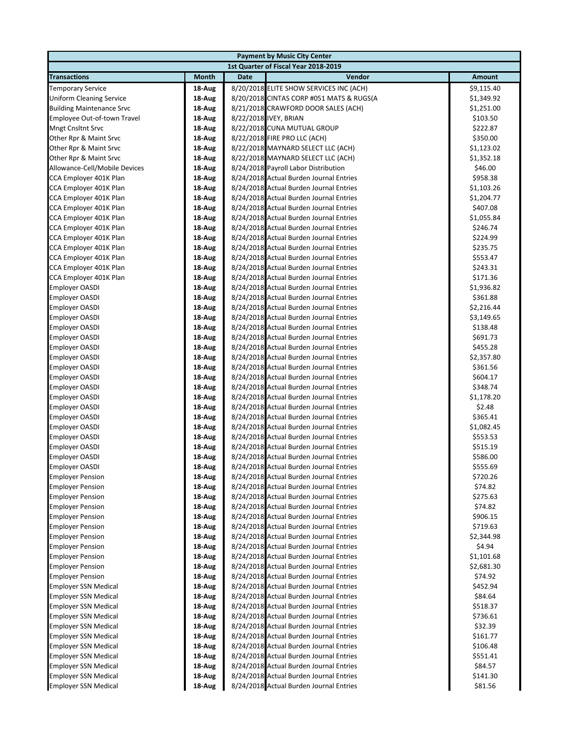| <b>Payment by Music City Center</b> |        |      |                                          |               |  |  |
|-------------------------------------|--------|------|------------------------------------------|---------------|--|--|
|                                     |        |      | 1st Quarter of Fiscal Year 2018-2019     |               |  |  |
| <b>Transactions</b>                 | Month  | Date | Vendor                                   | <b>Amount</b> |  |  |
| <b>Temporary Service</b>            | 18-Aug |      | 8/20/2018 ELITE SHOW SERVICES INC (ACH)  | \$9,115.40    |  |  |
| <b>Uniform Cleaning Service</b>     | 18-Aug |      | 8/20/2018 CINTAS CORP #051 MATS & RUGS(A | \$1,349.92    |  |  |
| <b>Building Maintenance Srvc</b>    | 18-Aug |      | 8/21/2018 CRAWFORD DOOR SALES (ACH)      | \$1,251.00    |  |  |
| Employee Out-of-town Travel         | 18-Aug |      | 8/22/2018 IVEY, BRIAN                    | \$103.50      |  |  |
| <b>Mngt Cnsltnt Srvc</b>            | 18-Aug |      | 8/22/2018 CUNA MUTUAL GROUP              | \$222.87      |  |  |
| Other Rpr & Maint Srvc              | 18-Aug |      | 8/22/2018 FIRE PRO LLC (ACH)             | \$350.00      |  |  |
| Other Rpr & Maint Srvc              | 18-Aug |      | 8/22/2018 MAYNARD SELECT LLC (ACH)       | \$1,123.02    |  |  |
| Other Rpr & Maint Srvc              | 18-Aug |      | 8/22/2018 MAYNARD SELECT LLC (ACH)       | \$1,352.18    |  |  |
| Allowance-Cell/Mobile Devices       | 18-Aug |      | 8/24/2018 Payroll Labor Distribution     | \$46.00       |  |  |
| CCA Employer 401K Plan              | 18-Aug |      | 8/24/2018 Actual Burden Journal Entries  | \$958.38      |  |  |
| CCA Employer 401K Plan              | 18-Aug |      | 8/24/2018 Actual Burden Journal Entries  | \$1,103.26    |  |  |
| CCA Employer 401K Plan              | 18-Aug |      | 8/24/2018 Actual Burden Journal Entries  | \$1,204.77    |  |  |
| CCA Employer 401K Plan              | 18-Aug |      | 8/24/2018 Actual Burden Journal Entries  | \$407.08      |  |  |
| CCA Employer 401K Plan              | 18-Aug |      | 8/24/2018 Actual Burden Journal Entries  | \$1,055.84    |  |  |
| CCA Employer 401K Plan              | 18-Aug |      | 8/24/2018 Actual Burden Journal Entries  | \$246.74      |  |  |
| CCA Employer 401K Plan              | 18-Aug |      | 8/24/2018 Actual Burden Journal Entries  | \$224.99      |  |  |
| CCA Employer 401K Plan              | 18-Aug |      | 8/24/2018 Actual Burden Journal Entries  | \$235.75      |  |  |
| CCA Employer 401K Plan              | 18-Aug |      | 8/24/2018 Actual Burden Journal Entries  | \$553.47      |  |  |
| CCA Employer 401K Plan              | 18-Aug |      | 8/24/2018 Actual Burden Journal Entries  | \$243.31      |  |  |
| CCA Employer 401K Plan              | 18-Aug |      | 8/24/2018 Actual Burden Journal Entries  | \$171.36      |  |  |
| <b>Employer OASDI</b>               | 18-Aug |      | 8/24/2018 Actual Burden Journal Entries  | \$1,936.82    |  |  |
| <b>Employer OASDI</b>               | 18-Aug |      | 8/24/2018 Actual Burden Journal Entries  | \$361.88      |  |  |
| <b>Employer OASDI</b>               | 18-Aug |      | 8/24/2018 Actual Burden Journal Entries  | \$2,216.44    |  |  |
| <b>Employer OASDI</b>               | 18-Aug |      | 8/24/2018 Actual Burden Journal Entries  | \$3,149.65    |  |  |
| <b>Employer OASDI</b>               | 18-Aug |      | 8/24/2018 Actual Burden Journal Entries  | \$138.48      |  |  |
| <b>Employer OASDI</b>               | 18-Aug |      | 8/24/2018 Actual Burden Journal Entries  | \$691.73      |  |  |
| <b>Employer OASDI</b>               | 18-Aug |      | 8/24/2018 Actual Burden Journal Entries  | \$455.28      |  |  |
| <b>Employer OASDI</b>               | 18-Aug |      | 8/24/2018 Actual Burden Journal Entries  | \$2,357.80    |  |  |
| <b>Employer OASDI</b>               | 18-Aug |      | 8/24/2018 Actual Burden Journal Entries  | \$361.56      |  |  |
| <b>Employer OASDI</b>               | 18-Aug |      | 8/24/2018 Actual Burden Journal Entries  | \$604.17      |  |  |
| <b>Employer OASDI</b>               | 18-Aug |      | 8/24/2018 Actual Burden Journal Entries  | \$348.74      |  |  |
| <b>Employer OASDI</b>               | 18-Aug |      | 8/24/2018 Actual Burden Journal Entries  | \$1,178.20    |  |  |
| <b>Employer OASDI</b>               | 18-Aug |      | 8/24/2018 Actual Burden Journal Entries  | \$2.48        |  |  |
| <b>Employer OASDI</b>               | 18-Aug |      | 8/24/2018 Actual Burden Journal Entries  | \$365.41      |  |  |
| <b>Employer OASDI</b>               | 18-Aug |      | 8/24/2018 Actual Burden Journal Entries  | \$1,082.45    |  |  |
| <b>Employer OASDI</b>               | 18-Aug |      | 8/24/2018 Actual Burden Journal Entries  | \$553.53      |  |  |
| <b>Employer OASDI</b>               | 18-Aug |      | 8/24/2018 Actual Burden Journal Entries  | \$515.19      |  |  |
| <b>Employer OASDI</b>               | 18-Aug |      | 8/24/2018 Actual Burden Journal Entries  | \$586.00      |  |  |
| <b>Employer OASDI</b>               | 18-Aug |      | 8/24/2018 Actual Burden Journal Entries  | \$555.69      |  |  |
| <b>Employer Pension</b>             | 18 Aug |      | 8/24/2018 Actual Burden Journal Entries  | \$720.26      |  |  |
| <b>Employer Pension</b>             | 18-Aug |      | 8/24/2018 Actual Burden Journal Entries  | \$74.82       |  |  |
| <b>Employer Pension</b>             | 18-Aug |      | 8/24/2018 Actual Burden Journal Entries  | \$275.63      |  |  |
| <b>Employer Pension</b>             | 18-Aug |      | 8/24/2018 Actual Burden Journal Entries  | \$74.82       |  |  |
| <b>Employer Pension</b>             | 18-Aug |      | 8/24/2018 Actual Burden Journal Entries  | \$906.15      |  |  |
| <b>Employer Pension</b>             | 18-Aug |      | 8/24/2018 Actual Burden Journal Entries  | \$719.63      |  |  |
| <b>Employer Pension</b>             | 18-Aug |      | 8/24/2018 Actual Burden Journal Entries  | \$2,344.98    |  |  |
| <b>Employer Pension</b>             | 18-Aug |      | 8/24/2018 Actual Burden Journal Entries  | \$4.94        |  |  |
| <b>Employer Pension</b>             | 18-Aug |      | 8/24/2018 Actual Burden Journal Entries  | \$1,101.68    |  |  |
| <b>Employer Pension</b>             | 18-Aug |      | 8/24/2018 Actual Burden Journal Entries  | \$2,681.30    |  |  |
| <b>Employer Pension</b>             | 18-Aug |      | 8/24/2018 Actual Burden Journal Entries  | \$74.92       |  |  |
| <b>Employer SSN Medical</b>         | 18-Aug |      | 8/24/2018 Actual Burden Journal Entries  | \$452.94      |  |  |
| <b>Employer SSN Medical</b>         | 18-Aug |      | 8/24/2018 Actual Burden Journal Entries  | \$84.64       |  |  |
| <b>Employer SSN Medical</b>         | 18-Aug |      | 8/24/2018 Actual Burden Journal Entries  | \$518.37      |  |  |
| <b>Employer SSN Medical</b>         | 18-Aug |      | 8/24/2018 Actual Burden Journal Entries  | \$736.61      |  |  |
| <b>Employer SSN Medical</b>         | 18-Aug |      | 8/24/2018 Actual Burden Journal Entries  | \$32.39       |  |  |
| <b>Employer SSN Medical</b>         | 18-Aug |      | 8/24/2018 Actual Burden Journal Entries  | \$161.77      |  |  |
| <b>Employer SSN Medical</b>         | 18-Aug |      | 8/24/2018 Actual Burden Journal Entries  | \$106.48      |  |  |
| <b>Employer SSN Medical</b>         | 18-Aug |      | 8/24/2018 Actual Burden Journal Entries  | \$551.41      |  |  |
| <b>Employer SSN Medical</b>         | 18-Aug |      | 8/24/2018 Actual Burden Journal Entries  | \$84.57       |  |  |
| <b>Employer SSN Medical</b>         | 18-Aug |      | 8/24/2018 Actual Burden Journal Entries  | \$141.30      |  |  |
| <b>Employer SSN Medical</b>         | 18-Aug |      | 8/24/2018 Actual Burden Journal Entries  | \$81.56       |  |  |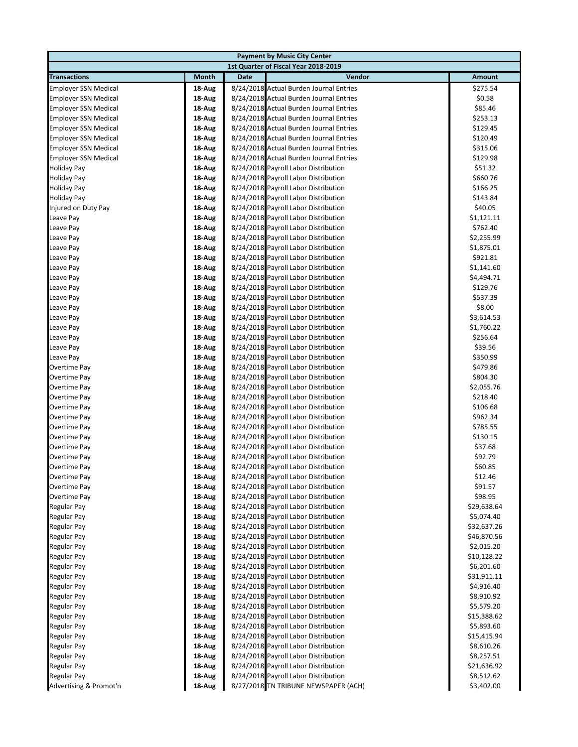| <b>Payment by Music City Center</b>  |                  |      |                                                                              |                      |  |  |
|--------------------------------------|------------------|------|------------------------------------------------------------------------------|----------------------|--|--|
| 1st Quarter of Fiscal Year 2018-2019 |                  |      |                                                                              |                      |  |  |
| <b>Transactions</b>                  | Month            | Date | Vendor                                                                       | <b>Amount</b>        |  |  |
| <b>Employer SSN Medical</b>          | 18-Aug           |      | 8/24/2018 Actual Burden Journal Entries                                      | \$275.54             |  |  |
| <b>Employer SSN Medical</b>          | 18-Aug           |      | 8/24/2018 Actual Burden Journal Entries                                      | \$0.58               |  |  |
| <b>Employer SSN Medical</b>          | 18-Aug           |      | 8/24/2018 Actual Burden Journal Entries                                      | \$85.46              |  |  |
| <b>Employer SSN Medical</b>          | 18-Aug           |      | 8/24/2018 Actual Burden Journal Entries                                      | \$253.13             |  |  |
| <b>Employer SSN Medical</b>          | 18-Aug           |      | 8/24/2018 Actual Burden Journal Entries                                      | \$129.45             |  |  |
| <b>Employer SSN Medical</b>          | 18-Aug           |      | 8/24/2018 Actual Burden Journal Entries                                      | \$120.49             |  |  |
| <b>Employer SSN Medical</b>          | 18-Aug           |      | 8/24/2018 Actual Burden Journal Entries                                      | \$315.06             |  |  |
| <b>Employer SSN Medical</b>          | 18-Aug           |      | 8/24/2018 Actual Burden Journal Entries                                      | \$129.98             |  |  |
| <b>Holiday Pay</b>                   | 18-Aug           |      | 8/24/2018 Payroll Labor Distribution                                         | \$51.32              |  |  |
| <b>Holiday Pay</b>                   | 18-Aug           |      | 8/24/2018 Payroll Labor Distribution                                         | \$660.76             |  |  |
| <b>Holiday Pay</b>                   | 18-Aug           |      | 8/24/2018 Payroll Labor Distribution                                         | \$166.25             |  |  |
| <b>Holiday Pay</b>                   | 18-Aug           |      | 8/24/2018 Payroll Labor Distribution                                         | \$143.84             |  |  |
| Injured on Duty Pay                  | 18-Aug           |      | 8/24/2018 Payroll Labor Distribution                                         | \$40.05              |  |  |
| Leave Pay                            | 18-Aug           |      | 8/24/2018 Payroll Labor Distribution                                         | \$1,121.11           |  |  |
| Leave Pay                            | 18-Aug           |      | 8/24/2018 Payroll Labor Distribution                                         | \$762.40             |  |  |
| Leave Pay                            | 18-Aug           |      | 8/24/2018 Payroll Labor Distribution                                         | \$2,255.99           |  |  |
| Leave Pay                            | 18-Aug           |      | 8/24/2018 Payroll Labor Distribution                                         | \$1,875.01           |  |  |
| Leave Pay                            | 18-Aug           |      | 8/24/2018 Payroll Labor Distribution                                         | \$921.81             |  |  |
| Leave Pay                            | 18-Aug           |      | 8/24/2018 Payroll Labor Distribution                                         | \$1,141.60           |  |  |
| Leave Pay                            | 18-Aug           |      | 8/24/2018 Payroll Labor Distribution                                         | \$4,494.71           |  |  |
| Leave Pay                            | 18-Aug           |      | 8/24/2018 Payroll Labor Distribution                                         | \$129.76             |  |  |
| Leave Pay                            | 18-Aug           |      | 8/24/2018 Payroll Labor Distribution                                         | \$537.39             |  |  |
| Leave Pay                            | 18-Aug           |      | 8/24/2018 Payroll Labor Distribution                                         | \$8.00               |  |  |
| Leave Pay                            | 18-Aug           |      | 8/24/2018 Payroll Labor Distribution                                         | \$3,614.53           |  |  |
| Leave Pay                            | 18-Aug           |      | 8/24/2018 Payroll Labor Distribution                                         | \$1,760.22           |  |  |
| Leave Pay                            | 18-Aug           |      | 8/24/2018 Payroll Labor Distribution                                         | \$256.64             |  |  |
| Leave Pay                            | 18-Aug           |      | 8/24/2018 Payroll Labor Distribution                                         | \$39.56              |  |  |
| Leave Pay                            | 18-Aug           |      | 8/24/2018 Payroll Labor Distribution                                         | \$350.99             |  |  |
| Overtime Pay                         | 18-Aug           |      | 8/24/2018 Payroll Labor Distribution                                         | \$479.86             |  |  |
| Overtime Pay                         | 18-Aug           |      | 8/24/2018 Payroll Labor Distribution                                         | \$804.30             |  |  |
| Overtime Pay                         | 18-Aug           |      | 8/24/2018 Payroll Labor Distribution                                         | \$2,055.76           |  |  |
| Overtime Pay<br>Overtime Pay         | 18-Aug<br>18-Aug |      | 8/24/2018 Payroll Labor Distribution<br>8/24/2018 Payroll Labor Distribution | \$218.40<br>\$106.68 |  |  |
| Overtime Pay                         |                  |      | 8/24/2018 Payroll Labor Distribution                                         | \$962.34             |  |  |
| Overtime Pay                         | 18-Aug<br>18-Aug |      | 8/24/2018 Payroll Labor Distribution                                         | \$785.55             |  |  |
| Overtime Pay                         | 18-Aug           |      | 8/24/2018 Payroll Labor Distribution                                         | \$130.15             |  |  |
| Overtime Pay                         | 18 Aug           |      | 8/24/2018 Payroll Labor Distribution                                         | \$37.68              |  |  |
| Overtime Pay                         | 18-Aug           |      | 8/24/2018 Payroll Labor Distribution                                         | \$92.79              |  |  |
| Overtime Pay                         | 18-Aug           |      | 8/24/2018 Payroll Labor Distribution                                         | \$60.85              |  |  |
| Overtime Pay                         | 18-Aug           |      | 8/24/2018 Payroll Labor Distribution                                         | \$12.46              |  |  |
| Overtime Pay                         | 18-Aug           |      | 8/24/2018 Payroll Labor Distribution                                         | \$91.57              |  |  |
| Overtime Pay                         | 18-Aug           |      | 8/24/2018 Payroll Labor Distribution                                         | \$98.95              |  |  |
| Regular Pay                          | 18 Aug           |      | 8/24/2018 Payroll Labor Distribution                                         | \$29,638.64          |  |  |
| Regular Pay                          | 18 Aug           |      | 8/24/2018 Payroll Labor Distribution                                         | \$5,074.40           |  |  |
| Regular Pay                          | 18-Aug           |      | 8/24/2018 Payroll Labor Distribution                                         | \$32,637.26          |  |  |
| <b>Regular Pay</b>                   | 18-Aug           |      | 8/24/2018 Payroll Labor Distribution                                         | \$46,870.56          |  |  |
| <b>Regular Pay</b>                   | 18-Aug           |      | 8/24/2018 Payroll Labor Distribution                                         | \$2,015.20           |  |  |
| <b>Regular Pay</b>                   | 18 Aug           |      | 8/24/2018 Payroll Labor Distribution                                         | \$10,128.22          |  |  |
| <b>Regular Pay</b>                   | 18 Aug           |      | 8/24/2018 Payroll Labor Distribution                                         | \$6,201.60           |  |  |
| <b>Regular Pay</b>                   | 18 Aug           |      | 8/24/2018 Payroll Labor Distribution                                         | \$31,911.11          |  |  |
| <b>Regular Pay</b>                   | 18 Aug           |      | 8/24/2018 Payroll Labor Distribution                                         | \$4,916.40           |  |  |
| <b>Regular Pay</b>                   | 18 Aug           |      | 8/24/2018 Payroll Labor Distribution                                         | \$8,910.92           |  |  |
| <b>Regular Pay</b>                   | 18-Aug           |      | 8/24/2018 Payroll Labor Distribution                                         | \$5,579.20           |  |  |
| <b>Regular Pay</b>                   | 18-Aug           |      | 8/24/2018 Payroll Labor Distribution                                         | \$15,388.62          |  |  |
| <b>Regular Pay</b>                   | 18-Aug           |      | 8/24/2018 Payroll Labor Distribution                                         | \$5,893.60           |  |  |
| <b>Regular Pay</b>                   | 18 Aug           |      | 8/24/2018 Payroll Labor Distribution                                         | \$15,415.94          |  |  |
| Regular Pay                          | 18 Aug           |      | 8/24/2018 Payroll Labor Distribution                                         | \$8,610.26           |  |  |
| <b>Regular Pay</b>                   | 18 Aug           |      | 8/24/2018 Payroll Labor Distribution                                         | \$8,257.51           |  |  |
| <b>Regular Pay</b>                   | 18-Aug           |      | 8/24/2018 Payroll Labor Distribution                                         | \$21,636.92          |  |  |
| <b>Regular Pay</b>                   | 18-Aug           |      | 8/24/2018 Payroll Labor Distribution                                         | \$8,512.62           |  |  |
| Advertising & Promot'n               | 18-Aug           |      | 8/27/2018 TN TRIBUNE NEWSPAPER (ACH)                                         | \$3,402.00           |  |  |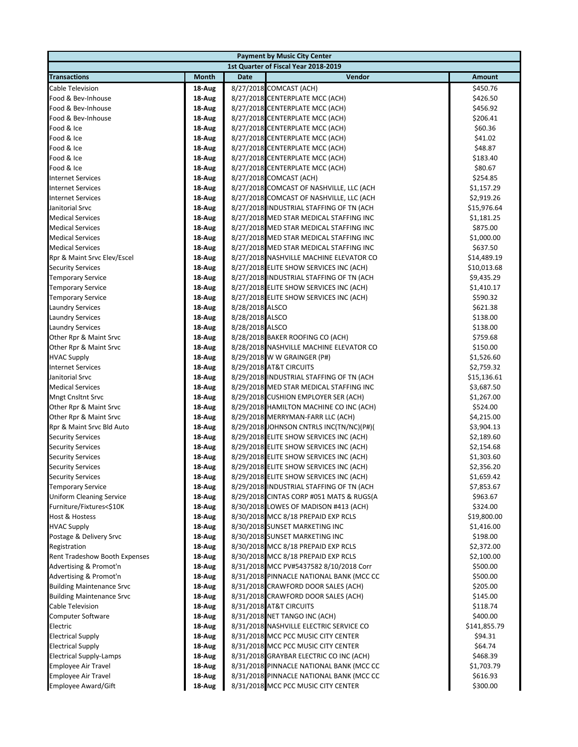|                                      |        |                 | <b>Payment by Music City Center</b>      |              |
|--------------------------------------|--------|-----------------|------------------------------------------|--------------|
|                                      |        |                 | 1st Quarter of Fiscal Year 2018-2019     |              |
| <b>Transactions</b>                  | Month  | Date            | Vendor                                   | Amount       |
| <b>Cable Television</b>              | 18-Aug |                 | 8/27/2018 COMCAST (ACH)                  | \$450.76     |
| Food & Bev-Inhouse                   | 18-Aug |                 | 8/27/2018 CENTERPLATE MCC (ACH)          | \$426.50     |
| Food & Bev-Inhouse                   | 18-Aug |                 | 8/27/2018 CENTERPLATE MCC (ACH)          | \$456.92     |
| Food & Bev-Inhouse                   | 18-Aug |                 | 8/27/2018 CENTERPLATE MCC (ACH)          | \$206.41     |
| Food & Ice                           | 18-Aug |                 | 8/27/2018 CENTERPLATE MCC (ACH)          | \$60.36      |
| Food & Ice                           | 18-Aug |                 | 8/27/2018 CENTERPLATE MCC (ACH)          | \$41.02      |
| Food & Ice                           | 18-Aug |                 | 8/27/2018 CENTERPLATE MCC (ACH)          | \$48.87      |
| Food & Ice                           | 18-Aug |                 | 8/27/2018 CENTERPLATE MCC (ACH)          | \$183.40     |
| Food & Ice                           | 18-Aug |                 | 8/27/2018 CENTERPLATE MCC (ACH)          | \$80.67      |
| <b>Internet Services</b>             | 18-Aug |                 | 8/27/2018 COMCAST (ACH)                  | \$254.85     |
| <b>Internet Services</b>             | 18-Aug |                 | 8/27/2018 COMCAST OF NASHVILLE, LLC (ACH | \$1,157.29   |
| <b>Internet Services</b>             | 18-Aug |                 | 8/27/2018 COMCAST OF NASHVILLE, LLC (ACH | \$2,919.26   |
| Janitorial Srvc                      | 18-Aug |                 | 8/27/2018 INDUSTRIAL STAFFING OF TN (ACH | \$15,976.64  |
| <b>Medical Services</b>              | 18-Aug |                 | 8/27/2018 MED STAR MEDICAL STAFFING INC  | \$1,181.25   |
| <b>Medical Services</b>              | 18-Aug |                 | 8/27/2018 MED STAR MEDICAL STAFFING INC  | \$875.00     |
| <b>Medical Services</b>              | 18-Aug |                 | 8/27/2018 MED STAR MEDICAL STAFFING INC  | \$1,000.00   |
| <b>Medical Services</b>              | 18-Aug |                 | 8/27/2018 MED STAR MEDICAL STAFFING INC  | \$637.50     |
| Rpr & Maint Srvc Elev/Escel          | 18-Aug |                 | 8/27/2018 NASHVILLE MACHINE ELEVATOR CO  | \$14,489.19  |
| <b>Security Services</b>             | 18-Aug |                 | 8/27/2018 ELITE SHOW SERVICES INC (ACH)  | \$10,013.68  |
| <b>Temporary Service</b>             | 18-Aug |                 | 8/27/2018 INDUSTRIAL STAFFING OF TN (ACH | \$9,435.29   |
| <b>Temporary Service</b>             | 18-Aug |                 | 8/27/2018 ELITE SHOW SERVICES INC (ACH)  | \$1,410.17   |
| <b>Temporary Service</b>             | 18-Aug |                 | 8/27/2018 ELITE SHOW SERVICES INC (ACH)  | \$590.32     |
| <b>Laundry Services</b>              | 18-Aug | 8/28/2018 ALSCO |                                          | \$621.38     |
| <b>Laundry Services</b>              | 18-Aug | 8/28/2018 ALSCO |                                          | \$138.00     |
| <b>Laundry Services</b>              | 18-Aug | 8/28/2018 ALSCO |                                          | \$138.00     |
| Other Rpr & Maint Srvc               | 18-Aug |                 | 8/28/2018 BAKER ROOFING CO (ACH)         | \$759.68     |
| Other Rpr & Maint Srvc               | 18-Aug |                 | 8/28/2018 NASHVILLE MACHINE ELEVATOR CO  | \$150.00     |
| <b>HVAC Supply</b>                   | 18-Aug |                 | 8/29/2018 W W GRAINGER (P#)              | \$1,526.60   |
| <b>Internet Services</b>             | 18-Aug |                 | 8/29/2018 AT&T CIRCUITS                  | \$2,759.32   |
| Janitorial Srvc                      | 18-Aug |                 | 8/29/2018 INDUSTRIAL STAFFING OF TN (ACH | \$15,136.61  |
| <b>Medical Services</b>              | 18-Aug |                 | 8/29/2018 MED STAR MEDICAL STAFFING INC  | \$3,687.50   |
| <b>Mngt Cnsltnt Srvc</b>             | 18-Aug |                 | 8/29/2018 CUSHION EMPLOYER SER (ACH)     | \$1,267.00   |
| Other Rpr & Maint Srvc               | 18-Aug |                 | 8/29/2018 HAMILTON MACHINE CO INC (ACH)  | \$524.00     |
| Other Rpr & Maint Srvc               | 18-Aug |                 | 8/29/2018 MERRYMAN-FARR LLC (ACH)        | \$4,215.00   |
| Rpr & Maint Srvc Bld Auto            | 18-Aug |                 | 8/29/2018 JOHNSON CNTRLS INC(TN/NC)(P#)( | \$3,904.13   |
| <b>Security Services</b>             | 18-Aug |                 | 8/29/2018 ELITE SHOW SERVICES INC (ACH)  | \$2,189.60   |
| <b>Security Services</b>             | 18-Aug |                 | 8/29/2018 ELITE SHOW SERVICES INC (ACH)  | \$2,154.68   |
| <b>Security Services</b>             | 18-Aug |                 | 8/29/2018 ELITE SHOW SERVICES INC (ACH)  | \$1,303.60   |
| <b>Security Services</b>             | 18-Aug |                 | 8/29/2018 ELITE SHOW SERVICES INC (ACH)  | \$2,356.20   |
| <b>Security Services</b>             | 18-Aug |                 | 8/29/2018 ELITE SHOW SERVICES INC (ACH)  | \$1,659.42   |
| <b>Temporary Service</b>             | 18-Aug |                 | 8/29/2018 INDUSTRIAL STAFFING OF TN (ACH | \$7,853.67   |
| <b>Uniform Cleaning Service</b>      | 18-Aug |                 | 8/29/2018 CINTAS CORP #051 MATS & RUGS(A | \$963.67     |
| Furniture/Fixtures<\$10K             | 18-Aug |                 | 8/30/2018 LOWES OF MADISON #413 (ACH)    | \$324.00     |
| <b>Host &amp; Hostess</b>            | 18-Aug |                 | 8/30/2018 MCC 8/18 PREPAID EXP RCLS      | \$19,800.00  |
| <b>HVAC Supply</b>                   | 18-Aug |                 | 8/30/2018 SUNSET MARKETING INC           | \$1,416.00   |
| Postage & Delivery Srvc              | 18-Aug |                 | 8/30/2018 SUNSET MARKETING INC           | \$198.00     |
| Registration                         | 18-Aug |                 | 8/30/2018 MCC 8/18 PREPAID EXP RCLS      | \$2,372.00   |
| <b>Rent Tradeshow Booth Expenses</b> | 18-Aug |                 | 8/30/2018 MCC 8/18 PREPAID EXP RCLS      | \$2,100.00   |
| Advertising & Promot'n               | 18-Aug |                 | 8/31/2018 MCC PV#5437582 8/10/2018 Corr  | \$500.00     |
| Advertising & Promot'n               | 18-Aug |                 | 8/31/2018 PINNACLE NATIONAL BANK (MCC CC | \$500.00     |
| <b>Building Maintenance Srvc</b>     | 18-Aug |                 | 8/31/2018 CRAWFORD DOOR SALES (ACH)      | \$205.00     |
| <b>Building Maintenance Srvc</b>     | 18-Aug |                 | 8/31/2018 CRAWFORD DOOR SALES (ACH)      | \$145.00     |
| Cable Television                     | 18-Aug |                 | 8/31/2018 AT&T CIRCUITS                  | \$118.74     |
| <b>Computer Software</b>             | 18-Aug |                 | 8/31/2018 NET TANGO INC (ACH)            | \$400.00     |
| Electric                             | 18-Aug |                 | 8/31/2018 NASHVILLE ELECTRIC SERVICE CO  | \$141,855.79 |
| <b>Electrical Supply</b>             | 18-Aug |                 | 8/31/2018 MCC PCC MUSIC CITY CENTER      | \$94.31      |
| <b>Electrical Supply</b>             | 18-Aug |                 | 8/31/2018 MCC PCC MUSIC CITY CENTER      | \$64.74      |
| <b>Electrical Supply-Lamps</b>       | 18-Aug |                 | 8/31/2018 GRAYBAR ELECTRIC CO INC (ACH)  | \$468.39     |
| <b>Employee Air Travel</b>           | 18-Aug |                 | 8/31/2018 PINNACLE NATIONAL BANK (MCC CC | \$1,703.79   |
| <b>Employee Air Travel</b>           | 18-Aug |                 | 8/31/2018 PINNACLE NATIONAL BANK (MCC CC | \$616.93     |
| <b>Employee Award/Gift</b>           | 18-Aug |                 | 8/31/2018 MCC PCC MUSIC CITY CENTER      | \$300.00     |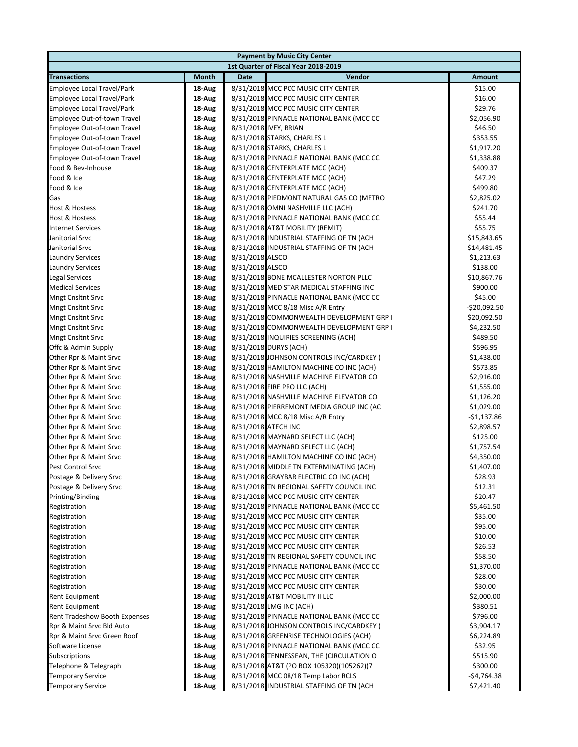| <b>Payment by Music City Center</b>  |                  |                                                                                      |                       |  |  |  |
|--------------------------------------|------------------|--------------------------------------------------------------------------------------|-----------------------|--|--|--|
| 1st Quarter of Fiscal Year 2018-2019 |                  |                                                                                      |                       |  |  |  |
| <b>Transactions</b>                  | Month            | Vendor<br>Date                                                                       | <b>Amount</b>         |  |  |  |
| <b>Employee Local Travel/Park</b>    | 18-Aug           | 8/31/2018 MCC PCC MUSIC CITY CENTER                                                  | \$15.00               |  |  |  |
| Employee Local Travel/Park           | 18-Aug           | 8/31/2018 MCC PCC MUSIC CITY CENTER                                                  | \$16.00               |  |  |  |
| Employee Local Travel/Park           | 18-Aug           | 8/31/2018 MCC PCC MUSIC CITY CENTER                                                  | \$29.76               |  |  |  |
| Employee Out-of-town Travel          | 18-Aug           | 8/31/2018 PINNACLE NATIONAL BANK (MCC CC                                             | \$2,056.90            |  |  |  |
| Employee Out-of-town Travel          | 18-Aug           | 8/31/2018 IVEY, BRIAN                                                                | \$46.50               |  |  |  |
| Employee Out-of-town Travel          | 18-Aug           | 8/31/2018 STARKS, CHARLES L                                                          | \$353.55              |  |  |  |
| Employee Out-of-town Travel          | 18-Aug           | 8/31/2018 STARKS, CHARLES L                                                          | \$1,917.20            |  |  |  |
| Employee Out-of-town Travel          | 18-Aug           | 8/31/2018 PINNACLE NATIONAL BANK (MCC CC                                             | \$1,338.88            |  |  |  |
| Food & Bev-Inhouse                   | 18-Aug           | 8/31/2018 CENTERPLATE MCC (ACH)                                                      | \$409.37              |  |  |  |
| Food & Ice                           | 18-Aug           | 8/31/2018 CENTERPLATE MCC (ACH)                                                      | \$47.29               |  |  |  |
| Food & Ice                           | 18-Aug           | 8/31/2018 CENTERPLATE MCC (ACH)                                                      | \$499.80              |  |  |  |
| Gas                                  | 18-Aug           | 8/31/2018 PIEDMONT NATURAL GAS CO (METRO                                             | \$2,825.02            |  |  |  |
| <b>Host &amp; Hostess</b>            | 18-Aug           | 8/31/2018 OMNI NASHVILLE LLC (ACH)                                                   | \$241.70              |  |  |  |
| <b>Host &amp; Hostess</b>            | 18-Aug           | 8/31/2018 PINNACLE NATIONAL BANK (MCC CC                                             | \$55.44               |  |  |  |
| <b>Internet Services</b>             | 18-Aug           | 8/31/2018 AT&T MOBILITY (REMIT)                                                      | \$55.75               |  |  |  |
| Janitorial Srvc                      | 18-Aug           | 8/31/2018 INDUSTRIAL STAFFING OF TN (ACH                                             | \$15,843.65           |  |  |  |
| Janitorial Srvc                      | 18-Aug           | 8/31/2018 INDUSTRIAL STAFFING OF TN (ACH                                             | \$14,481.45           |  |  |  |
| <b>Laundry Services</b>              | 18-Aug           | 8/31/2018 ALSCO                                                                      | \$1,213.63            |  |  |  |
| <b>Laundry Services</b>              | 18 Aug           | 8/31/2018 ALSCO                                                                      | \$138.00              |  |  |  |
| <b>Legal Services</b>                | 18-Aug           | 8/31/2018 BONE MCALLESTER NORTON PLLC                                                | \$10,867.76           |  |  |  |
| <b>Medical Services</b>              | 18-Aug           | 8/31/2018 MED STAR MEDICAL STAFFING INC                                              | \$900.00              |  |  |  |
| <b>Mngt Cnsltnt Srvc</b>             | 18-Aug           | 8/31/2018 PINNACLE NATIONAL BANK (MCC CC                                             | \$45.00               |  |  |  |
| <b>Mngt Cnsltnt Srvc</b>             | 18-Aug           | 8/31/2018 MCC 8/18 Misc A/R Entry                                                    | $-$20,092.50$         |  |  |  |
| <b>Mngt Cnsltnt Srvc</b>             | 18-Aug           | 8/31/2018 COMMONWEALTH DEVELOPMENT GRP I                                             | \$20,092.50           |  |  |  |
| <b>Mngt Cnsltnt Srvc</b>             | 18-Aug           | 8/31/2018 COMMONWEALTH DEVELOPMENT GRP I                                             | \$4,232.50            |  |  |  |
| <b>Mngt Cnsltnt Srvc</b>             | 18-Aug           | 8/31/2018 INQUIRIES SCREENING (ACH)                                                  | \$489.50              |  |  |  |
| Offc & Admin Supply                  | 18-Aug           | 8/31/2018 DURYS (ACH)                                                                | \$596.95              |  |  |  |
| Other Rpr & Maint Srvc               | 18-Aug           | 8/31/2018 JOHNSON CONTROLS INC/CARDKEY (                                             | \$1,438.00            |  |  |  |
| Other Rpr & Maint Srvc               | 18-Aug           | 8/31/2018 HAMILTON MACHINE CO INC (ACH)                                              | \$573.85              |  |  |  |
| Other Rpr & Maint Srvc               | 18-Aug           | 8/31/2018 NASHVILLE MACHINE ELEVATOR CO                                              | \$2,916.00            |  |  |  |
| Other Rpr & Maint Srvc               | 18-Aug           | 8/31/2018 FIRE PRO LLC (ACH)                                                         | \$1,555.00            |  |  |  |
| Other Rpr & Maint Srvc               | 18-Aug           | 8/31/2018 NASHVILLE MACHINE ELEVATOR CO                                              | \$1,126.20            |  |  |  |
| Other Rpr & Maint Srvc               | 18-Aug           | 8/31/2018 PIERREMONT MEDIA GROUP INC (AC                                             | \$1,029.00            |  |  |  |
| Other Rpr & Maint Srvc               | 18-Aug           | 8/31/2018 MCC 8/18 Misc A/R Entry                                                    | $-$1,137.86$          |  |  |  |
| Other Rpr & Maint Srvc               | 18-Aug           | 8/31/2018 ATECH INC                                                                  | \$2,898.57            |  |  |  |
| Other Rpr & Maint Srvc               | 18-Aug           | 8/31/2018 MAYNARD SELECT LLC (ACH)                                                   | \$125.00              |  |  |  |
| Other Rpr & Maint Srvc               | 18-Aug           | 8/31/2018 MAYNARD SELECT LLC (ACH)                                                   | \$1,757.54            |  |  |  |
| Other Rpr & Maint Srvc               | 18-Aug           | 8/31/2018 HAMILTON MACHINE CO INC (ACH)                                              | \$4,350.00            |  |  |  |
| <b>Pest Control Srvc</b>             | 18-Aug           | 8/31/2018 MIDDLE TN EXTERMINATING (ACH)                                              | \$1,407.00            |  |  |  |
| Postage & Delivery Srvc              | 18-Aug           | 8/31/2018 GRAYBAR ELECTRIC CO INC (ACH)                                              | \$28.93               |  |  |  |
| Postage & Delivery Srvc              | 18 Aug           | 8/31/2018 TN REGIONAL SAFETY COUNCIL INC                                             | \$12.31               |  |  |  |
| Printing/Binding                     | 18-Aug           | 8/31/2018 MCC PCC MUSIC CITY CENTER                                                  | \$20.47               |  |  |  |
| Registration                         | 18 Aug           | 8/31/2018 PINNACLE NATIONAL BANK (MCC CC                                             | \$5,461.50            |  |  |  |
| Registration                         | 18 Aug           | 8/31/2018 MCC PCC MUSIC CITY CENTER                                                  | \$35.00               |  |  |  |
| Registration                         | 18 Aug           | 8/31/2018 MCC PCC MUSIC CITY CENTER                                                  | \$95.00               |  |  |  |
| Registration                         | 18-Aug           | 8/31/2018 MCC PCC MUSIC CITY CENTER<br>8/31/2018 MCC PCC MUSIC CITY CENTER           | \$10.00               |  |  |  |
| Registration                         | 18-Aug           |                                                                                      | \$26.53               |  |  |  |
| Registration<br>Registration         | 18 Aug           | 8/31/2018 TN REGIONAL SAFETY COUNCIL INC<br>8/31/2018 PINNACLE NATIONAL BANK (MCC CC | \$58.50               |  |  |  |
| Registration                         | 18 Aug<br>18-Aug | 8/31/2018 MCC PCC MUSIC CITY CENTER                                                  | \$1,370.00<br>\$28.00 |  |  |  |
| Registration                         | 18-Aug           | 8/31/2018 MCC PCC MUSIC CITY CENTER                                                  | \$30.00               |  |  |  |
| <b>Rent Equipment</b>                | 18 Aug           | 8/31/2018 AT&T MOBILITY II LLC                                                       | \$2,000.00            |  |  |  |
| <b>Rent Equipment</b>                | 18-Aug           | 8/31/2018 LMG INC (ACH)                                                              | \$380.51              |  |  |  |
| <b>Rent Tradeshow Booth Expenses</b> | 18-Aug           | 8/31/2018 PINNACLE NATIONAL BANK (MCC CC                                             | \$796.00              |  |  |  |
| Rpr & Maint Srvc Bld Auto            | 18-Aug           | 8/31/2018 JOHNSON CONTROLS INC/CARDKEY (                                             | \$3,904.17            |  |  |  |
| Rpr & Maint Srvc Green Roof          | 18-Aug           | 8/31/2018 GREENRISE TECHNOLOGIES (ACH)                                               | \$6,224.89            |  |  |  |
| Software License                     | 18 Aug           | 8/31/2018 PINNACLE NATIONAL BANK (MCC CC                                             | \$32.95               |  |  |  |
| <b>Subscriptions</b>                 | 18 Aug           | 8/31/2018 TENNESSEAN, THE (CIRCULATION O                                             | \$515.90              |  |  |  |
| Telephone & Telegraph                | 18-Aug           | 8/31/2018 AT&T (PO BOX 105320)(105262)(7                                             | \$300.00              |  |  |  |
| <b>Temporary Service</b>             | 18-Aug           | 8/31/2018 MCC 08/18 Temp Labor RCLS                                                  | -\$4,764.38           |  |  |  |
| <b>Temporary Service</b>             | 18-Aug           | 8/31/2018 INDUSTRIAL STAFFING OF TN (ACH                                             | \$7,421.40            |  |  |  |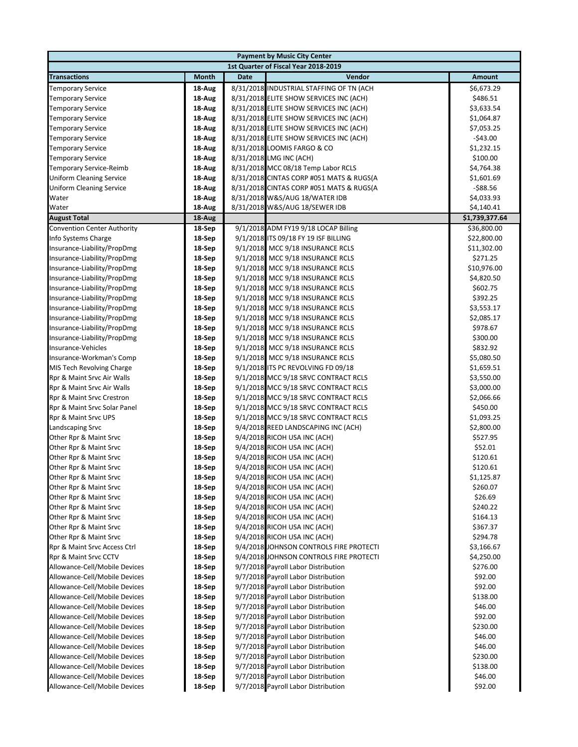|                                      |              | <b>Payment by Music City Center</b> |                                          |                |  |  |
|--------------------------------------|--------------|-------------------------------------|------------------------------------------|----------------|--|--|
| 1st Quarter of Fiscal Year 2018-2019 |              |                                     |                                          |                |  |  |
| <b>Transactions</b>                  | <b>Month</b> | <b>Date</b>                         | Vendor                                   | Amount         |  |  |
| <b>Temporary Service</b>             | 18-Aug       |                                     | 8/31/2018 INDUSTRIAL STAFFING OF TN (ACH | \$6,673.29     |  |  |
| <b>Temporary Service</b>             | 18-Aug       |                                     | 8/31/2018 ELITE SHOW SERVICES INC (ACH)  | \$486.51       |  |  |
| <b>Temporary Service</b>             | 18-Aug       |                                     | 8/31/2018 ELITE SHOW SERVICES INC (ACH)  | \$3,633.54     |  |  |
| <b>Temporary Service</b>             | 18-Aug       |                                     | 8/31/2018 ELITE SHOW SERVICES INC (ACH)  | \$1,064.87     |  |  |
| <b>Temporary Service</b>             | 18-Aug       |                                     | 8/31/2018 ELITE SHOW SERVICES INC (ACH)  | \$7,053.25     |  |  |
| <b>Temporary Service</b>             | 18-Aug       |                                     | 8/31/2018 ELITE SHOW SERVICES INC (ACH)  | $-$43.00$      |  |  |
| <b>Temporary Service</b>             | 18-Aug       | 8/31/2018 LOOMIS FARGO & CO         |                                          | \$1,232.15     |  |  |
| <b>Temporary Service</b>             | 18-Aug       | 8/31/2018 LMG INC (ACH)             |                                          | \$100.00       |  |  |
| <b>Temporary Service-Reimb</b>       | 18-Aug       |                                     | 8/31/2018 MCC 08/18 Temp Labor RCLS      | \$4,764.38     |  |  |
| <b>Uniform Cleaning Service</b>      | 18-Aug       |                                     | 8/31/2018 CINTAS CORP #051 MATS & RUGS(A | \$1,601.69     |  |  |
| <b>Uniform Cleaning Service</b>      | 18-Aug       |                                     | 8/31/2018 CINTAS CORP #051 MATS & RUGS(A | $-$ \$88.56    |  |  |
| Water                                | 18-Aug       | 8/31/2018 W&S/AUG 18/WATER IDB      |                                          | \$4,033.93     |  |  |
| Water                                | 18-Aug       | 8/31/2018 W&S/AUG 18/SEWER IDB      |                                          | \$4,140.41     |  |  |
| <b>August Total</b>                  | 18-Aug       |                                     |                                          | \$1,739,377.64 |  |  |
| <b>Convention Center Authority</b>   | 18-Sep       |                                     | 9/1/2018 ADM FY19 9/18 LOCAP Billing     | \$36,800.00    |  |  |
| Info Systems Charge                  | 18-Sep       |                                     | 9/1/2018 ITS 09/18 FY 19 ISF BILLING     | \$22,800.00    |  |  |
| Insurance-Liability/PropDmg          | 18-Sep       |                                     | 9/1/2018 MCC 9/18 INSURANCE RCLS         | \$11,302.00    |  |  |
| Insurance-Liability/PropDmg          | 18-Sep       |                                     | 9/1/2018 MCC 9/18 INSURANCE RCLS         | \$271.25       |  |  |
| Insurance-Liability/PropDmg          | 18-Sep       |                                     | 9/1/2018 MCC 9/18 INSURANCE RCLS         | \$10,976.00    |  |  |
| Insurance-Liability/PropDmg          | 18-Sep       |                                     | 9/1/2018 MCC 9/18 INSURANCE RCLS         | \$4,820.50     |  |  |
| Insurance-Liability/PropDmg          | 18-Sep       |                                     | 9/1/2018 MCC 9/18 INSURANCE RCLS         | \$602.75       |  |  |
| Insurance-Liability/PropDmg          | 18-Sep       |                                     | 9/1/2018 MCC 9/18 INSURANCE RCLS         | \$392.25       |  |  |
| Insurance-Liability/PropDmg          | 18-Sep       |                                     | 9/1/2018 MCC 9/18 INSURANCE RCLS         | \$3,553.17     |  |  |
| Insurance-Liability/PropDmg          | 18-Sep       |                                     | 9/1/2018 MCC 9/18 INSURANCE RCLS         | \$2,085.17     |  |  |
| Insurance-Liability/PropDmg          | 18-Sep       |                                     | 9/1/2018 MCC 9/18 INSURANCE RCLS         | \$978.67       |  |  |
| Insurance-Liability/PropDmg          | 18-Sep       |                                     | 9/1/2018 MCC 9/18 INSURANCE RCLS         | \$300.00       |  |  |
| Insurance-Vehicles                   | 18-Sep       |                                     | 9/1/2018 MCC 9/18 INSURANCE RCLS         | \$832.92       |  |  |
| Insurance-Workman's Comp             | 18-Sep       |                                     | 9/1/2018 MCC 9/18 INSURANCE RCLS         | \$5,080.50     |  |  |
| MIS Tech Revolving Charge            | 18-Sep       |                                     | 9/1/2018 ITS PC REVOLVING FD 09/18       | \$1,659.51     |  |  |
| Rpr & Maint Srvc Air Walls           | 18-Sep       |                                     | 9/1/2018 MCC 9/18 SRVC CONTRACT RCLS     | \$3,550.00     |  |  |
| Rpr & Maint Srvc Air Walls           | 18-Sep       |                                     | 9/1/2018 MCC 9/18 SRVC CONTRACT RCLS     | \$3,000.00     |  |  |
| Rpr & Maint Srvc Crestron            | 18-Sep       |                                     | 9/1/2018 MCC 9/18 SRVC CONTRACT RCLS     | \$2,066.66     |  |  |
| Rpr & Maint Srvc Solar Panel         | 18-Sep       |                                     | 9/1/2018 MCC 9/18 SRVC CONTRACT RCLS     | \$450.00       |  |  |
| Rpr & Maint Srvc UPS                 | 18-Sep       |                                     | 9/1/2018 MCC 9/18 SRVC CONTRACT RCLS     | \$1,093.25     |  |  |
| Landscaping Srvc                     | 18-Sep       |                                     | 9/4/2018 REED LANDSCAPING INC (ACH)      | \$2,800.00     |  |  |
| Other Rpr & Maint Srvc               | 18-Sep       | 9/4/2018 RICOH USA INC (ACH)        |                                          | \$527.95       |  |  |
| Other Rpr & Maint Srvc               | 18-Sep       | 9/4/2018 RICOH USA INC (ACH)        |                                          | \$52.01        |  |  |
| Other Rpr & Maint Srvc               | 18-Sep       | 9/4/2018 RICOH USA INC (ACH)        |                                          | \$120.61       |  |  |
| Other Rpr & Maint Srvc               | 18-Sep       | 9/4/2018 RICOH USA INC (ACH)        |                                          | \$120.61       |  |  |
| Other Rpr & Maint Srvc               | 18-Sep       | 9/4/2018 RICOH USA INC (ACH)        |                                          | \$1,125.87     |  |  |
| Other Rpr & Maint Srvc               | 18-Sep       | 9/4/2018 RICOH USA INC (ACH)        |                                          | \$260.07       |  |  |
| Other Rpr & Maint Srvc               | 18-Sep       | 9/4/2018 RICOH USA INC (ACH)        |                                          | \$26.69        |  |  |
| Other Rpr & Maint Srvc               | 18-Sep       | 9/4/2018 RICOH USA INC (ACH)        |                                          | \$240.22       |  |  |
| Other Rpr & Maint Srvc               | 18-Sep       | 9/4/2018 RICOH USA INC (ACH)        |                                          | \$164.13       |  |  |
| Other Rpr & Maint Srvc               | 18-Sep       | 9/4/2018 RICOH USA INC (ACH)        |                                          | \$367.37       |  |  |
| Other Rpr & Maint Srvc               | 18-Sep       | 9/4/2018 RICOH USA INC (ACH)        |                                          | \$294.78       |  |  |
| Rpr & Maint Srvc Access Ctrl         | 18-Sep       |                                     | 9/4/2018 JOHNSON CONTROLS FIRE PROTECTI  | \$3,166.67     |  |  |
| Rpr & Maint Srvc CCTV                | 18-Sep       |                                     | 9/4/2018 JOHNSON CONTROLS FIRE PROTECTI  | \$4,250.00     |  |  |
| Allowance-Cell/Mobile Devices        | 18-Sep       |                                     | 9/7/2018 Payroll Labor Distribution      | \$276.00       |  |  |
| Allowance-Cell/Mobile Devices        | 18-Sep       |                                     | 9/7/2018 Payroll Labor Distribution      | \$92.00        |  |  |
| Allowance-Cell/Mobile Devices        | 18-Sep       |                                     | 9/7/2018 Payroll Labor Distribution      | \$92.00        |  |  |
| Allowance-Cell/Mobile Devices        | 18-Sep       |                                     | 9/7/2018 Payroll Labor Distribution      | \$138.00       |  |  |
| Allowance-Cell/Mobile Devices        | 18-Sep       |                                     | 9/7/2018 Payroll Labor Distribution      | \$46.00        |  |  |
| Allowance-Cell/Mobile Devices        | 18-Sep       |                                     | 9/7/2018 Payroll Labor Distribution      | \$92.00        |  |  |
| Allowance-Cell/Mobile Devices        | 18-Sep       |                                     | 9/7/2018 Payroll Labor Distribution      | \$230.00       |  |  |
| Allowance-Cell/Mobile Devices        | 18-Sep       |                                     | 9/7/2018 Payroll Labor Distribution      | \$46.00        |  |  |
| Allowance-Cell/Mobile Devices        | 18-Sep       |                                     | 9/7/2018 Payroll Labor Distribution      | \$46.00        |  |  |
| Allowance-Cell/Mobile Devices        | 18-Sep       |                                     | 9/7/2018 Payroll Labor Distribution      | \$230.00       |  |  |
| Allowance-Cell/Mobile Devices        | 18-Sep       |                                     | 9/7/2018 Payroll Labor Distribution      | \$138.00       |  |  |
| Allowance-Cell/Mobile Devices        | 18-Sep       |                                     | 9/7/2018 Payroll Labor Distribution      | \$46.00        |  |  |
| Allowance-Cell/Mobile Devices        | 18-Sep       |                                     | 9/7/2018 Payroll Labor Distribution      | \$92.00        |  |  |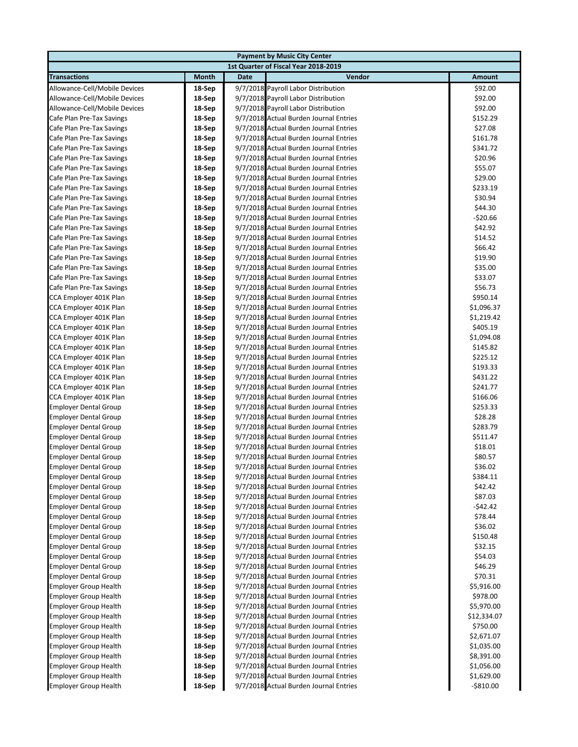| <b>Payment by Music City Center</b> |        |      |                                        |               |  |  |
|-------------------------------------|--------|------|----------------------------------------|---------------|--|--|
|                                     |        |      | 1st Quarter of Fiscal Year 2018-2019   |               |  |  |
| <b>Transactions</b>                 | Month  | Date | Vendor                                 | <b>Amount</b> |  |  |
| Allowance-Cell/Mobile Devices       | 18-Sep |      | 9/7/2018 Payroll Labor Distribution    | \$92.00       |  |  |
| Allowance-Cell/Mobile Devices       | 18-Sep |      | 9/7/2018 Payroll Labor Distribution    | \$92.00       |  |  |
| Allowance-Cell/Mobile Devices       | 18-Sep |      | 9/7/2018 Payroll Labor Distribution    | \$92.00       |  |  |
| Cafe Plan Pre-Tax Savings           | 18-Sep |      | 9/7/2018 Actual Burden Journal Entries | \$152.29      |  |  |
| Cafe Plan Pre-Tax Savings           | 18-Sep |      | 9/7/2018 Actual Burden Journal Entries | \$27.08       |  |  |
| Cafe Plan Pre-Tax Savings           | 18-Sep |      | 9/7/2018 Actual Burden Journal Entries | \$161.78      |  |  |
| Cafe Plan Pre-Tax Savings           | 18-Sep |      | 9/7/2018 Actual Burden Journal Entries | \$341.72      |  |  |
| Cafe Plan Pre-Tax Savings           | 18-Sep |      | 9/7/2018 Actual Burden Journal Entries | \$20.96       |  |  |
| Cafe Plan Pre-Tax Savings           | 18-Sep |      | 9/7/2018 Actual Burden Journal Entries | \$55.07       |  |  |
| Cafe Plan Pre-Tax Savings           | 18-Sep |      | 9/7/2018 Actual Burden Journal Entries | \$29.00       |  |  |
| Cafe Plan Pre-Tax Savings           | 18-Sep |      | 9/7/2018 Actual Burden Journal Entries | \$233.19      |  |  |
| Cafe Plan Pre-Tax Savings           | 18-Sep |      | 9/7/2018 Actual Burden Journal Entries | \$30.94       |  |  |
| Cafe Plan Pre-Tax Savings           | 18-Sep |      | 9/7/2018 Actual Burden Journal Entries | \$44.30       |  |  |
| Cafe Plan Pre-Tax Savings           | 18-Sep |      | 9/7/2018 Actual Burden Journal Entries | $-520.66$     |  |  |
| Cafe Plan Pre-Tax Savings           | 18-Sep |      | 9/7/2018 Actual Burden Journal Entries | \$42.92       |  |  |
| Cafe Plan Pre-Tax Savings           | 18-Sep |      | 9/7/2018 Actual Burden Journal Entries | \$14.52       |  |  |
| Cafe Plan Pre-Tax Savings           | 18-Sep |      | 9/7/2018 Actual Burden Journal Entries | \$66.42       |  |  |
| Cafe Plan Pre-Tax Savings           | 18-Sep |      | 9/7/2018 Actual Burden Journal Entries | \$19.90       |  |  |
| Cafe Plan Pre-Tax Savings           | 18-Sep |      | 9/7/2018 Actual Burden Journal Entries | \$35.00       |  |  |
| Cafe Plan Pre-Tax Savings           | 18-Sep |      | 9/7/2018 Actual Burden Journal Entries | \$33.07       |  |  |
| Cafe Plan Pre-Tax Savings           | 18-Sep |      | 9/7/2018 Actual Burden Journal Entries | \$56.73       |  |  |
| CCA Employer 401K Plan              | 18-Sep |      | 9/7/2018 Actual Burden Journal Entries | \$950.14      |  |  |
| CCA Employer 401K Plan              | 18-Sep |      | 9/7/2018 Actual Burden Journal Entries | \$1,096.37    |  |  |
| CCA Employer 401K Plan              | 18-Sep |      | 9/7/2018 Actual Burden Journal Entries | \$1,219.42    |  |  |
| CCA Employer 401K Plan              | 18-Sep |      | 9/7/2018 Actual Burden Journal Entries | \$405.19      |  |  |
| CCA Employer 401K Plan              | 18-Sep |      | 9/7/2018 Actual Burden Journal Entries | \$1,094.08    |  |  |
| CCA Employer 401K Plan              | 18-Sep |      | 9/7/2018 Actual Burden Journal Entries | \$145.82      |  |  |
| CCA Employer 401K Plan              | 18-Sep |      | 9/7/2018 Actual Burden Journal Entries | \$225.12      |  |  |
| CCA Employer 401K Plan              | 18-Sep |      | 9/7/2018 Actual Burden Journal Entries | \$193.33      |  |  |
| CCA Employer 401K Plan              | 18-Sep |      | 9/7/2018 Actual Burden Journal Entries | \$431.22      |  |  |
| CCA Employer 401K Plan              | 18-Sep |      | 9/7/2018 Actual Burden Journal Entries | \$241.77      |  |  |
| CCA Employer 401K Plan              | 18-Sep |      | 9/7/2018 Actual Burden Journal Entries | \$166.06      |  |  |
| <b>Employer Dental Group</b>        | 18-Sep |      | 9/7/2018 Actual Burden Journal Entries | \$253.33      |  |  |
| <b>Employer Dental Group</b>        | 18-Sep |      | 9/7/2018 Actual Burden Journal Entries | \$28.28       |  |  |
| <b>Employer Dental Group</b>        | 18-Sep |      | 9/7/2018 Actual Burden Journal Entries | \$283.79      |  |  |
| <b>Employer Dental Group</b>        | 18-Sep |      | 9/7/2018 Actual Burden Journal Entries | \$511.47      |  |  |
| <b>Employer Dental Group</b>        | 18-Sep |      | 9/7/2018 Actual Burden Journal Entries | \$18.01       |  |  |
| <b>Employer Dental Group</b>        | 18-Sep |      | 9/7/2018 Actual Burden Journal Entries | \$80.57       |  |  |
| <b>Employer Dental Group</b>        | 18-Sep |      | 9/7/2018 Actual Burden Journal Entries | \$36.02       |  |  |
| <b>Employer Dental Group</b>        | 18-Sep |      | 9/7/2018 Actual Burden Journal Entries | \$384.11      |  |  |
| <b>Employer Dental Group</b>        | 18-Sep |      | 9/7/2018 Actual Burden Journal Entries | \$42.42       |  |  |
| <b>Employer Dental Group</b>        | 18-Sep |      | 9/7/2018 Actual Burden Journal Entries | \$87.03       |  |  |
| <b>Employer Dental Group</b>        | 18-Sep |      | 9/7/2018 Actual Burden Journal Entries | $-542.42$     |  |  |
| <b>Employer Dental Group</b>        | 18-Sep |      | 9/7/2018 Actual Burden Journal Entries | \$78.44       |  |  |
| <b>Employer Dental Group</b>        | 18-Sep |      | 9/7/2018 Actual Burden Journal Entries | \$36.02       |  |  |
| <b>Employer Dental Group</b>        | 18-Sep |      | 9/7/2018 Actual Burden Journal Entries | \$150.48      |  |  |
| <b>Employer Dental Group</b>        | 18-Sep |      | 9/7/2018 Actual Burden Journal Entries | \$32.15       |  |  |
| <b>Employer Dental Group</b>        | 18-Sep |      | 9/7/2018 Actual Burden Journal Entries | \$54.03       |  |  |
| <b>Employer Dental Group</b>        | 18-Sep |      | 9/7/2018 Actual Burden Journal Entries | \$46.29       |  |  |
| <b>Employer Dental Group</b>        | 18-Sep |      | 9/7/2018 Actual Burden Journal Entries | \$70.31       |  |  |
| <b>Employer Group Health</b>        | 18-Sep |      | 9/7/2018 Actual Burden Journal Entries | \$5,916.00    |  |  |
| <b>Employer Group Health</b>        | 18-Sep |      | 9/7/2018 Actual Burden Journal Entries | \$978.00      |  |  |
| <b>Employer Group Health</b>        | 18-Sep |      | 9/7/2018 Actual Burden Journal Entries | \$5,970.00    |  |  |
| <b>Employer Group Health</b>        | 18-Sep |      | 9/7/2018 Actual Burden Journal Entries | \$12,334.07   |  |  |
| <b>Employer Group Health</b>        | 18-Sep |      | 9/7/2018 Actual Burden Journal Entries | \$750.00      |  |  |
| <b>Employer Group Health</b>        | 18-Sep |      | 9/7/2018 Actual Burden Journal Entries | \$2,671.07    |  |  |
| <b>Employer Group Health</b>        | 18-Sep |      | 9/7/2018 Actual Burden Journal Entries | \$1,035.00    |  |  |
| <b>Employer Group Health</b>        | 18-Sep |      | 9/7/2018 Actual Burden Journal Entries | \$8,391.00    |  |  |
| <b>Employer Group Health</b>        | 18-Sep |      | 9/7/2018 Actual Burden Journal Entries | \$1,056.00    |  |  |
| <b>Employer Group Health</b>        | 18-Sep |      | 9/7/2018 Actual Burden Journal Entries | \$1,629.00    |  |  |
| <b>Employer Group Health</b>        | 18-Sep |      | 9/7/2018 Actual Burden Journal Entries | $-$ \$810.00  |  |  |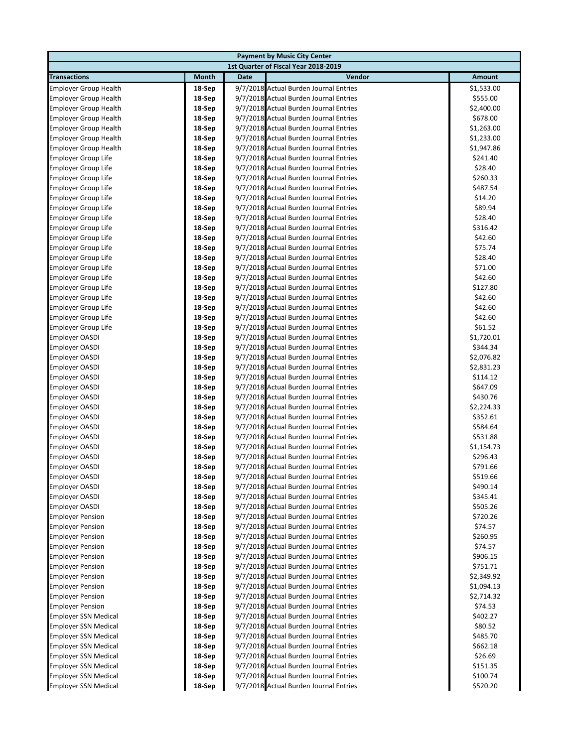| <b>Payment by Music City Center</b>                |                  |             |                                                                                  |                        |  |  |
|----------------------------------------------------|------------------|-------------|----------------------------------------------------------------------------------|------------------------|--|--|
| 1st Quarter of Fiscal Year 2018-2019               |                  |             |                                                                                  |                        |  |  |
| <b>Transactions</b>                                | Month            | <b>Date</b> | Vendor                                                                           | <b>Amount</b>          |  |  |
| <b>Employer Group Health</b>                       | 18-Sep           |             | 9/7/2018 Actual Burden Journal Entries                                           | \$1,533.00             |  |  |
| <b>Employer Group Health</b>                       | 18-Sep           |             | 9/7/2018 Actual Burden Journal Entries                                           | \$555.00               |  |  |
| <b>Employer Group Health</b>                       | 18-Sep           |             | 9/7/2018 Actual Burden Journal Entries                                           | \$2,400.00             |  |  |
| <b>Employer Group Health</b>                       | 18-Sep           |             | 9/7/2018 Actual Burden Journal Entries                                           | \$678.00               |  |  |
| <b>Employer Group Health</b>                       | 18-Sep           |             | 9/7/2018 Actual Burden Journal Entries                                           | \$1,263.00             |  |  |
| <b>Employer Group Health</b>                       | 18-Sep           |             | 9/7/2018 Actual Burden Journal Entries                                           | \$1,233.00             |  |  |
| <b>Employer Group Health</b>                       | 18-Sep           |             | 9/7/2018 Actual Burden Journal Entries                                           | \$1,947.86             |  |  |
| <b>Employer Group Life</b>                         | 18-Sep           |             | 9/7/2018 Actual Burden Journal Entries                                           | \$241.40               |  |  |
| <b>Employer Group Life</b>                         | 18-Sep           |             | 9/7/2018 Actual Burden Journal Entries                                           | \$28.40                |  |  |
| <b>Employer Group Life</b>                         | 18-Sep           |             | 9/7/2018 Actual Burden Journal Entries                                           | \$260.33               |  |  |
| <b>Employer Group Life</b>                         | 18-Sep           |             | 9/7/2018 Actual Burden Journal Entries                                           | \$487.54               |  |  |
| <b>Employer Group Life</b>                         | 18-Sep           |             | 9/7/2018 Actual Burden Journal Entries                                           | \$14.20                |  |  |
| <b>Employer Group Life</b>                         | 18-Sep           |             | 9/7/2018 Actual Burden Journal Entries                                           | \$89.94                |  |  |
| <b>Employer Group Life</b>                         | 18-Sep           |             | 9/7/2018 Actual Burden Journal Entries                                           | \$28.40                |  |  |
| <b>Employer Group Life</b>                         | 18-Sep           |             | 9/7/2018 Actual Burden Journal Entries                                           | \$316.42               |  |  |
| <b>Employer Group Life</b>                         | 18-Sep           |             | 9/7/2018 Actual Burden Journal Entries                                           | \$42.60                |  |  |
| <b>Employer Group Life</b>                         | 18-Sep           |             | 9/7/2018 Actual Burden Journal Entries                                           | \$75.74                |  |  |
| <b>Employer Group Life</b>                         | 18-Sep           |             | 9/7/2018 Actual Burden Journal Entries                                           | \$28.40                |  |  |
| <b>Employer Group Life</b>                         | 18-Sep           |             | 9/7/2018 Actual Burden Journal Entries                                           | \$71.00                |  |  |
| <b>Employer Group Life</b>                         | 18-Sep           |             | 9/7/2018 Actual Burden Journal Entries                                           | \$42.60                |  |  |
| <b>Employer Group Life</b>                         | 18-Sep           |             | 9/7/2018 Actual Burden Journal Entries                                           | \$127.80               |  |  |
| <b>Employer Group Life</b>                         | 18-Sep           |             | 9/7/2018 Actual Burden Journal Entries                                           | \$42.60                |  |  |
| <b>Employer Group Life</b>                         | 18-Sep           |             | 9/7/2018 Actual Burden Journal Entries                                           | \$42.60                |  |  |
| <b>Employer Group Life</b>                         | 18-Sep           |             | 9/7/2018 Actual Burden Journal Entries                                           | \$42.60                |  |  |
| <b>Employer Group Life</b>                         | 18-Sep           |             | 9/7/2018 Actual Burden Journal Entries                                           | \$61.52                |  |  |
| <b>Employer OASDI</b>                              | 18-Sep           |             | 9/7/2018 Actual Burden Journal Entries                                           | \$1,720.01             |  |  |
| <b>Employer OASDI</b>                              | 18-Sep           |             | 9/7/2018 Actual Burden Journal Entries                                           | \$344.34               |  |  |
| <b>Employer OASDI</b>                              | 18-Sep           |             | 9/7/2018 Actual Burden Journal Entries                                           | \$2,076.82             |  |  |
| <b>Employer OASDI</b>                              | 18-Sep           |             | 9/7/2018 Actual Burden Journal Entries                                           | \$2,831.23             |  |  |
| <b>Employer OASDI</b>                              | 18-Sep           |             | 9/7/2018 Actual Burden Journal Entries                                           | \$114.12               |  |  |
| <b>Employer OASDI</b>                              | 18-Sep           |             | 9/7/2018 Actual Burden Journal Entries                                           | \$647.09               |  |  |
| <b>Employer OASDI</b>                              | 18-Sep           |             | 9/7/2018 Actual Burden Journal Entries                                           | \$430.76               |  |  |
| <b>Employer OASDI</b>                              | 18-Sep           |             | 9/7/2018 Actual Burden Journal Entries                                           | \$2,224.33             |  |  |
| <b>Employer OASDI</b>                              | 18-Sep           |             | 9/7/2018 Actual Burden Journal Entries                                           | \$352.61               |  |  |
| <b>Employer OASDI</b>                              | 18-Sep           |             | 9/7/2018 Actual Burden Journal Entries                                           | \$584.64               |  |  |
| <b>Employer OASDI</b>                              | 18-Sep           |             | 9/7/2018 Actual Burden Journal Entries                                           | \$531.88               |  |  |
| <b>Employer OASDI</b>                              | 18-Sep           |             | 9/7/2018 Actual Burden Journal Entries                                           | \$1,154.73             |  |  |
| <b>Employer OASDI</b>                              | 18-Sep           |             | 9/7/2018 Actual Burden Journal Entries                                           | \$296.43               |  |  |
| <b>Employer OASDI</b>                              | 18-Sep           |             | 9/7/2018 Actual Burden Journal Entries                                           | \$791.66               |  |  |
| Employer OASDI                                     | 18-Sep           |             | 9/7/2018 Actual Burden Journal Entries                                           | \$519.66               |  |  |
| <b>Employer OASDI</b>                              | 18-Sep           |             | 9/7/2018 Actual Burden Journal Entries                                           | \$490.14               |  |  |
| <b>Employer OASDI</b>                              | 18-Sep           |             | 9/7/2018 Actual Burden Journal Entries                                           | \$345.41               |  |  |
| <b>Employer OASDI</b>                              | 18-Sep           |             | 9/7/2018 Actual Burden Journal Entries<br>9/7/2018 Actual Burden Journal Entries | \$505.26<br>\$720.26   |  |  |
| <b>Employer Pension</b>                            | 18-Sep           |             | 9/7/2018 Actual Burden Journal Entries                                           | \$74.57                |  |  |
| <b>Employer Pension</b>                            | 18-Sep           |             |                                                                                  |                        |  |  |
| <b>Employer Pension</b><br><b>Employer Pension</b> | 18-Sep<br>18-Sep |             | 9/7/2018 Actual Burden Journal Entries<br>9/7/2018 Actual Burden Journal Entries | \$260.95<br>\$74.57    |  |  |
|                                                    |                  |             | 9/7/2018 Actual Burden Journal Entries                                           |                        |  |  |
| <b>Employer Pension</b>                            | 18-Sep<br>18-Sep |             | 9/7/2018 Actual Burden Journal Entries                                           | \$906.15               |  |  |
| <b>Employer Pension</b><br><b>Employer Pension</b> | 18-Sep           |             | 9/7/2018 Actual Burden Journal Entries                                           | \$751.71<br>\$2,349.92 |  |  |
| <b>Employer Pension</b>                            | 18-Sep           |             | 9/7/2018 Actual Burden Journal Entries                                           | \$1,094.13             |  |  |
| <b>Employer Pension</b>                            | 18-Sep           |             | 9/7/2018 Actual Burden Journal Entries                                           | \$2,714.32             |  |  |
| <b>Employer Pension</b>                            | 18-Sep           |             | 9/7/2018 Actual Burden Journal Entries                                           | \$74.53                |  |  |
| <b>Employer SSN Medical</b>                        | 18-Sep           |             | 9/7/2018 Actual Burden Journal Entries                                           | \$402.27               |  |  |
| <b>Employer SSN Medical</b>                        | 18-Sep           |             | 9/7/2018 Actual Burden Journal Entries                                           | \$80.52                |  |  |
| <b>Employer SSN Medical</b>                        | 18-Sep           |             | 9/7/2018 Actual Burden Journal Entries                                           | \$485.70               |  |  |
| <b>Employer SSN Medical</b>                        | 18-Sep           |             | 9/7/2018 Actual Burden Journal Entries                                           | \$662.18               |  |  |
| <b>Employer SSN Medical</b>                        | 18-Sep           |             | 9/7/2018 Actual Burden Journal Entries                                           | \$26.69                |  |  |
| <b>Employer SSN Medical</b>                        | 18-Sep           |             | 9/7/2018 Actual Burden Journal Entries                                           | \$151.35               |  |  |
| <b>Employer SSN Medical</b>                        | 18-Sep           |             | 9/7/2018 Actual Burden Journal Entries                                           | \$100.74               |  |  |
| <b>Employer SSN Medical</b>                        | 18-Sep           |             | 9/7/2018 Actual Burden Journal Entries                                           | \$520.20               |  |  |
|                                                    |                  |             |                                                                                  |                        |  |  |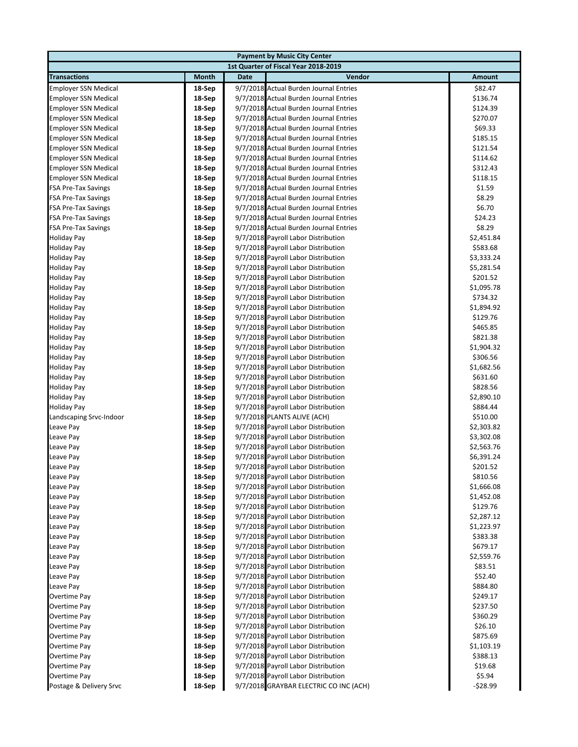|                             |        | <b>Payment by Music City Center</b>    |               |
|-----------------------------|--------|----------------------------------------|---------------|
|                             |        | 1st Quarter of Fiscal Year 2018-2019   |               |
| <b>Transactions</b>         | Month  | <b>Date</b><br>Vendor                  | <b>Amount</b> |
| <b>Employer SSN Medical</b> | 18-Sep | 9/7/2018 Actual Burden Journal Entries | \$82.47       |
| <b>Employer SSN Medical</b> | 18-Sep | 9/7/2018 Actual Burden Journal Entries | \$136.74      |
| <b>Employer SSN Medical</b> | 18-Sep | 9/7/2018 Actual Burden Journal Entries | \$124.39      |
| <b>Employer SSN Medical</b> | 18-Sep | 9/7/2018 Actual Burden Journal Entries | \$270.07      |
| <b>Employer SSN Medical</b> | 18-Sep | 9/7/2018 Actual Burden Journal Entries | \$69.33       |
| <b>Employer SSN Medical</b> | 18-Sep | 9/7/2018 Actual Burden Journal Entries | \$185.15      |
| <b>Employer SSN Medical</b> | 18-Sep | 9/7/2018 Actual Burden Journal Entries | \$121.54      |
| <b>Employer SSN Medical</b> | 18-Sep | 9/7/2018 Actual Burden Journal Entries | \$114.62      |
| <b>Employer SSN Medical</b> | 18-Sep | 9/7/2018 Actual Burden Journal Entries | \$312.43      |
| <b>Employer SSN Medical</b> | 18-Sep | 9/7/2018 Actual Burden Journal Entries | \$118.15      |
| <b>FSA Pre-Tax Savings</b>  | 18-Sep | 9/7/2018 Actual Burden Journal Entries | \$1.59        |
| <b>FSA Pre-Tax Savings</b>  | 18-Sep | 9/7/2018 Actual Burden Journal Entries | \$8.29        |
| <b>FSA Pre-Tax Savings</b>  | 18-Sep | 9/7/2018 Actual Burden Journal Entries | \$6.70        |
| <b>FSA Pre-Tax Savings</b>  | 18-Sep | 9/7/2018 Actual Burden Journal Entries | \$24.23       |
| <b>FSA Pre-Tax Savings</b>  | 18-Sep | 9/7/2018 Actual Burden Journal Entries | \$8.29        |
| Holiday Pay                 | 18-Sep | 9/7/2018 Payroll Labor Distribution    | \$2,451.84    |
| <b>Holiday Pay</b>          | 18-Sep | 9/7/2018 Payroll Labor Distribution    | \$583.68      |
| <b>Holiday Pay</b>          | 18-Sep | 9/7/2018 Payroll Labor Distribution    | \$3,333.24    |
| <b>Holiday Pay</b>          | 18-Sep | 9/7/2018 Payroll Labor Distribution    | \$5,281.54    |
| <b>Holiday Pay</b>          | 18-Sep | 9/7/2018 Payroll Labor Distribution    | \$201.52      |
| <b>Holiday Pay</b>          | 18-Sep | 9/7/2018 Payroll Labor Distribution    | \$1,095.78    |
| <b>Holiday Pay</b>          | 18-Sep | 9/7/2018 Payroll Labor Distribution    | \$734.32      |
| <b>Holiday Pay</b>          | 18-Sep | 9/7/2018 Payroll Labor Distribution    | \$1,894.92    |
| <b>Holiday Pay</b>          | 18-Sep | 9/7/2018 Payroll Labor Distribution    | \$129.76      |
| <b>Holiday Pay</b>          | 18-Sep | 9/7/2018 Payroll Labor Distribution    | \$465.85      |
| <b>Holiday Pay</b>          | 18-Sep | 9/7/2018 Payroll Labor Distribution    | \$821.38      |
| <b>Holiday Pay</b>          | 18-Sep | 9/7/2018 Payroll Labor Distribution    | \$1,904.32    |
| <b>Holiday Pay</b>          | 18-Sep | 9/7/2018 Payroll Labor Distribution    | \$306.56      |
| <b>Holiday Pay</b>          | 18-Sep | 9/7/2018 Payroll Labor Distribution    | \$1,682.56    |
| <b>Holiday Pay</b>          | 18-Sep | 9/7/2018 Payroll Labor Distribution    | \$631.60      |
| <b>Holiday Pay</b>          | 18-Sep | 9/7/2018 Payroll Labor Distribution    | \$828.56      |
| <b>Holiday Pay</b>          | 18-Sep | 9/7/2018 Payroll Labor Distribution    | \$2,890.10    |
| <b>Holiday Pay</b>          | 18-Sep | 9/7/2018 Payroll Labor Distribution    | \$884.44      |
| Landscaping Srvc-Indoor     | 18-Sep | 9/7/2018 PLANTS ALIVE (ACH)            | \$510.00      |
| Leave Pay                   | 18-Sep | 9/7/2018 Payroll Labor Distribution    | \$2,303.82    |
| Leave Pay                   | 18-Sep | 9/7/2018 Payroll Labor Distribution    | \$3,302.08    |
| Leave Pay                   | 18-Sep | 9/7/2018 Payroll Labor Distribution    | \$2,563.76    |
| Leave Pay                   | 18-Sep | 9/7/2018 Payroll Labor Distribution    | \$6,391.24    |
| Leave Pay                   | 18-Sep | 9/7/2018 Payroll Labor Distribution    | \$201.52      |
| Leave Pay                   | 18-Sep | 9/7/2018 Payroll Labor Distribution    | \$810.56      |
| Leave Pay                   | 18-Sep | 9/7/2018 Payroll Labor Distribution    | \$1,666.08    |
| Leave Pay                   | 18-Sep | 9/7/2018 Payroll Labor Distribution    | \$1,452.08    |
| Leave Pay                   | 18-Sep | 9/7/2018 Payroll Labor Distribution    | \$129.76      |
| Leave Pay                   | 18-Sep | 9/7/2018 Payroll Labor Distribution    | \$2,287.12    |
| Leave Pay                   | 18-Sep | 9/7/2018 Payroll Labor Distribution    | \$1,223.97    |
| Leave Pay                   | 18-Sep | 9/7/2018 Payroll Labor Distribution    | \$383.38      |
| Leave Pay                   | 18-Sep | 9/7/2018 Payroll Labor Distribution    | \$679.17      |
| Leave Pay                   | 18-Sep | 9/7/2018 Payroll Labor Distribution    | \$2,559.76    |
| Leave Pay                   | 18-Sep | 9/7/2018 Payroll Labor Distribution    | \$83.51       |
| Leave Pay                   | 18-Sep | 9/7/2018 Payroll Labor Distribution    | \$52.40       |
| Leave Pay                   | 18-Sep | 9/7/2018 Payroll Labor Distribution    | \$884.80      |
| Overtime Pay                | 18-Sep | 9/7/2018 Payroll Labor Distribution    | \$249.17      |
| Overtime Pay                | 18-Sep | 9/7/2018 Payroll Labor Distribution    | \$237.50      |
| Overtime Pay                | 18-Sep | 9/7/2018 Payroll Labor Distribution    | \$360.29      |
| Overtime Pay                | 18-Sep | 9/7/2018 Payroll Labor Distribution    | \$26.10       |
| Overtime Pay                | 18-Sep | 9/7/2018 Payroll Labor Distribution    | \$875.69      |
| Overtime Pay                | 18-Sep | 9/7/2018 Payroll Labor Distribution    | \$1,103.19    |
| Overtime Pay                | 18-Sep | 9/7/2018 Payroll Labor Distribution    | \$388.13      |
| Overtime Pay                | 18-Sep | 9/7/2018 Payroll Labor Distribution    | \$19.68       |
| Overtime Pay                | 18-Sep | 9/7/2018 Payroll Labor Distribution    | \$5.94        |
| Postage & Delivery Srvc     | 18-Sep | 9/7/2018 GRAYBAR ELECTRIC CO INC (ACH) | -\$28.99      |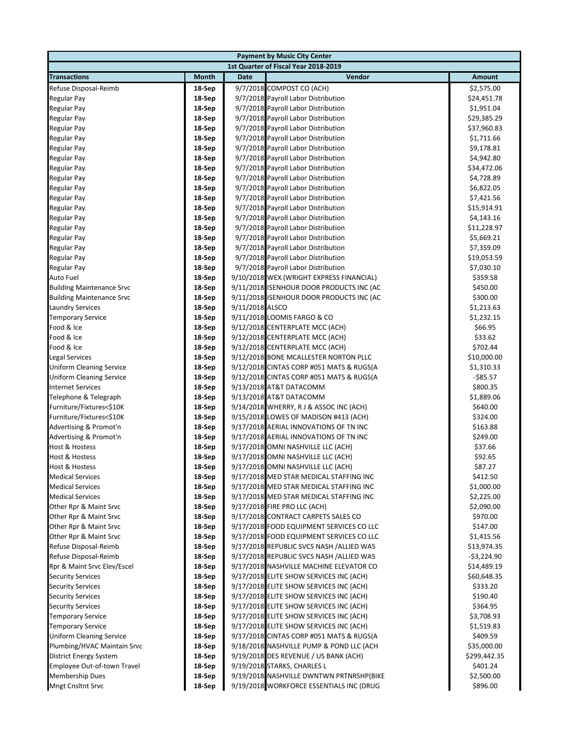|                                                |                                      | <b>Payment by Music City Center</b>                                                  |                               |  |  |  |
|------------------------------------------------|--------------------------------------|--------------------------------------------------------------------------------------|-------------------------------|--|--|--|
|                                                | 1st Quarter of Fiscal Year 2018-2019 |                                                                                      |                               |  |  |  |
| <b>Transactions</b>                            | Month                                | Vendor<br><b>Date</b>                                                                | Amount                        |  |  |  |
| Refuse Disposal-Reimb                          | 18-Sep                               | 9/7/2018 COMPOST CO (ACH)                                                            | \$2,575.00                    |  |  |  |
| Regular Pay                                    | 18-Sep                               | 9/7/2018 Payroll Labor Distribution                                                  | \$24,451.78                   |  |  |  |
| <b>Regular Pay</b>                             | 18-Sep                               | 9/7/2018 Payroll Labor Distribution                                                  | \$1,951.04                    |  |  |  |
| <b>Regular Pay</b>                             | 18-Sep                               | 9/7/2018 Payroll Labor Distribution                                                  | \$29,385.29                   |  |  |  |
| <b>Regular Pay</b>                             | 18-Sep                               | 9/7/2018 Payroll Labor Distribution                                                  | \$37,960.83                   |  |  |  |
| Regular Pay                                    | 18-Sep                               | 9/7/2018 Payroll Labor Distribution                                                  | \$1,711.66                    |  |  |  |
| <b>Regular Pay</b>                             | 18-Sep                               | 9/7/2018 Payroll Labor Distribution                                                  | \$9,178.81                    |  |  |  |
| Regular Pay                                    | 18-Sep                               | 9/7/2018 Payroll Labor Distribution                                                  | \$4,942.80                    |  |  |  |
| Regular Pay                                    | 18-Sep                               | 9/7/2018 Payroll Labor Distribution                                                  | \$34,472.06                   |  |  |  |
| Regular Pay                                    | 18-Sep                               | 9/7/2018 Payroll Labor Distribution                                                  | \$4,728.89                    |  |  |  |
| <b>Regular Pay</b>                             | 18-Sep                               | 9/7/2018 Payroll Labor Distribution                                                  | \$6,822.05                    |  |  |  |
| Regular Pay                                    | 18-Sep                               | 9/7/2018 Payroll Labor Distribution                                                  | \$7,421.56                    |  |  |  |
| <b>Regular Pay</b>                             | 18-Sep                               | 9/7/2018 Payroll Labor Distribution                                                  | \$15,914.91                   |  |  |  |
| <b>Regular Pay</b>                             | 18-Sep                               | 9/7/2018 Payroll Labor Distribution                                                  | \$4,143.16                    |  |  |  |
| <b>Regular Pay</b>                             | 18-Sep                               | 9/7/2018 Payroll Labor Distribution                                                  | \$11,228.97                   |  |  |  |
| <b>Regular Pay</b>                             | 18-Sep                               | 9/7/2018 Payroll Labor Distribution                                                  | \$5,669.21                    |  |  |  |
| Regular Pay                                    | 18-Sep                               | 9/7/2018 Payroll Labor Distribution                                                  | \$7,359.09                    |  |  |  |
| <b>Regular Pay</b>                             | 18-Sep                               | 9/7/2018 Payroll Labor Distribution                                                  | \$19,053.59                   |  |  |  |
| <b>Regular Pay</b>                             | 18-Sep                               | 9/7/2018 Payroll Labor Distribution                                                  | \$7,030.10                    |  |  |  |
| <b>Auto Fuel</b>                               | 18-Sep                               | 9/10/2018 WEX (WRIGHT EXPRESS FINANCIAL)                                             | \$359.58                      |  |  |  |
| <b>Building Maintenance Srvc</b>               | 18-Sep                               | 9/11/2018 ISENHOUR DOOR PRODUCTS INC (AC                                             | \$450.00                      |  |  |  |
| <b>Building Maintenance Srvc</b>               | 18-Sep                               | 9/11/2018 ISENHOUR DOOR PRODUCTS INC (AC                                             | \$300.00                      |  |  |  |
| <b>Laundry Services</b>                        | 18-Sep                               | 9/11/2018 ALSCO                                                                      | \$1,213.63                    |  |  |  |
| <b>Temporary Service</b>                       | 18-Sep                               | 9/11/2018 LOOMIS FARGO & CO                                                          | \$1,232.15                    |  |  |  |
| Food & Ice                                     | 18-Sep                               | 9/12/2018 CENTERPLATE MCC (ACH)                                                      | \$66.95                       |  |  |  |
| Food & Ice                                     | 18-Sep                               | 9/12/2018 CENTERPLATE MCC (ACH)                                                      | \$33.62                       |  |  |  |
| Food & Ice                                     | 18-Sep                               | 9/12/2018 CENTERPLATE MCC (ACH)                                                      | \$702.44                      |  |  |  |
| Legal Services                                 | 18-Sep                               | 9/12/2018 BONE MCALLESTER NORTON PLLC                                                | \$10,000.00                   |  |  |  |
| <b>Uniform Cleaning Service</b>                | 18-Sep                               | 9/12/2018 CINTAS CORP #051 MATS & RUGS(A                                             | \$1,310.33                    |  |  |  |
| <b>Uniform Cleaning Service</b>                | 18-Sep                               | 9/12/2018 CINTAS CORP #051 MATS & RUGS(A                                             | $-$ \$85.57                   |  |  |  |
| <b>Internet Services</b>                       | 18-Sep                               | 9/13/2018 AT&T DATACOMM                                                              | \$800.35                      |  |  |  |
| Telephone & Telegraph                          | 18-Sep                               | 9/13/2018 AT&T DATACOMM                                                              | \$1,889.06                    |  |  |  |
| Furniture/Fixtures<\$10K                       | 18-Sep                               | 9/14/2018 WHERRY, RJ & ASSOC INC (ACH)                                               | \$640.00                      |  |  |  |
| Furniture/Fixtures<\$10K                       | 18-Sep                               | 9/15/2018 LOWES OF MADISON #413 (ACH)                                                | \$324.00                      |  |  |  |
| Advertising & Promot'n                         | 18-Sep                               | 9/17/2018 AERIAL INNOVATIONS OF TN INC                                               | \$163.88                      |  |  |  |
| Advertising & Promot'n                         | 18-Sep                               | 9/17/2018 AERIAL INNOVATIONS OF TN INC                                               | \$249.00                      |  |  |  |
| <b>Host &amp; Hostess</b>                      | 18-Sep                               | 9/17/2018 OMNI NASHVILLE LLC (ACH)                                                   | \$37.66                       |  |  |  |
| <b>Host &amp; Hostess</b>                      | 18-Sep                               | 9/17/2018 OMNI NASHVILLE LLC (ACH)                                                   | \$92.65                       |  |  |  |
| Host & Hostess                                 | 18-Sep                               | 9/17/2018 OMNI NASHVILLE LLC (ACH)                                                   | \$87.27                       |  |  |  |
| <b>Medical Services</b>                        | 18-Sep                               | 9/17/2018 MED STAR MEDICAL STAFFING INC                                              | \$412.50                      |  |  |  |
| <b>Medical Services</b>                        | 18-Sep                               | 9/17/2018 MED STAR MEDICAL STAFFING INC                                              | \$1,000.00                    |  |  |  |
| <b>Medical Services</b>                        | 18-Sep                               | 9/17/2018 MED STAR MEDICAL STAFFING INC                                              | \$2,225.00                    |  |  |  |
| Other Rpr & Maint Srvc                         | 18-Sep                               | 9/17/2018 FIRE PRO LLC (ACH)                                                         | \$2,090.00                    |  |  |  |
| Other Rpr & Maint Srvc                         | 18-Sep<br>18-Sep                     | 9/17/2018 CONTRACT CARPETS SALES CO                                                  | \$970.00                      |  |  |  |
| Other Rpr & Maint Srvc                         |                                      | 9/17/2018 FOOD EQUIPMENT SERVICES CO LLC<br>9/17/2018 FOOD EQUIPMENT SERVICES CO LLC | \$147.00                      |  |  |  |
| Other Rpr & Maint Srvc                         | 18-Sep                               |                                                                                      | \$1,415.56                    |  |  |  |
| Refuse Disposal-Reimb<br>Refuse Disposal-Reimb | 18-Sep                               | 9/17/2018 REPUBLIC SVCS NASH /ALLIED WAS<br>9/17/2018 REPUBLIC SVCS NASH /ALLIED WAS | \$13,974.35                   |  |  |  |
| Rpr & Maint Srvc Elev/Escel                    | 18-Sep<br>18-Sep                     | 9/17/2018 NASHVILLE MACHINE ELEVATOR CO                                              | $-$ \$3,224.90<br>\$14,489.19 |  |  |  |
| <b>Security Services</b>                       | 18-Sep                               | 9/17/2018 ELITE SHOW SERVICES INC (ACH)                                              | \$60,648.35                   |  |  |  |
| <b>Security Services</b>                       | 18-Sep                               | 9/17/2018 ELITE SHOW SERVICES INC (ACH)                                              | \$333.20                      |  |  |  |
| <b>Security Services</b>                       | 18-Sep                               | 9/17/2018 ELITE SHOW SERVICES INC (ACH)                                              | \$190.40                      |  |  |  |
| <b>Security Services</b>                       | 18-Sep                               | 9/17/2018 ELITE SHOW SERVICES INC (ACH)                                              | \$364.95                      |  |  |  |
| <b>Temporary Service</b>                       | 18-Sep                               | 9/17/2018 ELITE SHOW SERVICES INC (ACH)                                              | \$3,708.93                    |  |  |  |
| <b>Temporary Service</b>                       | 18-Sep                               | 9/17/2018 ELITE SHOW SERVICES INC (ACH)                                              | \$1,519.83                    |  |  |  |
| <b>Uniform Cleaning Service</b>                | 18-Sep                               | 9/17/2018 CINTAS CORP #051 MATS & RUGS(A                                             | \$409.59                      |  |  |  |
| Plumbing/HVAC Maintain Srvc                    | 18-Sep                               | 9/18/2018 NASHVILLE PUMP & POND LLC (ACH                                             | \$35,000.00                   |  |  |  |
| District Energy System                         | 18-Sep                               | 9/19/2018 DES REVENUE / US BANK (ACH)                                                | \$299,442.35                  |  |  |  |
| Employee Out-of-town Travel                    | 18-Sep                               | 9/19/2018 STARKS, CHARLES L                                                          | \$401.24                      |  |  |  |
| <b>Membership Dues</b>                         | 18-Sep                               | 9/19/2018 NASHVILLE DWNTWN PRTNRSHP(BIKE                                             | \$2,500.00                    |  |  |  |
| <b>Mngt Cnsltnt Srvc</b>                       | 18-Sep                               | 9/19/2018 WORKFORCE ESSENTIALS INC (DRUG                                             | \$896.00                      |  |  |  |
|                                                |                                      |                                                                                      |                               |  |  |  |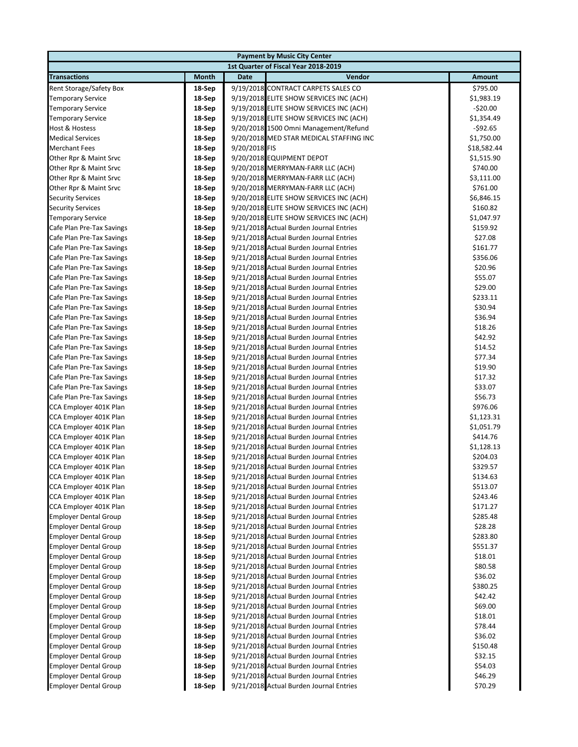| <b>Payment by Music City Center</b>              |                  |               |                                                                                    |                     |  |  |
|--------------------------------------------------|------------------|---------------|------------------------------------------------------------------------------------|---------------------|--|--|
|                                                  |                  |               | 1st Quarter of Fiscal Year 2018-2019                                               |                     |  |  |
| <b>Transactions</b>                              | Month            | Date          | Vendor                                                                             | Amount              |  |  |
| Rent Storage/Safety Box                          | 18-Sep           |               | 9/19/2018 CONTRACT CARPETS SALES CO                                                | \$795.00            |  |  |
| <b>Temporary Service</b>                         | 18-Sep           |               | 9/19/2018 ELITE SHOW SERVICES INC (ACH)                                            | \$1,983.19          |  |  |
| <b>Temporary Service</b>                         | 18-Sep           |               | 9/19/2018 ELITE SHOW SERVICES INC (ACH)                                            | $-$ \$20.00         |  |  |
| <b>Temporary Service</b>                         | 18-Sep           |               | 9/19/2018 ELITE SHOW SERVICES INC (ACH)                                            | \$1,354.49          |  |  |
| Host & Hostess                                   | 18-Sep           |               | 9/20/2018 1500 Omni Management/Refund                                              | $-$ \$92.65         |  |  |
| <b>Medical Services</b>                          | 18-Sep           |               | 9/20/2018 MED STAR MEDICAL STAFFING INC                                            | \$1,750.00          |  |  |
| <b>Merchant Fees</b>                             | 18-Sep           | 9/20/2018 FIS |                                                                                    | \$18,582.44         |  |  |
| Other Rpr & Maint Srvc                           | 18-Sep           |               | 9/20/2018 EQUIPMENT DEPOT                                                          | \$1,515.90          |  |  |
| Other Rpr & Maint Srvc                           | 18-Sep           |               | 9/20/2018 MERRYMAN-FARR LLC (ACH)                                                  | \$740.00            |  |  |
| Other Rpr & Maint Srvc                           | 18-Sep           |               | 9/20/2018 MERRYMAN-FARR LLC (ACH)                                                  | \$3,111.00          |  |  |
| Other Rpr & Maint Srvc                           | 18-Sep           |               | 9/20/2018 MERRYMAN-FARR LLC (ACH)                                                  | \$761.00            |  |  |
| <b>Security Services</b>                         | 18-Sep           |               | 9/20/2018 ELITE SHOW SERVICES INC (ACH)                                            | \$6,846.15          |  |  |
| <b>Security Services</b>                         | 18-Sep           |               | 9/20/2018 ELITE SHOW SERVICES INC (ACH)                                            | \$160.82            |  |  |
| <b>Temporary Service</b>                         | 18-Sep           |               | 9/20/2018 ELITE SHOW SERVICES INC (ACH)                                            | \$1,047.97          |  |  |
| Cafe Plan Pre-Tax Savings                        | 18-Sep           |               | 9/21/2018 Actual Burden Journal Entries                                            | \$159.92            |  |  |
| Cafe Plan Pre-Tax Savings                        | 18-Sep           |               | 9/21/2018 Actual Burden Journal Entries                                            | \$27.08             |  |  |
| Cafe Plan Pre-Tax Savings                        | 18-Sep           |               | 9/21/2018 Actual Burden Journal Entries                                            | \$161.77            |  |  |
| Cafe Plan Pre-Tax Savings                        | 18-Sep           |               | 9/21/2018 Actual Burden Journal Entries                                            | \$356.06            |  |  |
| Cafe Plan Pre-Tax Savings                        | 18-Sep           |               | 9/21/2018 Actual Burden Journal Entries                                            | \$20.96             |  |  |
| Cafe Plan Pre-Tax Savings                        | 18-Sep           |               | 9/21/2018 Actual Burden Journal Entries                                            | \$55.07             |  |  |
| Cafe Plan Pre-Tax Savings                        | 18-Sep           |               | 9/21/2018 Actual Burden Journal Entries                                            | \$29.00             |  |  |
| Cafe Plan Pre-Tax Savings                        | 18-Sep           |               | 9/21/2018 Actual Burden Journal Entries                                            | \$233.11            |  |  |
| Cafe Plan Pre-Tax Savings                        | 18-Sep           |               | 9/21/2018 Actual Burden Journal Entries                                            | \$30.94             |  |  |
| Cafe Plan Pre-Tax Savings                        | 18-Sep           |               | 9/21/2018 Actual Burden Journal Entries                                            | \$36.94             |  |  |
| Cafe Plan Pre-Tax Savings                        | 18-Sep           |               | 9/21/2018 Actual Burden Journal Entries                                            | \$18.26             |  |  |
| Cafe Plan Pre-Tax Savings                        | 18-Sep           |               | 9/21/2018 Actual Burden Journal Entries                                            | \$42.92             |  |  |
| Cafe Plan Pre-Tax Savings                        | 18-Sep           |               | 9/21/2018 Actual Burden Journal Entries                                            | \$14.52             |  |  |
| Cafe Plan Pre-Tax Savings                        | 18-Sep           |               | 9/21/2018 Actual Burden Journal Entries                                            | \$77.34             |  |  |
| Cafe Plan Pre-Tax Savings                        | 18-Sep           |               | 9/21/2018 Actual Burden Journal Entries                                            | \$19.90             |  |  |
| Cafe Plan Pre-Tax Savings                        | 18-Sep           |               | 9/21/2018 Actual Burden Journal Entries                                            | \$17.32             |  |  |
| Cafe Plan Pre-Tax Savings                        | 18-Sep           |               | 9/21/2018 Actual Burden Journal Entries<br>9/21/2018 Actual Burden Journal Entries | \$33.07             |  |  |
| Cafe Plan Pre-Tax Savings                        | 18-Sep<br>18-Sep |               | 9/21/2018 Actual Burden Journal Entries                                            | \$56.73<br>\$976.06 |  |  |
| CCA Employer 401K Plan<br>CCA Employer 401K Plan | 18-Sep           |               | 9/21/2018 Actual Burden Journal Entries                                            | \$1,123.31          |  |  |
| CCA Employer 401K Plan                           | 18-Sep           |               | 9/21/2018 Actual Burden Journal Entries                                            | \$1,051.79          |  |  |
| CCA Employer 401K Plan                           | 18-Sep           |               | 9/21/2018 Actual Burden Journal Entries                                            | \$414.76            |  |  |
| CCA Employer 401K Plan                           | 18-Sep           |               | 9/21/2018 Actual Burden Journal Entries                                            | \$1,128.13          |  |  |
| CCA Employer 401K Plan                           | 18-Sep           |               | 9/21/2018 Actual Burden Journal Entries                                            | \$204.03            |  |  |
| CCA Employer 401K Plan                           | 18-Sep           |               | 9/21/2018 Actual Burden Journal Entries                                            | \$329.57            |  |  |
| CCA Employer 401K Plan                           | 18-Sep           |               | 9/21/2018 Actual Burden Journal Entries                                            | \$134.63            |  |  |
| CCA Employer 401K Plan                           | 18-Sep           |               | 9/21/2018 Actual Burden Journal Entries                                            | \$513.07            |  |  |
| CCA Employer 401K Plan                           | 18-Sep           |               | 9/21/2018 Actual Burden Journal Entries                                            | \$243.46            |  |  |
| CCA Employer 401K Plan                           | 18-Sep           |               | 9/21/2018 Actual Burden Journal Entries                                            | \$171.27            |  |  |
| <b>Employer Dental Group</b>                     | 18-Sep           |               | 9/21/2018 Actual Burden Journal Entries                                            | \$285.48            |  |  |
| <b>Employer Dental Group</b>                     | 18-Sep           |               | 9/21/2018 Actual Burden Journal Entries                                            | \$28.28             |  |  |
| <b>Employer Dental Group</b>                     | 18-Sep           |               | 9/21/2018 Actual Burden Journal Entries                                            | \$283.80            |  |  |
| <b>Employer Dental Group</b>                     | 18-Sep           |               | 9/21/2018 Actual Burden Journal Entries                                            | \$551.37            |  |  |
| <b>Employer Dental Group</b>                     | 18-Sep           |               | 9/21/2018 Actual Burden Journal Entries                                            | \$18.01             |  |  |
| <b>Employer Dental Group</b>                     | 18-Sep           |               | 9/21/2018 Actual Burden Journal Entries                                            | \$80.58             |  |  |
| <b>Employer Dental Group</b>                     | 18-Sep           |               | 9/21/2018 Actual Burden Journal Entries                                            | \$36.02             |  |  |
| <b>Employer Dental Group</b>                     | 18-Sep           |               | 9/21/2018 Actual Burden Journal Entries                                            | \$380.25            |  |  |
| <b>Employer Dental Group</b>                     | 18-Sep           |               | 9/21/2018 Actual Burden Journal Entries                                            | \$42.42             |  |  |
| <b>Employer Dental Group</b>                     | 18-Sep           |               | 9/21/2018 Actual Burden Journal Entries                                            | \$69.00             |  |  |
| <b>Employer Dental Group</b>                     | 18-Sep           |               | 9/21/2018 Actual Burden Journal Entries                                            | \$18.01             |  |  |
| <b>Employer Dental Group</b>                     | 18-Sep           |               | 9/21/2018 Actual Burden Journal Entries                                            | \$78.44             |  |  |
| <b>Employer Dental Group</b>                     | 18-Sep           |               | 9/21/2018 Actual Burden Journal Entries                                            | \$36.02             |  |  |
| <b>Employer Dental Group</b>                     | 18-Sep           |               | 9/21/2018 Actual Burden Journal Entries                                            | \$150.48            |  |  |
| <b>Employer Dental Group</b>                     | 18-Sep           |               | 9/21/2018 Actual Burden Journal Entries                                            | \$32.15             |  |  |
| <b>Employer Dental Group</b>                     | 18-Sep           |               | 9/21/2018 Actual Burden Journal Entries                                            | \$54.03             |  |  |
| <b>Employer Dental Group</b>                     | 18-Sep           |               | 9/21/2018 Actual Burden Journal Entries                                            | \$46.29             |  |  |
| <b>Employer Dental Group</b>                     | 18-Sep           |               | 9/21/2018 Actual Burden Journal Entries                                            | \$70.29             |  |  |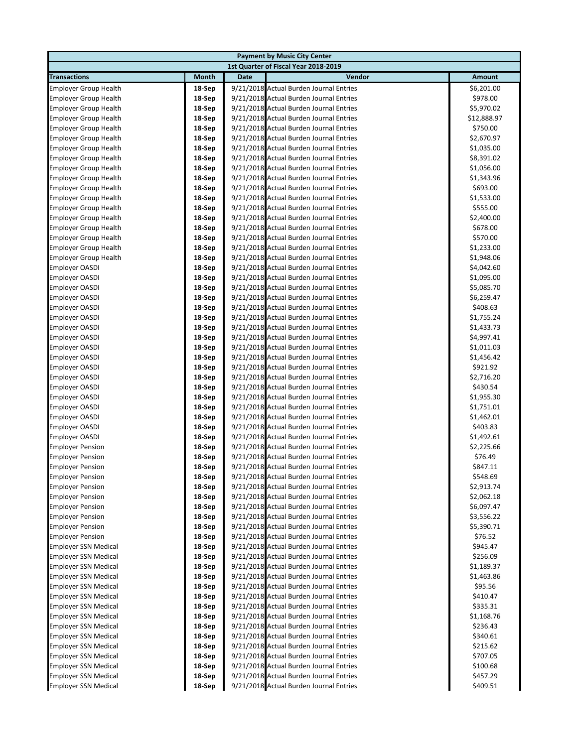| <b>Payment by Music City Center</b>            |                  |             |                                                                                    |                        |  |  |
|------------------------------------------------|------------------|-------------|------------------------------------------------------------------------------------|------------------------|--|--|
| 1st Quarter of Fiscal Year 2018-2019           |                  |             |                                                                                    |                        |  |  |
| <b>Transactions</b>                            | Month            | <b>Date</b> | Vendor                                                                             | Amount                 |  |  |
| <b>Employer Group Health</b>                   | 18-Sep           |             | 9/21/2018 Actual Burden Journal Entries                                            | \$6,201.00             |  |  |
| <b>Employer Group Health</b>                   | 18-Sep           |             | 9/21/2018 Actual Burden Journal Entries                                            | \$978.00               |  |  |
| <b>Employer Group Health</b>                   | 18-Sep           |             | 9/21/2018 Actual Burden Journal Entries                                            | \$5,970.02             |  |  |
| <b>Employer Group Health</b>                   | 18-Sep           |             | 9/21/2018 Actual Burden Journal Entries                                            | \$12,888.97            |  |  |
| <b>Employer Group Health</b>                   | 18-Sep           |             | 9/21/2018 Actual Burden Journal Entries                                            | \$750.00               |  |  |
| <b>Employer Group Health</b>                   | 18-Sep           |             | 9/21/2018 Actual Burden Journal Entries                                            | \$2,670.97             |  |  |
| <b>Employer Group Health</b>                   | 18-Sep           |             | 9/21/2018 Actual Burden Journal Entries                                            | \$1,035.00             |  |  |
| <b>Employer Group Health</b>                   | 18-Sep           |             | 9/21/2018 Actual Burden Journal Entries                                            | \$8,391.02             |  |  |
| <b>Employer Group Health</b>                   | 18-Sep           |             | 9/21/2018 Actual Burden Journal Entries                                            | \$1,056.00             |  |  |
| <b>Employer Group Health</b>                   | 18-Sep           |             | 9/21/2018 Actual Burden Journal Entries                                            | \$1,343.96             |  |  |
| <b>Employer Group Health</b>                   | 18-Sep           |             | 9/21/2018 Actual Burden Journal Entries                                            | \$693.00               |  |  |
| <b>Employer Group Health</b>                   | 18-Sep           |             | 9/21/2018 Actual Burden Journal Entries                                            | \$1,533.00             |  |  |
| <b>Employer Group Health</b>                   | 18-Sep           |             | 9/21/2018 Actual Burden Journal Entries                                            | \$555.00               |  |  |
| <b>Employer Group Health</b>                   | 18-Sep           |             | 9/21/2018 Actual Burden Journal Entries                                            | \$2,400.00             |  |  |
| <b>Employer Group Health</b>                   | 18-Sep           |             | 9/21/2018 Actual Burden Journal Entries                                            | \$678.00               |  |  |
| <b>Employer Group Health</b>                   | 18-Sep           |             | 9/21/2018 Actual Burden Journal Entries                                            | \$570.00               |  |  |
| <b>Employer Group Health</b>                   | 18-Sep           |             | 9/21/2018 Actual Burden Journal Entries                                            | \$1,233.00             |  |  |
| <b>Employer Group Health</b>                   | 18-Sep           |             | 9/21/2018 Actual Burden Journal Entries                                            | \$1,948.06             |  |  |
| Employer OASDI                                 | 18-Sep           |             | 9/21/2018 Actual Burden Journal Entries                                            | \$4,042.60             |  |  |
| <b>Employer OASDI</b>                          | 18-Sep           |             | 9/21/2018 Actual Burden Journal Entries                                            | \$1,095.00             |  |  |
| <b>Employer OASDI</b>                          | 18-Sep           |             | 9/21/2018 Actual Burden Journal Entries                                            | \$5,085.70             |  |  |
| <b>Employer OASDI</b>                          | 18-Sep           |             | 9/21/2018 Actual Burden Journal Entries                                            | \$6,259.47             |  |  |
| <b>Employer OASDI</b>                          | 18-Sep           |             | 9/21/2018 Actual Burden Journal Entries                                            | \$408.63               |  |  |
| <b>Employer OASDI</b>                          | 18-Sep           |             | 9/21/2018 Actual Burden Journal Entries                                            | \$1,755.24             |  |  |
| <b>Employer OASDI</b>                          | 18-Sep           |             | 9/21/2018 Actual Burden Journal Entries                                            | \$1,433.73             |  |  |
| <b>Employer OASDI</b>                          | 18-Sep           |             | 9/21/2018 Actual Burden Journal Entries                                            | \$4,997.41             |  |  |
| <b>Employer OASDI</b>                          | 18-Sep           |             | 9/21/2018 Actual Burden Journal Entries                                            | \$1,011.03             |  |  |
| <b>Employer OASDI</b>                          | 18-Sep           |             | 9/21/2018 Actual Burden Journal Entries                                            | \$1,456.42             |  |  |
| <b>Employer OASDI</b>                          | 18-Sep           |             | 9/21/2018 Actual Burden Journal Entries<br>9/21/2018 Actual Burden Journal Entries | \$921.92               |  |  |
| <b>Employer OASDI</b><br><b>Employer OASDI</b> | 18-Sep<br>18-Sep |             | 9/21/2018 Actual Burden Journal Entries                                            | \$2,716.20<br>\$430.54 |  |  |
| <b>Employer OASDI</b>                          | 18-Sep           |             | 9/21/2018 Actual Burden Journal Entries                                            | \$1,955.30             |  |  |
| <b>Employer OASDI</b>                          | 18-Sep           |             | 9/21/2018 Actual Burden Journal Entries                                            | \$1,751.01             |  |  |
| <b>Employer OASDI</b>                          | 18-Sep           |             | 9/21/2018 Actual Burden Journal Entries                                            | \$1,462.01             |  |  |
| <b>Employer OASDI</b>                          | 18-Sep           |             | 9/21/2018 Actual Burden Journal Entries                                            | \$403.83               |  |  |
| <b>Employer OASDI</b>                          | 18-Sep           |             | 9/21/2018 Actual Burden Journal Entries                                            | \$1,492.61             |  |  |
| <b>Employer Pension</b>                        | 18-Sep           |             | 9/21/2018 Actual Burden Journal Entries                                            | \$2,225.66             |  |  |
| <b>Employer Pension</b>                        | 18-Sep           |             | 9/21/2018 Actual Burden Journal Entries                                            | \$76.49                |  |  |
| <b>Employer Pension</b>                        | 18-Sep           |             | 9/21/2018 Actual Burden Journal Entries                                            | \$847.11               |  |  |
| <b>Employer Pension</b>                        | 18-Sep           |             | 9/21/2018 Actual Burden Journal Entries                                            | \$548.69               |  |  |
| <b>Employer Pension</b>                        | 18-Sep           |             | 9/21/2018 Actual Burden Journal Entries                                            | \$2,913.74             |  |  |
| <b>Employer Pension</b>                        | 18-Sep           |             | 9/21/2018 Actual Burden Journal Entries                                            | \$2,062.18             |  |  |
| <b>Employer Pension</b>                        | 18-Sep           |             | 9/21/2018 Actual Burden Journal Entries                                            | \$6,097.47             |  |  |
| <b>Employer Pension</b>                        | 18-Sep           |             | 9/21/2018 Actual Burden Journal Entries                                            | \$3,556.22             |  |  |
| <b>Employer Pension</b>                        | 18-Sep           |             | 9/21/2018 Actual Burden Journal Entries                                            | \$5,390.71             |  |  |
| <b>Employer Pension</b>                        | 18-Sep           |             | 9/21/2018 Actual Burden Journal Entries                                            | \$76.52                |  |  |
| <b>Employer SSN Medical</b>                    | 18-Sep           |             | 9/21/2018 Actual Burden Journal Entries                                            | \$945.47               |  |  |
| <b>Employer SSN Medical</b>                    | 18-Sep           |             | 9/21/2018 Actual Burden Journal Entries                                            | \$256.09               |  |  |
| <b>Employer SSN Medical</b>                    | 18-Sep           |             | 9/21/2018 Actual Burden Journal Entries                                            | \$1,189.37             |  |  |
| <b>Employer SSN Medical</b>                    | 18-Sep           |             | 9/21/2018 Actual Burden Journal Entries                                            | \$1,463.86             |  |  |
| <b>Employer SSN Medical</b>                    | 18-Sep           |             | 9/21/2018 Actual Burden Journal Entries                                            | \$95.56                |  |  |
| <b>Employer SSN Medical</b>                    | 18-Sep           |             | 9/21/2018 Actual Burden Journal Entries                                            | \$410.47               |  |  |
| <b>Employer SSN Medical</b>                    | 18-Sep           |             | 9/21/2018 Actual Burden Journal Entries                                            | \$335.31               |  |  |
| <b>Employer SSN Medical</b>                    | 18-Sep           |             | 9/21/2018 Actual Burden Journal Entries                                            | \$1,168.76             |  |  |
| <b>Employer SSN Medical</b>                    | 18-Sep           |             | 9/21/2018 Actual Burden Journal Entries                                            | \$236.43               |  |  |
| <b>Employer SSN Medical</b>                    | 18-Sep           |             | 9/21/2018 Actual Burden Journal Entries                                            | \$340.61               |  |  |
| <b>Employer SSN Medical</b>                    | 18-Sep           |             | 9/21/2018 Actual Burden Journal Entries                                            | \$215.62               |  |  |
| <b>Employer SSN Medical</b>                    | 18-Sep           |             | 9/21/2018 Actual Burden Journal Entries                                            | \$707.05               |  |  |
| <b>Employer SSN Medical</b>                    | 18-Sep           |             | 9/21/2018 Actual Burden Journal Entries                                            | \$100.68               |  |  |
| <b>Employer SSN Medical</b>                    | 18-Sep           |             | 9/21/2018 Actual Burden Journal Entries                                            | \$457.29               |  |  |
| <b>Employer SSN Medical</b>                    | 18-Sep           |             | 9/21/2018 Actual Burden Journal Entries                                            | \$409.51               |  |  |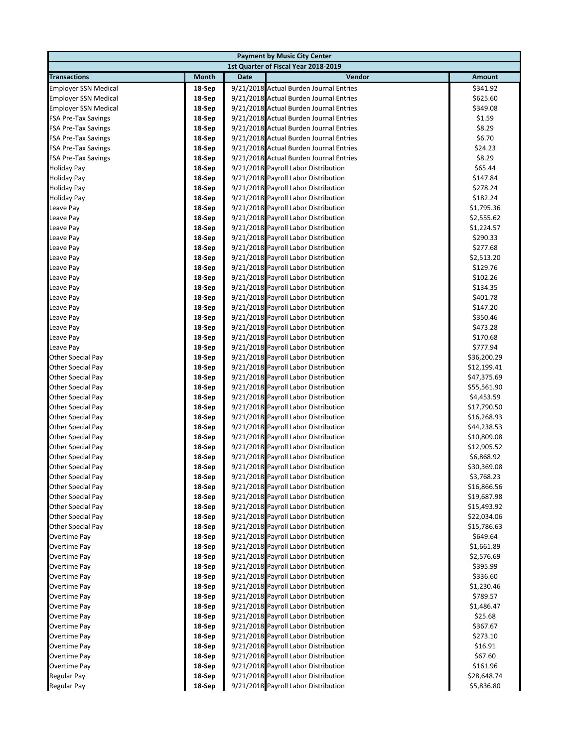| <b>Payment by Music City Center</b>           |                  |      |                                                                              |                            |  |  |
|-----------------------------------------------|------------------|------|------------------------------------------------------------------------------|----------------------------|--|--|
| 1st Quarter of Fiscal Year 2018-2019          |                  |      |                                                                              |                            |  |  |
| <b>Transactions</b>                           | Month            | Date | Vendor                                                                       | <b>Amount</b>              |  |  |
| <b>Employer SSN Medical</b>                   | 18-Sep           |      | 9/21/2018 Actual Burden Journal Entries                                      | \$341.92                   |  |  |
| <b>Employer SSN Medical</b>                   | 18-Sep           |      | 9/21/2018 Actual Burden Journal Entries                                      | \$625.60                   |  |  |
| <b>Employer SSN Medical</b>                   | 18-Sep           |      | 9/21/2018 Actual Burden Journal Entries                                      | \$349.08                   |  |  |
| <b>FSA Pre-Tax Savings</b>                    | 18-Sep           |      | 9/21/2018 Actual Burden Journal Entries                                      | \$1.59                     |  |  |
| <b>FSA Pre-Tax Savings</b>                    | 18-Sep           |      | 9/21/2018 Actual Burden Journal Entries                                      | \$8.29                     |  |  |
| <b>FSA Pre-Tax Savings</b>                    | 18-Sep           |      | 9/21/2018 Actual Burden Journal Entries                                      | \$6.70                     |  |  |
| <b>FSA Pre-Tax Savings</b>                    | 18-Sep           |      | 9/21/2018 Actual Burden Journal Entries                                      | \$24.23                    |  |  |
| <b>FSA Pre-Tax Savings</b>                    | 18-Sep           |      | 9/21/2018 Actual Burden Journal Entries                                      | \$8.29                     |  |  |
| <b>Holiday Pay</b>                            | 18-Sep           |      | 9/21/2018 Payroll Labor Distribution                                         | \$65.44                    |  |  |
| <b>Holiday Pay</b>                            | 18-Sep           |      | 9/21/2018 Payroll Labor Distribution                                         | \$147.84                   |  |  |
| <b>Holiday Pay</b>                            | 18-Sep           |      | 9/21/2018 Payroll Labor Distribution                                         | \$278.24                   |  |  |
| <b>Holiday Pay</b>                            | 18-Sep           |      | 9/21/2018 Payroll Labor Distribution                                         | \$182.24                   |  |  |
| Leave Pay                                     | 18-Sep           |      | 9/21/2018 Payroll Labor Distribution                                         | \$1,795.36                 |  |  |
| Leave Pay                                     | 18-Sep           |      | 9/21/2018 Payroll Labor Distribution                                         | \$2,555.62                 |  |  |
| Leave Pay                                     | 18-Sep           |      | 9/21/2018 Payroll Labor Distribution                                         | \$1,224.57                 |  |  |
| Leave Pay                                     | 18-Sep           |      | 9/21/2018 Payroll Labor Distribution                                         | \$290.33                   |  |  |
| Leave Pay                                     | 18-Sep           |      | 9/21/2018 Payroll Labor Distribution                                         | \$277.68                   |  |  |
| Leave Pay                                     | 18-Sep           |      | 9/21/2018 Payroll Labor Distribution                                         | \$2,513.20                 |  |  |
| Leave Pay                                     | 18-Sep           |      | 9/21/2018 Payroll Labor Distribution                                         | \$129.76                   |  |  |
| Leave Pay                                     | 18-Sep           |      | 9/21/2018 Payroll Labor Distribution                                         | \$102.26                   |  |  |
| Leave Pay                                     | 18-Sep           |      | 9/21/2018 Payroll Labor Distribution                                         | \$134.35                   |  |  |
| Leave Pay                                     | 18-Sep           |      | 9/21/2018 Payroll Labor Distribution                                         | \$401.78                   |  |  |
| Leave Pay                                     | 18-Sep           |      | 9/21/2018 Payroll Labor Distribution                                         | \$147.20                   |  |  |
| Leave Pay                                     | 18-Sep           |      | 9/21/2018 Payroll Labor Distribution                                         | \$350.46                   |  |  |
| Leave Pay                                     | 18-Sep           |      | 9/21/2018 Payroll Labor Distribution                                         | \$473.28                   |  |  |
| Leave Pay                                     | 18-Sep           |      | 9/21/2018 Payroll Labor Distribution                                         | \$170.68                   |  |  |
| Leave Pay                                     | 18-Sep           |      | 9/21/2018 Payroll Labor Distribution                                         | \$777.94                   |  |  |
| <b>Other Special Pay</b>                      | 18-Sep           |      | 9/21/2018 Payroll Labor Distribution                                         | \$36,200.29                |  |  |
| Other Special Pay                             | 18-Sep           |      | 9/21/2018 Payroll Labor Distribution                                         | \$12,199.41                |  |  |
| Other Special Pay                             | 18-Sep           |      | 9/21/2018 Payroll Labor Distribution                                         | \$47,375.69                |  |  |
| <b>Other Special Pay</b>                      | 18-Sep           |      | 9/21/2018 Payroll Labor Distribution                                         | \$55,561.90                |  |  |
| <b>Other Special Pay</b>                      | 18-Sep<br>18-Sep |      | 9/21/2018 Payroll Labor Distribution<br>9/21/2018 Payroll Labor Distribution | \$4,453.59                 |  |  |
| Other Special Pay<br><b>Other Special Pay</b> | 18-Sep           |      | 9/21/2018 Payroll Labor Distribution                                         | \$17,790.50<br>\$16,268.93 |  |  |
| Other Special Pay                             | 18-Sep           |      | 9/21/2018 Payroll Labor Distribution                                         | \$44,238.53                |  |  |
| <b>Other Special Pay</b>                      | 18-Sep           |      | 9/21/2018 Payroll Labor Distribution                                         | \$10,809.08                |  |  |
| <b>Other Special Pay</b>                      | 18-Sep           |      | 9/21/2018 Payroll Labor Distribution                                         | \$12,905.52                |  |  |
| <b>Other Special Pay</b>                      | 18-Sep           |      | 9/21/2018 Payroll Labor Distribution                                         | \$6,868.92                 |  |  |
| <b>Other Special Pay</b>                      | 18-Sep           |      | 9/21/2018 Payroll Labor Distribution                                         | \$30,369.08                |  |  |
| Other Special Pay                             | 18-Sep           |      | 9/21/2018 Payroll Labor Distribution                                         | \$3,768.23                 |  |  |
| <b>Other Special Pay</b>                      | 18-Sep           |      | 9/21/2018 Payroll Labor Distribution                                         | \$16,866.56                |  |  |
| Other Special Pay                             | 18-Sep           |      | 9/21/2018 Payroll Labor Distribution                                         | \$19,687.98                |  |  |
| Other Special Pay                             | 18-Sep           |      | 9/21/2018 Payroll Labor Distribution                                         | \$15,493.92                |  |  |
| Other Special Pay                             | 18-Sep           |      | 9/21/2018 Payroll Labor Distribution                                         | \$22,034.06                |  |  |
| Other Special Pay                             | 18-Sep           |      | 9/21/2018 Payroll Labor Distribution                                         | \$15,786.63                |  |  |
| Overtime Pay                                  | 18-Sep           |      | 9/21/2018 Payroll Labor Distribution                                         | \$649.64                   |  |  |
| Overtime Pay                                  | 18-Sep           |      | 9/21/2018 Payroll Labor Distribution                                         | \$1,661.89                 |  |  |
| Overtime Pay                                  | 18-Sep           |      | 9/21/2018 Payroll Labor Distribution                                         | \$2,576.69                 |  |  |
| Overtime Pay                                  | 18-Sep           |      | 9/21/2018 Payroll Labor Distribution                                         | \$395.99                   |  |  |
| Overtime Pay                                  | 18-Sep           |      | 9/21/2018 Payroll Labor Distribution                                         | \$336.60                   |  |  |
| Overtime Pay                                  | 18-Sep           |      | 9/21/2018 Payroll Labor Distribution                                         | \$1,230.46                 |  |  |
| Overtime Pay                                  | 18-Sep           |      | 9/21/2018 Payroll Labor Distribution                                         | \$789.57                   |  |  |
| Overtime Pay                                  | 18-Sep           |      | 9/21/2018 Payroll Labor Distribution                                         | \$1,486.47                 |  |  |
| Overtime Pay                                  | 18-Sep           |      | 9/21/2018 Payroll Labor Distribution                                         | \$25.68                    |  |  |
| Overtime Pay                                  | 18-Sep           |      | 9/21/2018 Payroll Labor Distribution                                         | \$367.67                   |  |  |
| Overtime Pay                                  | 18-Sep           |      | 9/21/2018 Payroll Labor Distribution                                         | \$273.10                   |  |  |
| Overtime Pay                                  | 18-Sep           |      | 9/21/2018 Payroll Labor Distribution                                         | \$16.91                    |  |  |
| Overtime Pay                                  | 18-Sep           |      | 9/21/2018 Payroll Labor Distribution                                         | \$67.60                    |  |  |
| Overtime Pay                                  | 18-Sep           |      | 9/21/2018 Payroll Labor Distribution                                         | \$161.96                   |  |  |
| <b>Regular Pay</b>                            | 18-Sep           |      | 9/21/2018 Payroll Labor Distribution                                         | \$28,648.74                |  |  |
| <b>Regular Pay</b>                            | 18-Sep           |      | 9/21/2018 Payroll Labor Distribution                                         | \$5,836.80                 |  |  |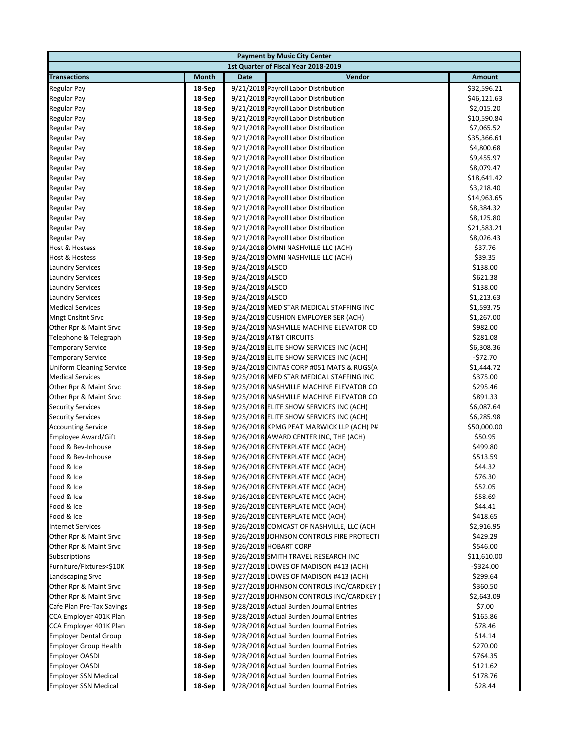| <b>Payment by Music City Center</b>  |                  |                 |                                                                          |                      |  |  |
|--------------------------------------|------------------|-----------------|--------------------------------------------------------------------------|----------------------|--|--|
| 1st Quarter of Fiscal Year 2018-2019 |                  |                 |                                                                          |                      |  |  |
| <b>Transactions</b>                  | Month            | <b>Date</b>     | Vendor                                                                   | <b>Amount</b>        |  |  |
| <b>Regular Pay</b>                   | 18-Sep           |                 | 9/21/2018 Payroll Labor Distribution                                     | \$32,596.21          |  |  |
| <b>Regular Pay</b>                   | 18-Sep           |                 | 9/21/2018 Payroll Labor Distribution                                     | \$46,121.63          |  |  |
| Regular Pay                          | 18-Sep           |                 | 9/21/2018 Payroll Labor Distribution                                     | \$2,015.20           |  |  |
| Regular Pay                          | 18-Sep           |                 | 9/21/2018 Payroll Labor Distribution                                     | \$10,590.84          |  |  |
| <b>Regular Pay</b>                   | 18-Sep           |                 | 9/21/2018 Payroll Labor Distribution                                     | \$7,065.52           |  |  |
| <b>Regular Pay</b>                   | 18-Sep           |                 | 9/21/2018 Payroll Labor Distribution                                     | \$35,366.61          |  |  |
| Regular Pay                          | 18-Sep           |                 | 9/21/2018 Payroll Labor Distribution                                     | \$4,800.68           |  |  |
| Regular Pay                          | 18-Sep           |                 | 9/21/2018 Payroll Labor Distribution                                     | \$9,455.97           |  |  |
| <b>Regular Pay</b>                   | 18-Sep           |                 | 9/21/2018 Payroll Labor Distribution                                     | \$8,079.47           |  |  |
| <b>Regular Pay</b>                   | 18-Sep           |                 | 9/21/2018 Payroll Labor Distribution                                     | \$18,641.42          |  |  |
| Regular Pay                          | 18-Sep           |                 | 9/21/2018 Payroll Labor Distribution                                     | \$3,218.40           |  |  |
| Regular Pay                          | 18-Sep           |                 | 9/21/2018 Payroll Labor Distribution                                     | \$14,963.65          |  |  |
| <b>Regular Pay</b>                   | 18-Sep           |                 | 9/21/2018 Payroll Labor Distribution                                     | \$8,384.32           |  |  |
| Regular Pay                          | 18-Sep           |                 | 9/21/2018 Payroll Labor Distribution                                     | \$8,125.80           |  |  |
| Regular Pay                          | 18-Sep           |                 | 9/21/2018 Payroll Labor Distribution                                     | \$21,583.21          |  |  |
| Regular Pay                          | 18-Sep           |                 | 9/21/2018 Payroll Labor Distribution                                     | \$8,026.43           |  |  |
| <b>Host &amp; Hostess</b>            |                  |                 |                                                                          | \$37.76              |  |  |
| <b>Host &amp; Hostess</b>            | 18-Sep<br>18-Sep |                 | 9/24/2018 OMNI NASHVILLE LLC (ACH)<br>9/24/2018 OMNI NASHVILLE LLC (ACH) | \$39.35              |  |  |
| <b>Laundry Services</b>              | 18-Sep           | 9/24/2018 ALSCO |                                                                          |                      |  |  |
| <b>Laundry Services</b>              | 18-Sep           | 9/24/2018 ALSCO |                                                                          | \$138.00<br>\$621.38 |  |  |
|                                      |                  |                 |                                                                          |                      |  |  |
| <b>Laundry Services</b>              | 18-Sep           | 9/24/2018 ALSCO |                                                                          | \$138.00             |  |  |
| <b>Laundry Services</b>              | 18-Sep           | 9/24/2018 ALSCO |                                                                          | \$1,213.63           |  |  |
| <b>Medical Services</b>              | 18-Sep           |                 | 9/24/2018 MED STAR MEDICAL STAFFING INC                                  | \$1,593.75           |  |  |
| <b>Mngt Cnsltnt Srvc</b>             | 18-Sep           |                 | 9/24/2018 CUSHION EMPLOYER SER (ACH)                                     | \$1,267.00           |  |  |
| Other Rpr & Maint Srvc               | 18-Sep           |                 | 9/24/2018 NASHVILLE MACHINE ELEVATOR CO                                  | \$982.00             |  |  |
| Telephone & Telegraph                | 18-Sep           |                 | 9/24/2018 AT&T CIRCUITS                                                  | \$281.08             |  |  |
| <b>Temporary Service</b>             | 18-Sep           |                 | 9/24/2018 ELITE SHOW SERVICES INC (ACH)                                  | \$6,308.36           |  |  |
| <b>Temporary Service</b>             | 18-Sep           |                 | 9/24/2018 ELITE SHOW SERVICES INC (ACH)                                  | -\$72.70             |  |  |
| <b>Uniform Cleaning Service</b>      | 18-Sep           |                 | 9/24/2018 CINTAS CORP #051 MATS & RUGS(A                                 | \$1,444.72           |  |  |
| <b>Medical Services</b>              | 18-Sep           |                 | 9/25/2018 MED STAR MEDICAL STAFFING INC                                  | \$375.00             |  |  |
| Other Rpr & Maint Srvc               | 18-Sep           |                 | 9/25/2018 NASHVILLE MACHINE ELEVATOR CO                                  | \$295.46             |  |  |
| Other Rpr & Maint Srvc               | 18-Sep           |                 | 9/25/2018 NASHVILLE MACHINE ELEVATOR CO                                  | \$891.33             |  |  |
| <b>Security Services</b>             | 18-Sep           |                 | 9/25/2018 ELITE SHOW SERVICES INC (ACH)                                  | \$6,087.64           |  |  |
| <b>Security Services</b>             | 18-Sep           |                 | 9/25/2018 ELITE SHOW SERVICES INC (ACH)                                  | \$6,285.98           |  |  |
| <b>Accounting Service</b>            | 18-Sep           |                 | 9/26/2018 KPMG PEAT MARWICK LLP (ACH) P#                                 | \$50,000.00          |  |  |
| <b>Employee Award/Gift</b>           | 18-Sep           |                 | 9/26/2018 AWARD CENTER INC, THE (ACH)                                    | \$50.95              |  |  |
| Food & Bev-Inhouse                   | 18-Sep           |                 | 9/26/2018 CENTERPLATE MCC (ACH)                                          | \$499.80             |  |  |
| Food & Bev-Inhouse                   | 18-Sep           |                 | 9/26/2018 CENTERPLATE MCC (ACH)                                          | \$513.59             |  |  |
| Food & Ice                           | 18-Sep           |                 | 9/26/2018 CENTERPLATE MCC (ACH)                                          | \$44.32              |  |  |
| Food & Ice                           | 18-Sep           |                 | 9/26/2018 CENTERPLATE MCC (ACH)                                          | \$76.30              |  |  |
| Food & Ice                           | 18-Sep           |                 | 9/26/2018 CENTERPLATE MCC (ACH)                                          | \$52.05              |  |  |
| Food & Ice                           | 18-Sep           |                 | 9/26/2018 CENTERPLATE MCC (ACH)                                          | \$58.69              |  |  |
| Food & Ice                           | 18-Sep           |                 | 9/26/2018 CENTERPLATE MCC (ACH)                                          | \$44.41              |  |  |
| Food & Ice                           | 18-Sep           |                 | 9/26/2018 CENTERPLATE MCC (ACH)                                          | \$418.65             |  |  |
| <b>Internet Services</b>             | 18-Sep           |                 | 9/26/2018 COMCAST OF NASHVILLE, LLC (ACH                                 | \$2,916.95           |  |  |
| Other Rpr & Maint Srvc               | 18-Sep           |                 | 9/26/2018 JOHNSON CONTROLS FIRE PROTECTI                                 | \$429.29             |  |  |
| Other Rpr & Maint Srvc               | 18-Sep           |                 | 9/26/2018 HOBART CORP                                                    | \$546.00             |  |  |
| <b>Subscriptions</b>                 | 18-Sep           |                 | 9/26/2018 SMITH TRAVEL RESEARCH INC                                      | \$11,610.00          |  |  |
| Furniture/Fixtures<\$10K             | 18-Sep           |                 | 9/27/2018 LOWES OF MADISON #413 (ACH)                                    | $-$ \$324.00         |  |  |
| Landscaping Srvc                     | 18-Sep           |                 | 9/27/2018 LOWES OF MADISON #413 (ACH)                                    | \$299.64             |  |  |
| Other Rpr & Maint Srvc               | 18-Sep           |                 | 9/27/2018 JOHNSON CONTROLS INC/CARDKEY (                                 | \$360.50             |  |  |
| Other Rpr & Maint Srvc               | 18-Sep           |                 | 9/27/2018 JOHNSON CONTROLS INC/CARDKEY (                                 | \$2,643.09           |  |  |
| Cafe Plan Pre-Tax Savings            | 18-Sep           |                 | 9/28/2018 Actual Burden Journal Entries                                  | \$7.00               |  |  |
| CCA Employer 401K Plan               | 18-Sep           |                 | 9/28/2018 Actual Burden Journal Entries                                  | \$165.86             |  |  |
| CCA Employer 401K Plan               | 18-Sep           |                 | 9/28/2018 Actual Burden Journal Entries                                  | \$78.46              |  |  |
| <b>Employer Dental Group</b>         | 18-Sep           |                 | 9/28/2018 Actual Burden Journal Entries                                  | \$14.14              |  |  |
| <b>Employer Group Health</b>         | 18-Sep           |                 | 9/28/2018 Actual Burden Journal Entries                                  | \$270.00             |  |  |
| <b>Employer OASDI</b>                | 18-Sep           |                 | 9/28/2018 Actual Burden Journal Entries                                  | \$764.35             |  |  |
| <b>Employer OASDI</b>                | 18-Sep           |                 | 9/28/2018 Actual Burden Journal Entries                                  | \$121.62             |  |  |
| <b>Employer SSN Medical</b>          | 18-Sep           |                 | 9/28/2018 Actual Burden Journal Entries                                  | \$178.76             |  |  |
| <b>Employer SSN Medical</b>          | 18-Sep           |                 | 9/28/2018 Actual Burden Journal Entries                                  | \$28.44              |  |  |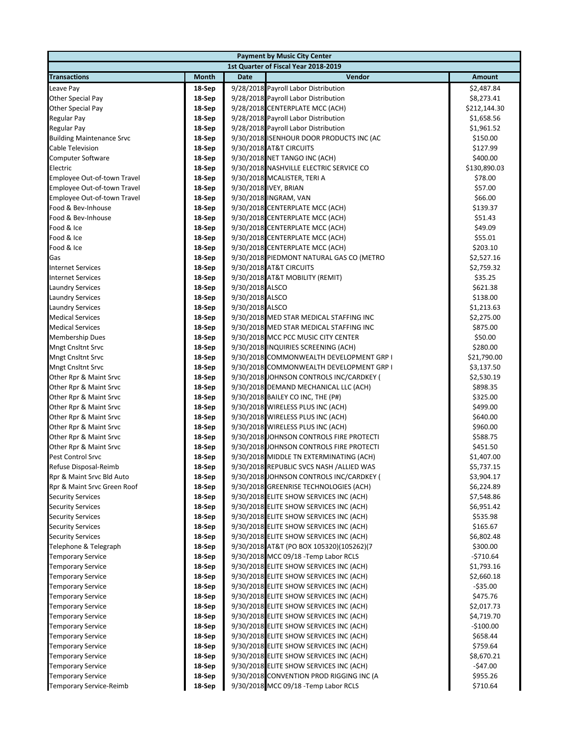| <b>Payment by Music City Center</b>  |                  |                                                                                    |               |  |  |  |
|--------------------------------------|------------------|------------------------------------------------------------------------------------|---------------|--|--|--|
| 1st Quarter of Fiscal Year 2018-2019 |                  |                                                                                    |               |  |  |  |
| <b>Transactions</b>                  | Month            | Vendor<br>Date                                                                     | <b>Amount</b> |  |  |  |
| Leave Pay                            | 18-Sep           | 9/28/2018 Payroll Labor Distribution                                               | \$2,487.84    |  |  |  |
| Other Special Pay                    | 18-Sep           | 9/28/2018 Payroll Labor Distribution                                               | \$8,273.41    |  |  |  |
| Other Special Pay                    | 18-Sep           | 9/28/2018 CENTERPLATE MCC (ACH)                                                    | \$212,144.30  |  |  |  |
| <b>Regular Pay</b>                   | 18-Sep           | 9/28/2018 Payroll Labor Distribution                                               | \$1,658.56    |  |  |  |
| <b>Regular Pay</b>                   | 18-Sep           | 9/28/2018 Payroll Labor Distribution                                               | \$1,961.52    |  |  |  |
| <b>Building Maintenance Srvc</b>     | 18-Sep           | 9/30/2018 ISENHOUR DOOR PRODUCTS INC (AC                                           | \$150.00      |  |  |  |
| Cable Television                     | 18-Sep           | 9/30/2018 AT&T CIRCUITS                                                            | \$127.99      |  |  |  |
| <b>Computer Software</b>             | 18-Sep           | 9/30/2018 NET TANGO INC (ACH)                                                      | \$400.00      |  |  |  |
| Electric                             | 18-Sep           | 9/30/2018 NASHVILLE ELECTRIC SERVICE CO                                            | \$130,890.03  |  |  |  |
| Employee Out-of-town Travel          | 18-Sep           | 9/30/2018 MCALISTER, TERI A                                                        | \$78.00       |  |  |  |
| Employee Out-of-town Travel          | 18-Sep           | 9/30/2018 IVEY, BRIAN                                                              | \$57.00       |  |  |  |
| Employee Out-of-town Travel          | 18-Sep           | 9/30/2018 INGRAM, VAN                                                              | \$66.00       |  |  |  |
| Food & Bev-Inhouse                   | 18-Sep           | 9/30/2018 CENTERPLATE MCC (ACH)                                                    | \$139.37      |  |  |  |
| Food & Bev-Inhouse                   | 18-Sep           | 9/30/2018 CENTERPLATE MCC (ACH)                                                    | \$51.43       |  |  |  |
| Food & Ice                           | 18-Sep           | 9/30/2018 CENTERPLATE MCC (ACH)                                                    | \$49.09       |  |  |  |
| Food & Ice                           | 18-Sep           | 9/30/2018 CENTERPLATE MCC (ACH)                                                    | \$55.01       |  |  |  |
| Food & Ice                           | 18-Sep           | 9/30/2018 CENTERPLATE MCC (ACH)                                                    | \$203.10      |  |  |  |
| Gas                                  | 18-Sep           | 9/30/2018 PIEDMONT NATURAL GAS CO (METRO                                           | \$2,527.16    |  |  |  |
| <b>Internet Services</b>             | 18-Sep           | 9/30/2018 AT&T CIRCUITS                                                            | \$2,759.32    |  |  |  |
| <b>Internet Services</b>             | 18-Sep           | 9/30/2018 AT&T MOBILITY (REMIT)                                                    | \$35.25       |  |  |  |
| <b>Laundry Services</b>              | 18-Sep           | 9/30/2018 ALSCO                                                                    | \$621.38      |  |  |  |
| <b>Laundry Services</b>              | 18-Sep           | 9/30/2018 ALSCO                                                                    | \$138.00      |  |  |  |
| <b>Laundry Services</b>              | 18-Sep           | 9/30/2018 ALSCO                                                                    | \$1,213.63    |  |  |  |
| <b>Medical Services</b>              | 18-Sep           | 9/30/2018 MED STAR MEDICAL STAFFING INC                                            | \$2,275.00    |  |  |  |
| <b>Medical Services</b>              | 18-Sep           | 9/30/2018 MED STAR MEDICAL STAFFING INC                                            | \$875.00      |  |  |  |
| Membership Dues                      | 18-Sep           | 9/30/2018 MCC PCC MUSIC CITY CENTER                                                | \$50.00       |  |  |  |
| <b>Mngt Cnsltnt Srvc</b>             | 18-Sep           | 9/30/2018 INQUIRIES SCREENING (ACH)                                                | \$280.00      |  |  |  |
| <b>Mngt Cnsltnt Srvc</b>             | 18-Sep           | 9/30/2018 COMMONWEALTH DEVELOPMENT GRP I                                           | \$21,790.00   |  |  |  |
| <b>Mngt Cnsltnt Srvc</b>             | 18-Sep           | 9/30/2018 COMMONWEALTH DEVELOPMENT GRP I                                           | \$3,137.50    |  |  |  |
| Other Rpr & Maint Srvc               | 18-Sep           | 9/30/2018 JOHNSON CONTROLS INC/CARDKEY (                                           | \$2,530.19    |  |  |  |
| Other Rpr & Maint Srvc               | 18-Sep           | 9/30/2018 DEMAND MECHANICAL LLC (ACH)                                              | \$898.35      |  |  |  |
| Other Rpr & Maint Srvc               | 18-Sep           | 9/30/2018 BAILEY CO INC, THE (P#)                                                  | \$325.00      |  |  |  |
| Other Rpr & Maint Srvc               | 18-Sep           | 9/30/2018 WIRELESS PLUS INC (ACH)                                                  | \$499.00      |  |  |  |
| Other Rpr & Maint Srvc               | 18-Sep           | 9/30/2018 WIRELESS PLUS INC (ACH)                                                  | \$640.00      |  |  |  |
| Other Rpr & Maint Srvc               | 18-Sep           | 9/30/2018 WIRELESS PLUS INC (ACH)                                                  | \$960.00      |  |  |  |
| Other Rpr & Maint Srvc               | 18-Sep           | 9/30/2018 JOHNSON CONTROLS FIRE PROTECTI                                           | \$588.75      |  |  |  |
| Other Rpr & Maint Srvc               | 18-Sep           | 9/30/2018 JOHNSON CONTROLS FIRE PROTECTI                                           | \$451.50      |  |  |  |
| <b>Pest Control Srvc</b>             | 18-Sep           | 9/30/2018 MIDDLE TN EXTERMINATING (ACH)                                            | \$1,407.00    |  |  |  |
| Refuse Disposal-Reimb                | 18-Sep           | 9/30/2018 REPUBLIC SVCS NASH /ALLIED WAS                                           | \$5,737.15    |  |  |  |
| Rpr & Maint Srvc Bld Auto            | 18-Sep           | 9/30/2018 JOHNSON CONTROLS INC/CARDKEY (                                           | \$3,904.17    |  |  |  |
| Rpr & Maint Srvc Green Roof          | 18-Sep           | 9/30/2018 GREENRISE TECHNOLOGIES (ACH)                                             | \$6,224.89    |  |  |  |
| <b>Security Services</b>             | 18-Sep           | 9/30/2018 ELITE SHOW SERVICES INC (ACH)                                            | \$7,548.86    |  |  |  |
| <b>Security Services</b>             | 18-Sep           | 9/30/2018 ELITE SHOW SERVICES INC (ACH)                                            | \$6,951.42    |  |  |  |
| <b>Security Services</b>             | 18-Sep           | 9/30/2018 ELITE SHOW SERVICES INC (ACH)                                            | \$535.98      |  |  |  |
| <b>Security Services</b>             | 18-Sep           | 9/30/2018 ELITE SHOW SERVICES INC (ACH)                                            | \$165.67      |  |  |  |
| <b>Security Services</b>             | 18-Sep           | 9/30/2018 ELITE SHOW SERVICES INC (ACH)                                            | \$6,802.48    |  |  |  |
| Telephone & Telegraph                | 18-Sep           | 9/30/2018 AT&T (PO BOX 105320)(105262)(7                                           | \$300.00      |  |  |  |
| <b>Temporary Service</b>             | 18-Sep           | 9/30/2018 MCC 09/18 - Temp Labor RCLS                                              | $-5710.64$    |  |  |  |
| <b>Temporary Service</b>             | 18-Sep<br>18-Sep | 9/30/2018 ELITE SHOW SERVICES INC (ACH)<br>9/30/2018 ELITE SHOW SERVICES INC (ACH) | \$1,793.16    |  |  |  |
| <b>Temporary Service</b>             |                  |                                                                                    | \$2,660.18    |  |  |  |
| <b>Temporary Service</b>             | 18-Sep           | 9/30/2018 ELITE SHOW SERVICES INC (ACH)                                            | $-535.00$     |  |  |  |
| <b>Temporary Service</b>             | 18-Sep           | 9/30/2018 ELITE SHOW SERVICES INC (ACH)                                            | \$475.76      |  |  |  |
| <b>Temporary Service</b>             | 18-Sep           | 9/30/2018 ELITE SHOW SERVICES INC (ACH)                                            | \$2,017.73    |  |  |  |
| <b>Temporary Service</b>             | 18-Sep           | 9/30/2018 ELITE SHOW SERVICES INC (ACH)                                            | \$4,719.70    |  |  |  |
| <b>Temporary Service</b>             | 18-Sep           | 9/30/2018 ELITE SHOW SERVICES INC (ACH)                                            | $-$100.00$    |  |  |  |
| <b>Temporary Service</b>             | 18-Sep           | 9/30/2018 ELITE SHOW SERVICES INC (ACH)                                            | \$658.44      |  |  |  |
| <b>Temporary Service</b>             | 18-Sep           | 9/30/2018 ELITE SHOW SERVICES INC (ACH)                                            | \$759.64      |  |  |  |
| <b>Temporary Service</b>             | 18-Sep           | 9/30/2018 ELITE SHOW SERVICES INC (ACH)                                            | \$8,670.21    |  |  |  |
| <b>Temporary Service</b>             | 18-Sep           | 9/30/2018 ELITE SHOW SERVICES INC (ACH)                                            | $-$47.00$     |  |  |  |
| <b>Temporary Service</b>             | 18-Sep           | 9/30/2018 CONVENTION PROD RIGGING INC (A                                           | \$955.26      |  |  |  |
| Temporary Service-Reimb              | 18-Sep           | 9/30/2018 MCC 09/18 - Temp Labor RCLS                                              | \$710.64      |  |  |  |